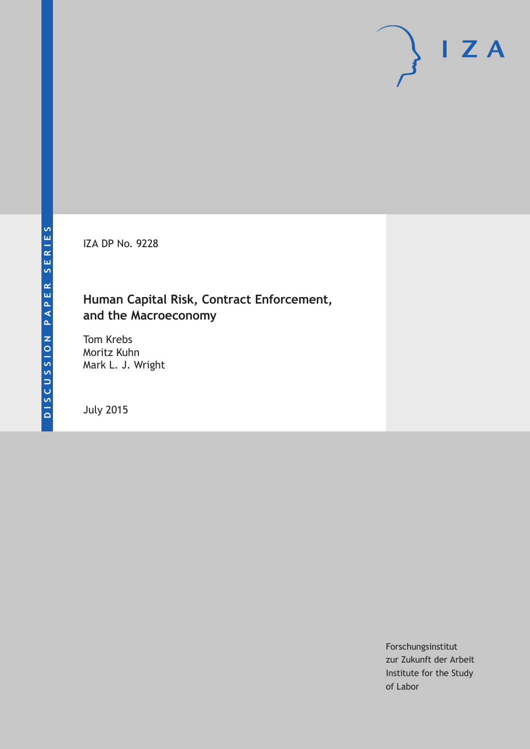IZA DP No. 9228

# **Human Capital Risk, Contract Enforcement, and the Macroeconomy**

Tom Krebs Moritz Kuhn Mark L. J. Wright

July 2015

Forschungsinstitut zur Zukunft der Arbeit Institute for the Study of Labor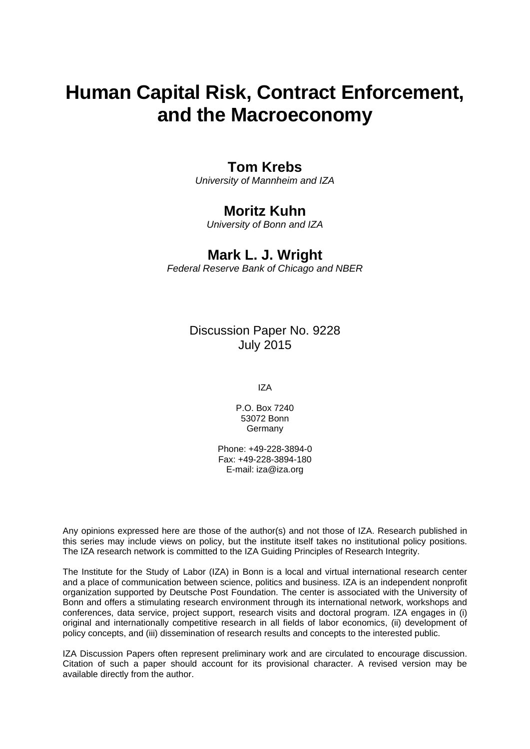# **Human Capital Risk, Contract Enforcement, and the Macroeconomy**

### **Tom Krebs**

*University of Mannheim and IZA* 

# **Moritz Kuhn**

*University of Bonn and IZA* 

### **Mark L. J. Wright**

*Federal Reserve Bank of Chicago and NBER*

Discussion Paper No. 9228 July 2015

IZA

P.O. Box 7240 53072 Bonn Germany

Phone: +49-228-3894-0 Fax: +49-228-3894-180 E-mail: iza@iza.org

Any opinions expressed here are those of the author(s) and not those of IZA. Research published in this series may include views on policy, but the institute itself takes no institutional policy positions. The IZA research network is committed to the IZA Guiding Principles of Research Integrity.

The Institute for the Study of Labor (IZA) in Bonn is a local and virtual international research center and a place of communication between science, politics and business. IZA is an independent nonprofit organization supported by Deutsche Post Foundation. The center is associated with the University of Bonn and offers a stimulating research environment through its international network, workshops and conferences, data service, project support, research visits and doctoral program. IZA engages in (i) original and internationally competitive research in all fields of labor economics, (ii) development of policy concepts, and (iii) dissemination of research results and concepts to the interested public.

IZA Discussion Papers often represent preliminary work and are circulated to encourage discussion. Citation of such a paper should account for its provisional character. A revised version may be available directly from the author.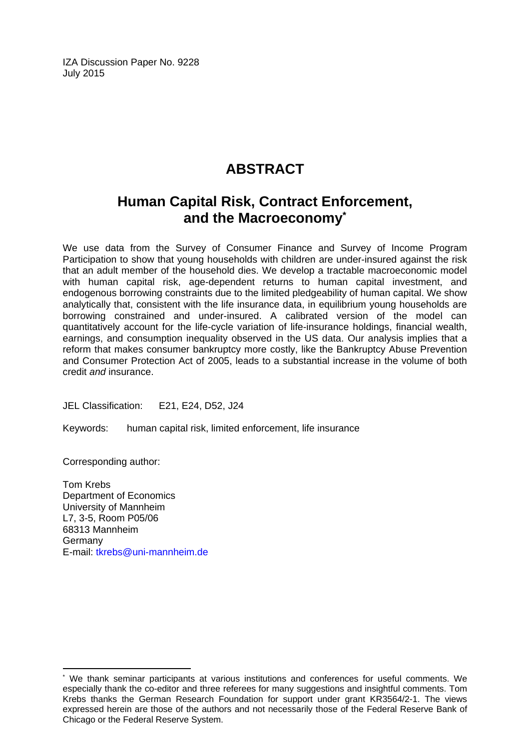IZA Discussion Paper No. 9228 July 2015

# **ABSTRACT**

# **Human Capital Risk, Contract Enforcement, and the Macroeconomy\***

We use data from the Survey of Consumer Finance and Survey of Income Program Participation to show that young households with children are under-insured against the risk that an adult member of the household dies. We develop a tractable macroeconomic model with human capital risk, age-dependent returns to human capital investment, and endogenous borrowing constraints due to the limited pledgeability of human capital. We show analytically that, consistent with the life insurance data, in equilibrium young households are borrowing constrained and under-insured. A calibrated version of the model can quantitatively account for the life-cycle variation of life-insurance holdings, financial wealth, earnings, and consumption inequality observed in the US data. Our analysis implies that a reform that makes consumer bankruptcy more costly, like the Bankruptcy Abuse Prevention and Consumer Protection Act of 2005, leads to a substantial increase in the volume of both credit *and* insurance.

JEL Classification: E21, E24, D52, J24

Keywords: human capital risk, limited enforcement, life insurance

Corresponding author:

 $\overline{\phantom{a}}$ 

Tom Krebs Department of Economics University of Mannheim L7, 3-5, Room P05/06 68313 Mannheim Germany E-mail: tkrebs@uni-mannheim.de

<sup>\*</sup> We thank seminar participants at various institutions and conferences for useful comments. We especially thank the co-editor and three referees for many suggestions and insightful comments. Tom Krebs thanks the German Research Foundation for support under grant KR3564/2-1. The views expressed herein are those of the authors and not necessarily those of the Federal Reserve Bank of Chicago or the Federal Reserve System.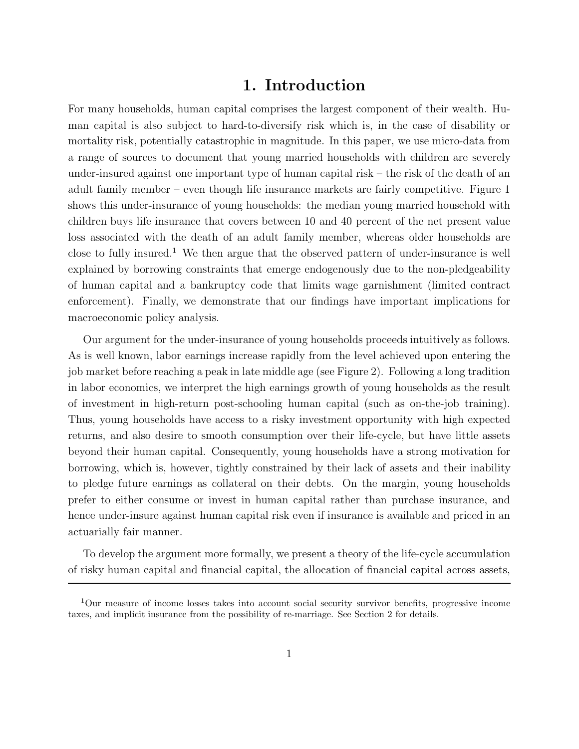# **1. Introduction**

For many households, human capital comprises the largest component of their wealth. Human capital is also subject to hard-to-diversify risk which is, in the case of disability or mortality risk, potentially catastrophic in magnitude. In this paper, we use micro-data from a range of sources to document that young married households with children are severely under-insured against one important type of human capital risk – the risk of the death of an adult family member – even though life insurance markets are fairly competitive. Figure 1 shows this under-insurance of young households: the median young married household with children buys life insurance that covers between 10 and 40 percent of the net present value loss associated with the death of an adult family member, whereas older households are close to fully insured.<sup>1</sup> We then argue that the observed pattern of under-insurance is well explained by borrowing constraints that emerge endogenously due to the non-pledgeability of human capital and a bankruptcy code that limits wage garnishment (limited contract enforcement). Finally, we demonstrate that our findings have important implications for macroeconomic policy analysis.

Our argument for the under-insurance of young households proceeds intuitively as follows. As is well known, labor earnings increase rapidly from the level achieved upon entering the job market before reaching a peak in late middle age (see Figure 2). Following a long tradition in labor economics, we interpret the high earnings growth of young households as the result of investment in high-return post-schooling human capital (such as on-the-job training). Thus, young households have access to a risky investment opportunity with high expected returns, and also desire to smooth consumption over their life-cycle, but have little assets beyond their human capital. Consequently, young households have a strong motivation for borrowing, which is, however, tightly constrained by their lack of assets and their inability to pledge future earnings as collateral on their debts. On the margin, young households prefer to either consume or invest in human capital rather than purchase insurance, and hence under-insure against human capital risk even if insurance is available and priced in an actuarially fair manner.

To develop the argument more formally, we present a theory of the life-cycle accumulation of risky human capital and financial capital, the allocation of financial capital across assets,

<sup>1</sup>Our measure of income losses takes into account social security survivor benefits, progressive income taxes, and implicit insurance from the possibility of re-marriage. See Section 2 for details.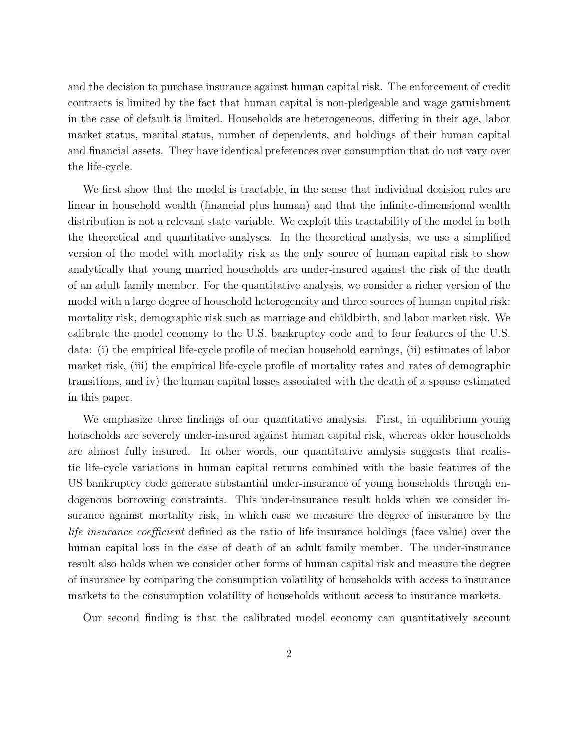and the decision to purchase insurance against human capital risk. The enforcement of credit contracts is limited by the fact that human capital is non-pledgeable and wage garnishment in the case of default is limited. Households are heterogeneous, differing in their age, labor market status, marital status, number of dependents, and holdings of their human capital and financial assets. They have identical preferences over consumption that do not vary over the life-cycle.

We first show that the model is tractable, in the sense that individual decision rules are linear in household wealth (financial plus human) and that the infinite-dimensional wealth distribution is not a relevant state variable. We exploit this tractability of the model in both the theoretical and quantitative analyses. In the theoretical analysis, we use a simplified version of the model with mortality risk as the only source of human capital risk to show analytically that young married households are under-insured against the risk of the death of an adult family member. For the quantitative analysis, we consider a richer version of the model with a large degree of household heterogeneity and three sources of human capital risk: mortality risk, demographic risk such as marriage and childbirth, and labor market risk. We calibrate the model economy to the U.S. bankruptcy code and to four features of the U.S. data: (i) the empirical life-cycle profile of median household earnings, (ii) estimates of labor market risk, (iii) the empirical life-cycle profile of mortality rates and rates of demographic transitions, and iv) the human capital losses associated with the death of a spouse estimated in this paper.

We emphasize three findings of our quantitative analysis. First, in equilibrium young households are severely under-insured against human capital risk, whereas older households are almost fully insured. In other words, our quantitative analysis suggests that realistic life-cycle variations in human capital returns combined with the basic features of the US bankruptcy code generate substantial under-insurance of young households through endogenous borrowing constraints. This under-insurance result holds when we consider insurance against mortality risk, in which case we measure the degree of insurance by the *life insurance coefficient* defined as the ratio of life insurance holdings (face value) over the human capital loss in the case of death of an adult family member. The under-insurance result also holds when we consider other forms of human capital risk and measure the degree of insurance by comparing the consumption volatility of households with access to insurance markets to the consumption volatility of households without access to insurance markets.

Our second finding is that the calibrated model economy can quantitatively account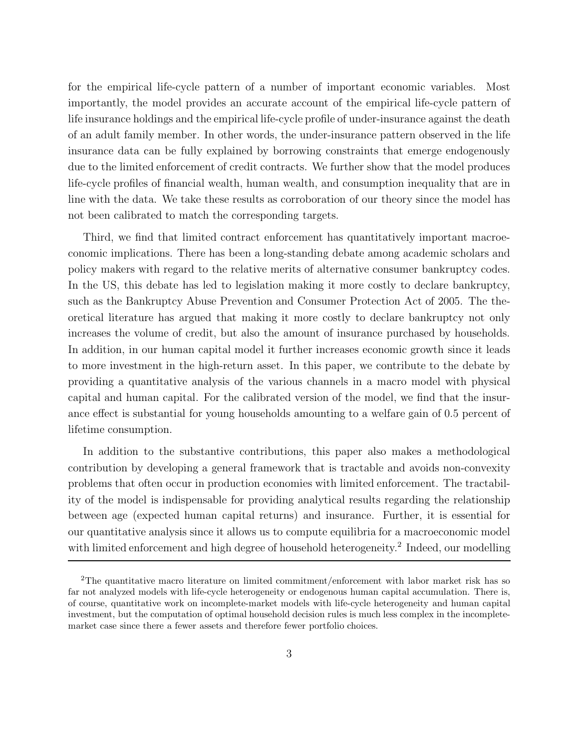for the empirical life-cycle pattern of a number of important economic variables. Most importantly, the model provides an accurate account of the empirical life-cycle pattern of life insurance holdings and the empirical life-cycle profile of under-insurance against the death of an adult family member. In other words, the under-insurance pattern observed in the life insurance data can be fully explained by borrowing constraints that emerge endogenously due to the limited enforcement of credit contracts. We further show that the model produces life-cycle profiles of financial wealth, human wealth, and consumption inequality that are in line with the data. We take these results as corroboration of our theory since the model has not been calibrated to match the corresponding targets.

Third, we find that limited contract enforcement has quantitatively important macroeconomic implications. There has been a long-standing debate among academic scholars and policy makers with regard to the relative merits of alternative consumer bankruptcy codes. In the US, this debate has led to legislation making it more costly to declare bankruptcy, such as the Bankruptcy Abuse Prevention and Consumer Protection Act of 2005. The theoretical literature has argued that making it more costly to declare bankruptcy not only increases the volume of credit, but also the amount of insurance purchased by households. In addition, in our human capital model it further increases economic growth since it leads to more investment in the high-return asset. In this paper, we contribute to the debate by providing a quantitative analysis of the various channels in a macro model with physical capital and human capital. For the calibrated version of the model, we find that the insurance effect is substantial for young households amounting to a welfare gain of 0*.*5 percent of lifetime consumption.

In addition to the substantive contributions, this paper also makes a methodological contribution by developing a general framework that is tractable and avoids non-convexity problems that often occur in production economies with limited enforcement. The tractability of the model is indispensable for providing analytical results regarding the relationship between age (expected human capital returns) and insurance. Further, it is essential for our quantitative analysis since it allows us to compute equilibria for a macroeconomic model with limited enforcement and high degree of household heterogeneity.<sup>2</sup> Indeed, our modelling

<sup>&</sup>lt;sup>2</sup>The quantitative macro literature on limited commitment/enforcement with labor market risk has so far not analyzed models with life-cycle heterogeneity or endogenous human capital accumulation. There is, of course, quantitative work on incomplete-market models with life-cycle heterogeneity and human capital investment, but the computation of optimal household decision rules is much less complex in the incompletemarket case since there a fewer assets and therefore fewer portfolio choices.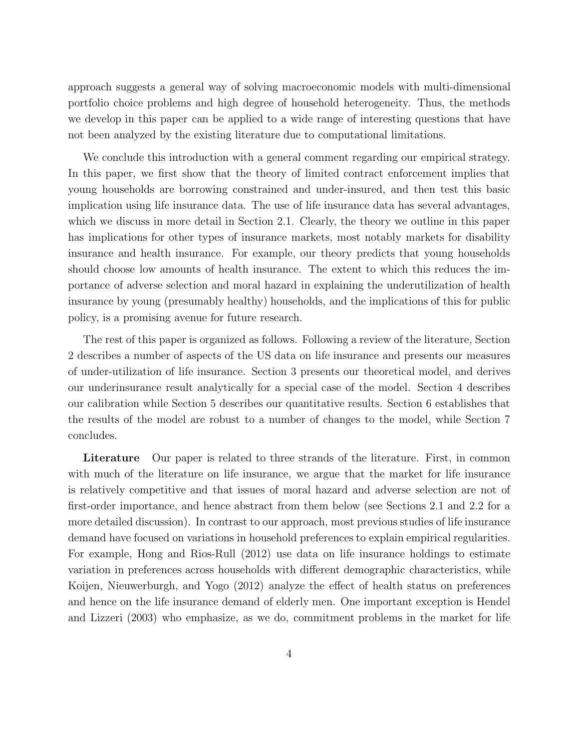approach suggests a general way of solving macroeconomic models with multi-dimensional portfolio choice problems and high degree of household heterogeneity. Thus, the methods we develop in this paper can be applied to a wide range of interesting questions that have not been analyzed by the existing literature due to computational limitations.

We conclude this introduction with a general comment regarding our empirical strategy. In this paper, we first show that the theory of limited contract enforcement implies that young households are borrowing constrained and under-insured, and then test this basic implication using life insurance data. The use of life insurance data has several advantages, which we discuss in more detail in Section 2.1. Clearly, the theory we outline in this paper has implications for other types of insurance markets, most notably markets for disability insurance and health insurance. For example, our theory predicts that young households should choose low amounts of health insurance. The extent to which this reduces the importance of adverse selection and moral hazard in explaining the underutilization of health insurance by young (presumably healthy) households, and the implications of this for public policy, is a promising avenue for future research.

The rest of this paper is organized as follows. Following a review of the literature, Section 2 describes a number of aspects of the US data on life insurance and presents our measures of under-utilization of life insurance. Section 3 presents our theoretical model, and derives our underinsurance result analytically for a special case of the model. Section 4 describes our calibration while Section 5 describes our quantitative results. Section 6 establishes that the results of the model are robust to a number of changes to the model, while Section 7 concludes.

**Literature** Our paper is related to three strands of the literature. First, in common with much of the literature on life insurance, we argue that the market for life insurance is relatively competitive and that issues of moral hazard and adverse selection are not of first-order importance, and hence abstract from them below (see Sections 2.1 and 2.2 for a more detailed discussion). In contrast to our approach, most previous studies of life insurance demand have focused on variations in household preferences to explain empirical regularities. For example, Hong and Rios-Rull (2012) use data on life insurance holdings to estimate variation in preferences across households with different demographic characteristics, while Koijen, Nieuwerburgh, and Yogo (2012) analyze the effect of health status on preferences and hence on the life insurance demand of elderly men. One important exception is Hendel and Lizzeri (2003) who emphasize, as we do, commitment problems in the market for life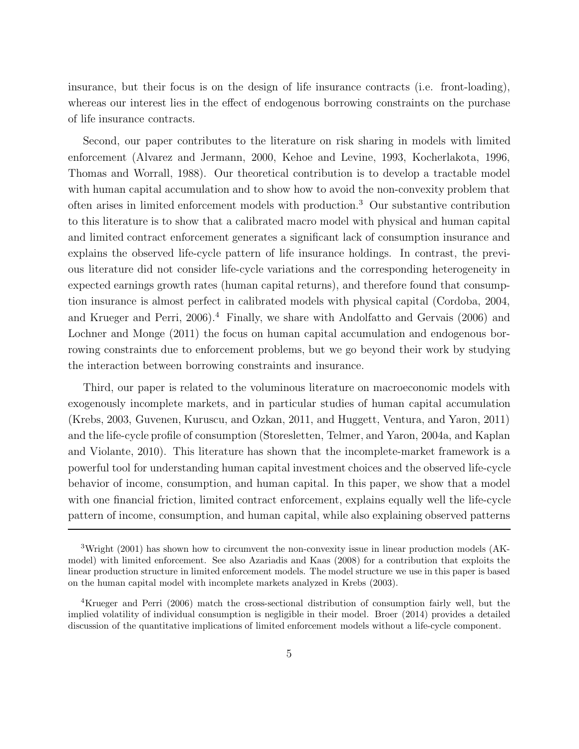insurance, but their focus is on the design of life insurance contracts (i.e. front-loading), whereas our interest lies in the effect of endogenous borrowing constraints on the purchase of life insurance contracts.

Second, our paper contributes to the literature on risk sharing in models with limited enforcement (Alvarez and Jermann, 2000, Kehoe and Levine, 1993, Kocherlakota, 1996, Thomas and Worrall, 1988). Our theoretical contribution is to develop a tractable model with human capital accumulation and to show how to avoid the non-convexity problem that often arises in limited enforcement models with production.<sup>3</sup> Our substantive contribution to this literature is to show that a calibrated macro model with physical and human capital and limited contract enforcement generates a significant lack of consumption insurance and explains the observed life-cycle pattern of life insurance holdings. In contrast, the previous literature did not consider life-cycle variations and the corresponding heterogeneity in expected earnings growth rates (human capital returns), and therefore found that consumption insurance is almost perfect in calibrated models with physical capital (Cordoba, 2004, and Krueger and Perri,  $2006$ .<sup>4</sup> Finally, we share with Andolfatto and Gervais (2006) and Lochner and Monge (2011) the focus on human capital accumulation and endogenous borrowing constraints due to enforcement problems, but we go beyond their work by studying the interaction between borrowing constraints and insurance.

Third, our paper is related to the voluminous literature on macroeconomic models with exogenously incomplete markets, and in particular studies of human capital accumulation (Krebs, 2003, Guvenen, Kuruscu, and Ozkan, 2011, and Huggett, Ventura, and Yaron, 2011) and the life-cycle profile of consumption (Storesletten, Telmer, and Yaron, 2004a, and Kaplan and Violante, 2010). This literature has shown that the incomplete-market framework is a powerful tool for understanding human capital investment choices and the observed life-cycle behavior of income, consumption, and human capital. In this paper, we show that a model with one financial friction, limited contract enforcement, explains equally well the life-cycle pattern of income, consumption, and human capital, while also explaining observed patterns

<sup>3</sup>Wright (2001) has shown how to circumvent the non-convexity issue in linear production models (AKmodel) with limited enforcement. See also Azariadis and Kaas (2008) for a contribution that exploits the linear production structure in limited enforcement models. The model structure we use in this paper is based on the human capital model with incomplete markets analyzed in Krebs (2003).

<sup>4</sup>Krueger and Perri (2006) match the cross-sectional distribution of consumption fairly well, but the implied volatility of individual consumption is negligible in their model. Broer (2014) provides a detailed discussion of the quantitative implications of limited enforcement models without a life-cycle component.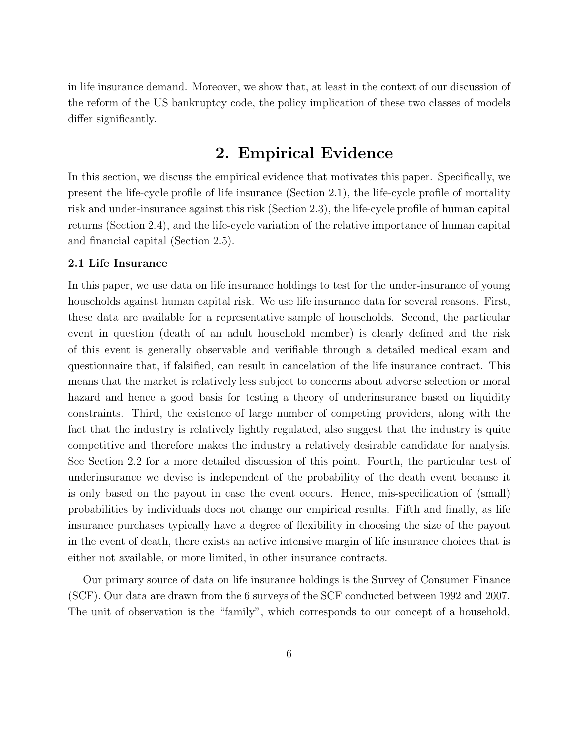in life insurance demand. Moreover, we show that, at least in the context of our discussion of the reform of the US bankruptcy code, the policy implication of these two classes of models differ significantly.

# **2. Empirical Evidence**

In this section, we discuss the empirical evidence that motivates this paper. Specifically, we present the life-cycle profile of life insurance (Section 2.1), the life-cycle profile of mortality risk and under-insurance against this risk (Section 2.3), the life-cycle profile of human capital returns (Section 2.4), and the life-cycle variation of the relative importance of human capital and financial capital (Section 2.5).

#### **2.1 Life Insurance**

In this paper, we use data on life insurance holdings to test for the under-insurance of young households against human capital risk. We use life insurance data for several reasons. First, these data are available for a representative sample of households. Second, the particular event in question (death of an adult household member) is clearly defined and the risk of this event is generally observable and verifiable through a detailed medical exam and questionnaire that, if falsified, can result in cancelation of the life insurance contract. This means that the market is relatively less subject to concerns about adverse selection or moral hazard and hence a good basis for testing a theory of underinsurance based on liquidity constraints. Third, the existence of large number of competing providers, along with the fact that the industry is relatively lightly regulated, also suggest that the industry is quite competitive and therefore makes the industry a relatively desirable candidate for analysis. See Section 2.2 for a more detailed discussion of this point. Fourth, the particular test of underinsurance we devise is independent of the probability of the death event because it is only based on the payout in case the event occurs. Hence, mis-specification of (small) probabilities by individuals does not change our empirical results. Fifth and finally, as life insurance purchases typically have a degree of flexibility in choosing the size of the payout in the event of death, there exists an active intensive margin of life insurance choices that is either not available, or more limited, in other insurance contracts.

Our primary source of data on life insurance holdings is the Survey of Consumer Finance (SCF). Our data are drawn from the 6 surveys of the SCF conducted between 1992 and 2007. The unit of observation is the "family", which corresponds to our concept of a household,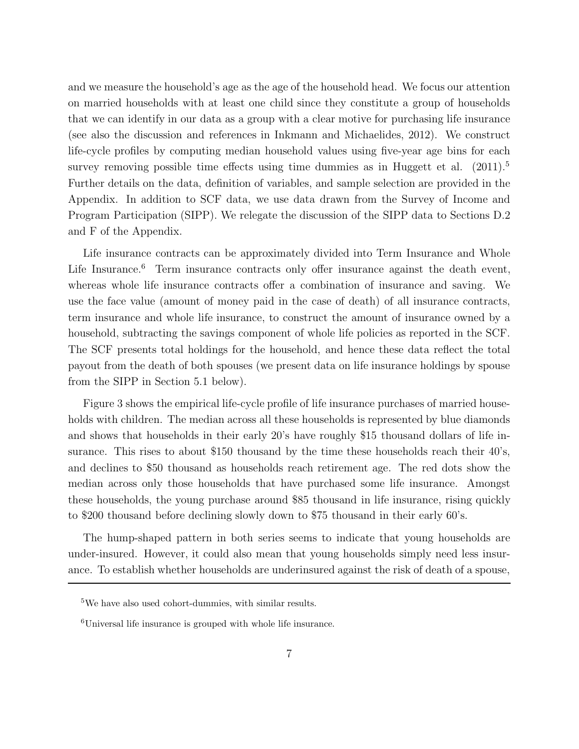and we measure the household's age as the age of the household head. We focus our attention on married households with at least one child since they constitute a group of households that we can identify in our data as a group with a clear motive for purchasing life insurance (see also the discussion and references in Inkmann and Michaelides, 2012). We construct life-cycle profiles by computing median household values using five-year age bins for each survey removing possible time effects using time dummies as in Huggett et al.  $(2011).<sup>5</sup>$ Further details on the data, definition of variables, and sample selection are provided in the Appendix. In addition to SCF data, we use data drawn from the Survey of Income and Program Participation (SIPP). We relegate the discussion of the SIPP data to Sections D.2 and F of the Appendix.

Life insurance contracts can be approximately divided into Term Insurance and Whole Life Insurance.<sup>6</sup> Term insurance contracts only offer insurance against the death event, whereas whole life insurance contracts offer a combination of insurance and saving. We use the face value (amount of money paid in the case of death) of all insurance contracts, term insurance and whole life insurance, to construct the amount of insurance owned by a household, subtracting the savings component of whole life policies as reported in the SCF. The SCF presents total holdings for the household, and hence these data reflect the total payout from the death of both spouses (we present data on life insurance holdings by spouse from the SIPP in Section 5.1 below).

Figure 3 shows the empirical life-cycle profile of life insurance purchases of married households with children. The median across all these households is represented by blue diamonds and shows that households in their early 20's have roughly \$15 thousand dollars of life insurance. This rises to about \$150 thousand by the time these households reach their 40's, and declines to \$50 thousand as households reach retirement age. The red dots show the median across only those households that have purchased some life insurance. Amongst these households, the young purchase around \$85 thousand in life insurance, rising quickly to \$200 thousand before declining slowly down to \$75 thousand in their early 60's.

The hump-shaped pattern in both series seems to indicate that young households are under-insured. However, it could also mean that young households simply need less insurance. To establish whether households are underinsured against the risk of death of a spouse,

 $5$ We have also used cohort-dummies, with similar results.

<sup>6</sup>Universal life insurance is grouped with whole life insurance.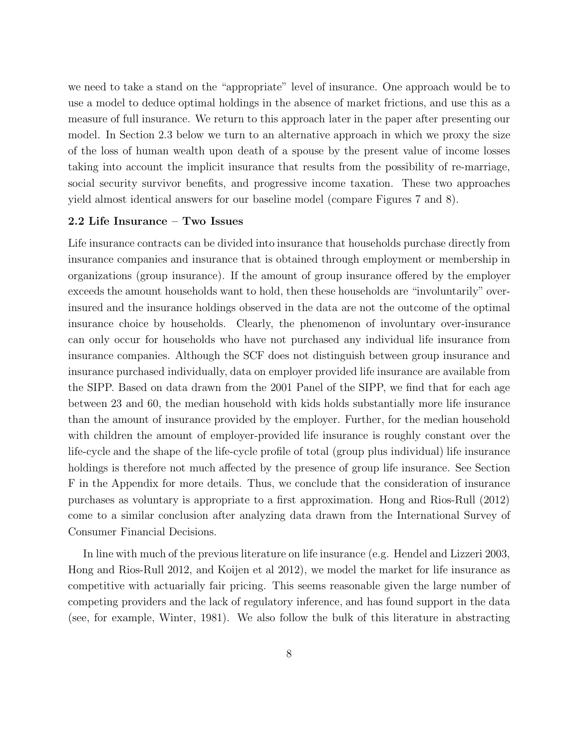we need to take a stand on the "appropriate" level of insurance. One approach would be to use a model to deduce optimal holdings in the absence of market frictions, and use this as a measure of full insurance. We return to this approach later in the paper after presenting our model. In Section 2.3 below we turn to an alternative approach in which we proxy the size of the loss of human wealth upon death of a spouse by the present value of income losses taking into account the implicit insurance that results from the possibility of re-marriage, social security survivor benefits, and progressive income taxation. These two approaches yield almost identical answers for our baseline model (compare Figures 7 and 8).

#### **2.2 Life Insurance – Two Issues**

Life insurance contracts can be divided into insurance that households purchase directly from insurance companies and insurance that is obtained through employment or membership in organizations (group insurance). If the amount of group insurance offered by the employer exceeds the amount households want to hold, then these households are "involuntarily" overinsured and the insurance holdings observed in the data are not the outcome of the optimal insurance choice by households. Clearly, the phenomenon of involuntary over-insurance can only occur for households who have not purchased any individual life insurance from insurance companies. Although the SCF does not distinguish between group insurance and insurance purchased individually, data on employer provided life insurance are available from the SIPP. Based on data drawn from the 2001 Panel of the SIPP, we find that for each age between 23 and 60, the median household with kids holds substantially more life insurance than the amount of insurance provided by the employer. Further, for the median household with children the amount of employer-provided life insurance is roughly constant over the life-cycle and the shape of the life-cycle profile of total (group plus individual) life insurance holdings is therefore not much affected by the presence of group life insurance. See Section F in the Appendix for more details. Thus, we conclude that the consideration of insurance purchases as voluntary is appropriate to a first approximation. Hong and Rios-Rull (2012) come to a similar conclusion after analyzing data drawn from the International Survey of Consumer Financial Decisions.

In line with much of the previous literature on life insurance (e.g. Hendel and Lizzeri 2003, Hong and Rios-Rull 2012, and Koijen et al 2012), we model the market for life insurance as competitive with actuarially fair pricing. This seems reasonable given the large number of competing providers and the lack of regulatory inference, and has found support in the data (see, for example, Winter, 1981). We also follow the bulk of this literature in abstracting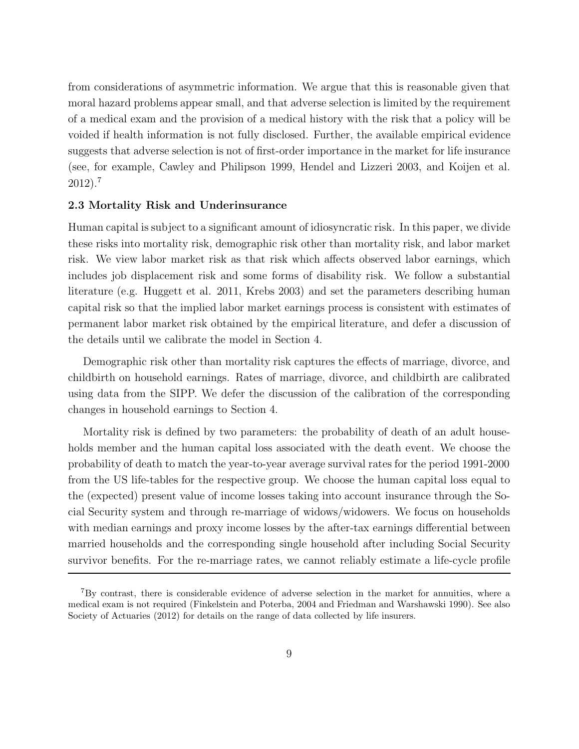from considerations of asymmetric information. We argue that this is reasonable given that moral hazard problems appear small, and that adverse selection is limited by the requirement of a medical exam and the provision of a medical history with the risk that a policy will be voided if health information is not fully disclosed. Further, the available empirical evidence suggests that adverse selection is not of first-order importance in the market for life insurance (see, for example, Cawley and Philipson 1999, Hendel and Lizzeri 2003, and Koijen et al. 2012).<sup>7</sup>

#### **2.3 Mortality Risk and Underinsurance**

Human capital is subject to a significant amount of idiosyncratic risk. In this paper, we divide these risks into mortality risk, demographic risk other than mortality risk, and labor market risk. We view labor market risk as that risk which affects observed labor earnings, which includes job displacement risk and some forms of disability risk. We follow a substantial literature (e.g. Huggett et al. 2011, Krebs 2003) and set the parameters describing human capital risk so that the implied labor market earnings process is consistent with estimates of permanent labor market risk obtained by the empirical literature, and defer a discussion of the details until we calibrate the model in Section 4.

Demographic risk other than mortality risk captures the effects of marriage, divorce, and childbirth on household earnings. Rates of marriage, divorce, and childbirth are calibrated using data from the SIPP. We defer the discussion of the calibration of the corresponding changes in household earnings to Section 4.

Mortality risk is defined by two parameters: the probability of death of an adult households member and the human capital loss associated with the death event. We choose the probability of death to match the year-to-year average survival rates for the period 1991-2000 from the US life-tables for the respective group. We choose the human capital loss equal to the (expected) present value of income losses taking into account insurance through the Social Security system and through re-marriage of widows/widowers. We focus on households with median earnings and proxy income losses by the after-tax earnings differential between married households and the corresponding single household after including Social Security survivor benefits. For the re-marriage rates, we cannot reliably estimate a life-cycle profile

<sup>7</sup>By contrast, there is considerable evidence of adverse selection in the market for annuities, where a medical exam is not required (Finkelstein and Poterba, 2004 and Friedman and Warshawski 1990). See also Society of Actuaries (2012) for details on the range of data collected by life insurers.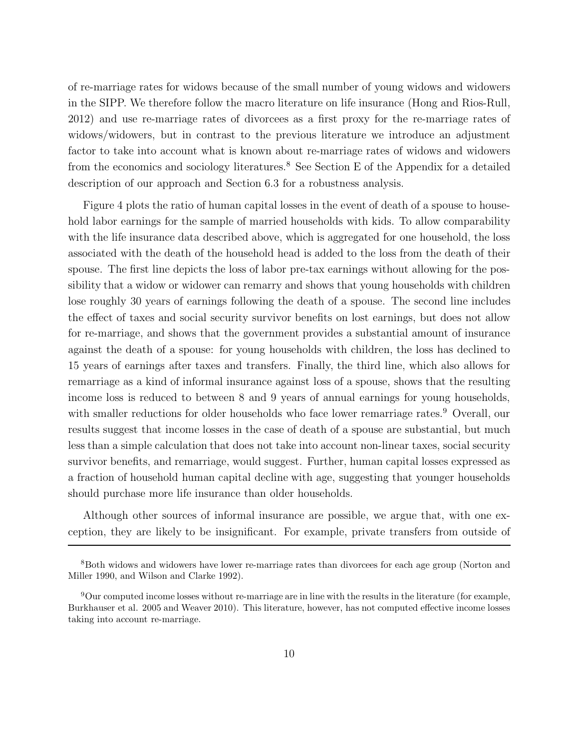of re-marriage rates for widows because of the small number of young widows and widowers in the SIPP. We therefore follow the macro literature on life insurance (Hong and Rios-Rull, 2012) and use re-marriage rates of divorcees as a first proxy for the re-marriage rates of widows/widowers, but in contrast to the previous literature we introduce an adjustment factor to take into account what is known about re-marriage rates of widows and widowers from the economics and sociology literatures.<sup>8</sup> See Section E of the Appendix for a detailed description of our approach and Section 6.3 for a robustness analysis.

Figure 4 plots the ratio of human capital losses in the event of death of a spouse to household labor earnings for the sample of married households with kids. To allow comparability with the life insurance data described above, which is aggregated for one household, the loss associated with the death of the household head is added to the loss from the death of their spouse. The first line depicts the loss of labor pre-tax earnings without allowing for the possibility that a widow or widower can remarry and shows that young households with children lose roughly 30 years of earnings following the death of a spouse. The second line includes the effect of taxes and social security survivor benefits on lost earnings, but does not allow for re-marriage, and shows that the government provides a substantial amount of insurance against the death of a spouse: for young households with children, the loss has declined to 15 years of earnings after taxes and transfers. Finally, the third line, which also allows for remarriage as a kind of informal insurance against loss of a spouse, shows that the resulting income loss is reduced to between 8 and 9 years of annual earnings for young households, with smaller reductions for older households who face lower remarriage rates.<sup>9</sup> Overall, our results suggest that income losses in the case of death of a spouse are substantial, but much less than a simple calculation that does not take into account non-linear taxes, social security survivor benefits, and remarriage, would suggest. Further, human capital losses expressed as a fraction of household human capital decline with age, suggesting that younger households should purchase more life insurance than older households.

Although other sources of informal insurance are possible, we argue that, with one exception, they are likely to be insignificant. For example, private transfers from outside of

<sup>&</sup>lt;sup>8</sup>Both widows and widowers have lower re-marriage rates than divorcees for each age group (Norton and Miller 1990, and Wilson and Clarke 1992).

<sup>9</sup>Our computed income losses without re-marriage are in line with the results in the literature (for example, Burkhauser et al. 2005 and Weaver 2010). This literature, however, has not computed effective income losses taking into account re-marriage.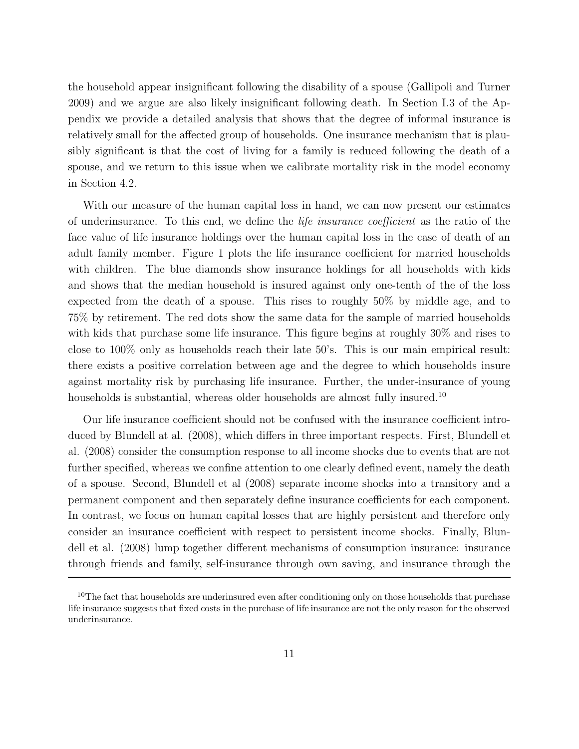the household appear insignificant following the disability of a spouse (Gallipoli and Turner 2009) and we argue are also likely insignificant following death. In Section I.3 of the Appendix we provide a detailed analysis that shows that the degree of informal insurance is relatively small for the affected group of households. One insurance mechanism that is plausibly significant is that the cost of living for a family is reduced following the death of a spouse, and we return to this issue when we calibrate mortality risk in the model economy in Section 4.2.

With our measure of the human capital loss in hand, we can now present our estimates of underinsurance. To this end, we define the *life insurance coefficient* as the ratio of the face value of life insurance holdings over the human capital loss in the case of death of an adult family member. Figure 1 plots the life insurance coefficient for married households with children. The blue diamonds show insurance holdings for all households with kids and shows that the median household is insured against only one-tenth of the of the loss expected from the death of a spouse. This rises to roughly 50% by middle age, and to 75% by retirement. The red dots show the same data for the sample of married households with kids that purchase some life insurance. This figure begins at roughly 30% and rises to close to 100% only as households reach their late 50's. This is our main empirical result: there exists a positive correlation between age and the degree to which households insure against mortality risk by purchasing life insurance. Further, the under-insurance of young households is substantial, whereas older households are almost fully insured.<sup>10</sup>

Our life insurance coefficient should not be confused with the insurance coefficient introduced by Blundell at al. (2008), which differs in three important respects. First, Blundell et al. (2008) consider the consumption response to all income shocks due to events that are not further specified, whereas we confine attention to one clearly defined event, namely the death of a spouse. Second, Blundell et al (2008) separate income shocks into a transitory and a permanent component and then separately define insurance coefficients for each component. In contrast, we focus on human capital losses that are highly persistent and therefore only consider an insurance coefficient with respect to persistent income shocks. Finally, Blundell et al. (2008) lump together different mechanisms of consumption insurance: insurance through friends and family, self-insurance through own saving, and insurance through the

 $10$ The fact that households are underinsured even after conditioning only on those households that purchase life insurance suggests that fixed costs in the purchase of life insurance are not the only reason for the observed underinsurance.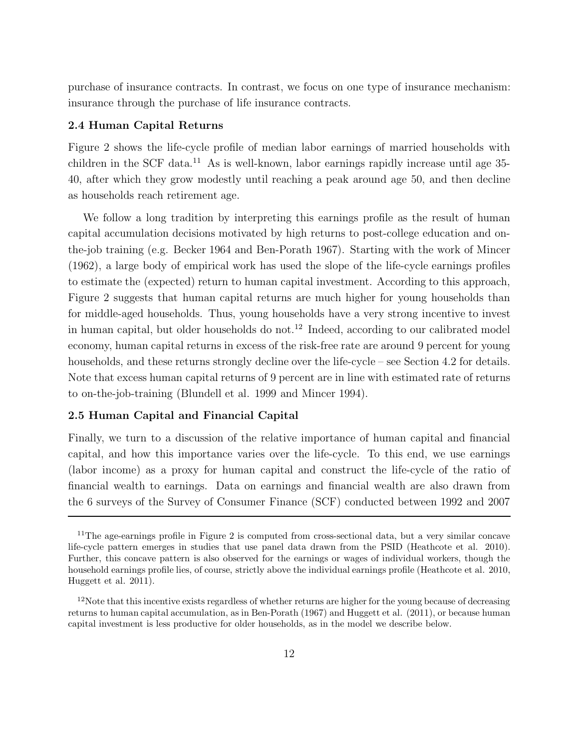purchase of insurance contracts. In contrast, we focus on one type of insurance mechanism: insurance through the purchase of life insurance contracts.

#### **2.4 Human Capital Returns**

Figure 2 shows the life-cycle profile of median labor earnings of married households with children in the SCF data.<sup>11</sup> As is well-known, labor earnings rapidly increase until age 35-40, after which they grow modestly until reaching a peak around age 50, and then decline as households reach retirement age.

We follow a long tradition by interpreting this earnings profile as the result of human capital accumulation decisions motivated by high returns to post-college education and onthe-job training (e.g. Becker 1964 and Ben-Porath 1967). Starting with the work of Mincer (1962), a large body of empirical work has used the slope of the life-cycle earnings profiles to estimate the (expected) return to human capital investment. According to this approach, Figure 2 suggests that human capital returns are much higher for young households than for middle-aged households. Thus, young households have a very strong incentive to invest in human capital, but older households do not.<sup>12</sup> Indeed, according to our calibrated model economy, human capital returns in excess of the risk-free rate are around 9 percent for young households, and these returns strongly decline over the life-cycle – see Section 4.2 for details. Note that excess human capital returns of 9 percent are in line with estimated rate of returns to on-the-job-training (Blundell et al. 1999 and Mincer 1994).

#### **2.5 Human Capital and Financial Capital**

Finally, we turn to a discussion of the relative importance of human capital and financial capital, and how this importance varies over the life-cycle. To this end, we use earnings (labor income) as a proxy for human capital and construct the life-cycle of the ratio of financial wealth to earnings. Data on earnings and financial wealth are also drawn from the 6 surveys of the Survey of Consumer Finance (SCF) conducted between 1992 and 2007

 $11$ The age-earnings profile in Figure 2 is computed from cross-sectional data, but a very similar concave life-cycle pattern emerges in studies that use panel data drawn from the PSID (Heathcote et al. 2010). Further, this concave pattern is also observed for the earnings or wages of individual workers, though the household earnings profile lies, of course, strictly above the individual earnings profile (Heathcote et al. 2010, Huggett et al. 2011).

 $12$ Note that this incentive exists regardless of whether returns are higher for the young because of decreasing returns to human capital accumulation, as in Ben-Porath (1967) and Huggett et al. (2011), or because human capital investment is less productive for older households, as in the model we describe below.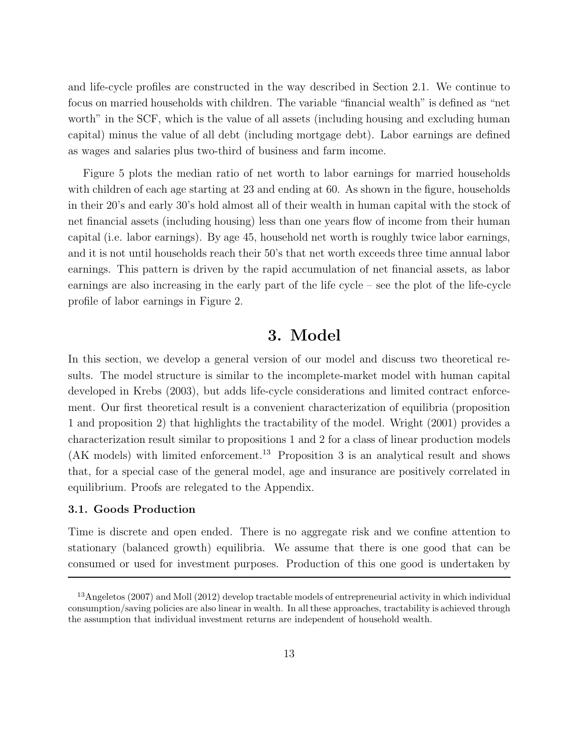and life-cycle profiles are constructed in the way described in Section 2.1. We continue to focus on married households with children. The variable "financial wealth" is defined as "net worth" in the SCF, which is the value of all assets (including housing and excluding human capital) minus the value of all debt (including mortgage debt). Labor earnings are defined as wages and salaries plus two-third of business and farm income.

Figure 5 plots the median ratio of net worth to labor earnings for married households with children of each age starting at 23 and ending at 60. As shown in the figure, households in their 20's and early 30's hold almost all of their wealth in human capital with the stock of net financial assets (including housing) less than one years flow of income from their human capital (i.e. labor earnings). By age 45, household net worth is roughly twice labor earnings, and it is not until households reach their 50's that net worth exceeds three time annual labor earnings. This pattern is driven by the rapid accumulation of net financial assets, as labor earnings are also increasing in the early part of the life cycle – see the plot of the life-cycle profile of labor earnings in Figure 2.

# **3. Model**

In this section, we develop a general version of our model and discuss two theoretical results. The model structure is similar to the incomplete-market model with human capital developed in Krebs (2003), but adds life-cycle considerations and limited contract enforcement. Our first theoretical result is a convenient characterization of equilibria (proposition 1 and proposition 2) that highlights the tractability of the model. Wright (2001) provides a characterization result similar to propositions 1 and 2 for a class of linear production models  $(AK \text{ models})$  with limited enforcement.<sup>13</sup> Proposition 3 is an analytical result and shows that, for a special case of the general model, age and insurance are positively correlated in equilibrium. Proofs are relegated to the Appendix.

#### **3.1. Goods Production**

Time is discrete and open ended. There is no aggregate risk and we confine attention to stationary (balanced growth) equilibria. We assume that there is one good that can be consumed or used for investment purposes. Production of this one good is undertaken by

<sup>13</sup>Angeletos (2007) and Moll (2012) develop tractable models of entrepreneurial activity in which individual consumption/saving policies are also linear in wealth. In all these approaches, tractability is achieved through the assumption that individual investment returns are independent of household wealth.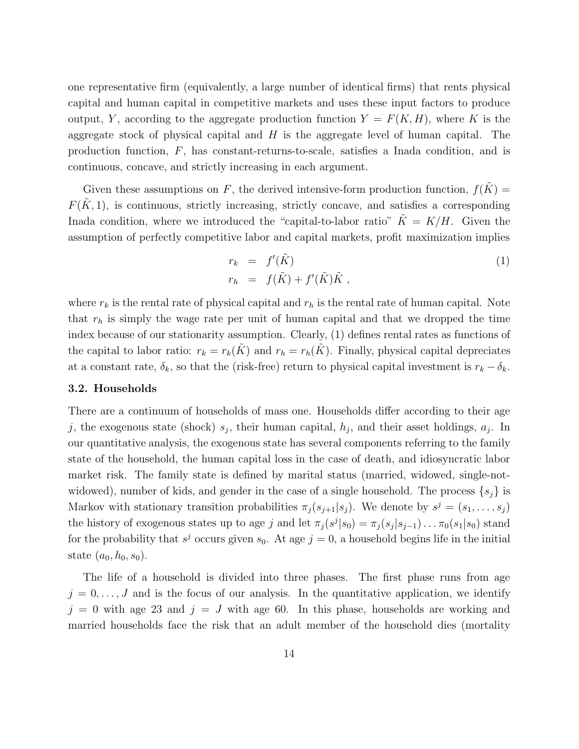one representative firm (equivalently, a large number of identical firms) that rents physical capital and human capital in competitive markets and uses these input factors to produce output, *Y*, according to the aggregate production function  $Y = F(K, H)$ , where *K* is the aggregate stock of physical capital and *H* is the aggregate level of human capital. The production function, *F*, has constant-returns-to-scale, satisfies a Inada condition, and is continuous, concave, and strictly increasing in each argument.

Given these assumptions on *F*, the derived intensive-form production function,  $f(\tilde{K}) =$  $F(K, 1)$ , is continuous, strictly increasing, strictly concave, and satisfies a corresponding Inada condition, where we introduced the "capital-to-labor ratio"  $\tilde{K} = K/H$ . Given the assumption of perfectly competitive labor and capital markets, profit maximization implies

$$
r_k = f'(\tilde{K})
$$
  
\n
$$
r_h = f(\tilde{K}) + f'(\tilde{K})\tilde{K},
$$
\n(1)

where  $r_k$  is the rental rate of physical capital and  $r_h$  is the rental rate of human capital. Note that  $r_h$  is simply the wage rate per unit of human capital and that we dropped the time index because of our stationarity assumption. Clearly, (1) defines rental rates as functions of the capital to labor ratio:  $r_k = r_k(\tilde{K})$  and  $r_h = r_h(\tilde{K})$ . Finally, physical capital depreciates at a constant rate,  $\delta_k$ , so that the (risk-free) return to physical capital investment is  $r_k - \delta_k$ .

#### **3.2. Households**

There are a continuum of households of mass one. Households differ according to their age *j*, the exogenous state (shock)  $s_j$ , their human capital,  $h_j$ , and their asset holdings,  $a_j$ . In our quantitative analysis, the exogenous state has several components referring to the family state of the household, the human capital loss in the case of death, and idiosyncratic labor market risk. The family state is defined by marital status (married, widowed, single-notwidowed), number of kids, and gender in the case of a single household. The process  $\{s_i\}$  is Markov with stationary transition probabilities  $\pi_j(s_{j+1}|s_j)$ . We denote by  $s^j = (s_1, \ldots, s_j)$ the history of exogenous states up to age *j* and let  $\pi_j(s^j | s_0) = \pi_j(s_j | s_{j-1}) \dots \pi_0(s_1 | s_0)$  stand for the probability that  $s^j$  occurs given  $s_0$ . At age  $j = 0$ , a household begins life in the initial state  $(a_0, h_0, s_0)$ .

The life of a household is divided into three phases. The first phase runs from age  $j = 0, \ldots, J$  and is the focus of our analysis. In the quantitative application, we identify  $j = 0$  with age 23 and  $j = J$  with age 60. In this phase, households are working and married households face the risk that an adult member of the household dies (mortality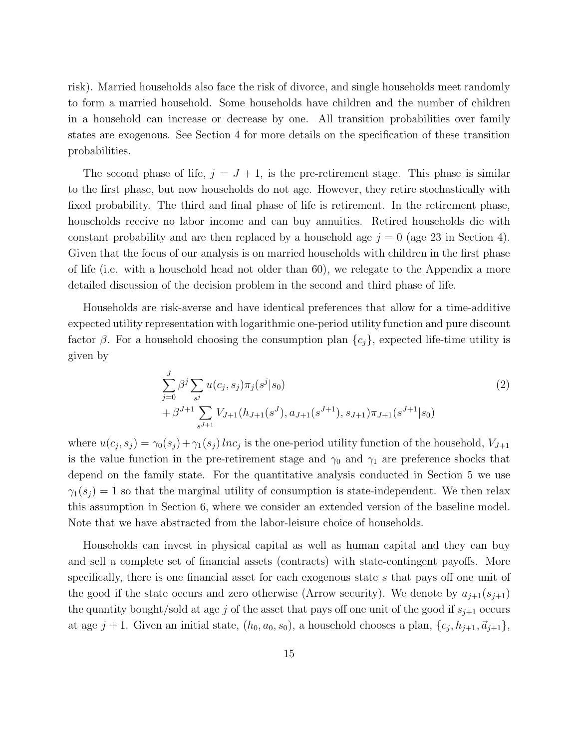risk). Married households also face the risk of divorce, and single households meet randomly to form a married household. Some households have children and the number of children in a household can increase or decrease by one. All transition probabilities over family states are exogenous. See Section 4 for more details on the specification of these transition probabilities.

The second phase of life,  $j = J + 1$ , is the pre-retirement stage. This phase is similar to the first phase, but now households do not age. However, they retire stochastically with fixed probability. The third and final phase of life is retirement. In the retirement phase, households receive no labor income and can buy annuities. Retired households die with constant probability and are then replaced by a household age  $j = 0$  (age 23 in Section 4). Given that the focus of our analysis is on married households with children in the first phase of life (i.e. with a household head not older than 60), we relegate to the Appendix a more detailed discussion of the decision problem in the second and third phase of life.

Households are risk-averse and have identical preferences that allow for a time-additive expected utility representation with logarithmic one-period utility function and pure discount factor  $\beta$ . For a household choosing the consumption plan  $\{c_j\}$ , expected life-time utility is given by

$$
\sum_{j=0}^{J} \beta^{j} \sum_{s^{j}} u(c_{j}, s_{j}) \pi_{j}(s^{j} | s_{0})
$$
\n
$$
+ \beta^{J+1} \sum_{s^{J+1}} V_{J+1}(h_{J+1}(s^{J}), a_{J+1}(s^{J+1}), s_{J+1}) \pi_{J+1}(s^{J+1} | s_{0})
$$
\n(2)

where  $u(c_j, s_j) = \gamma_0(s_j) + \gamma_1(s_j) ln c_j$  is the one-period utility function of the household,  $V_{J+1}$ is the value function in the pre-retirement stage and  $\gamma_0$  and  $\gamma_1$  are preference shocks that depend on the family state. For the quantitative analysis conducted in Section 5 we use  $\gamma_1(s_i) = 1$  so that the marginal utility of consumption is state-independent. We then relax this assumption in Section 6, where we consider an extended version of the baseline model. Note that we have abstracted from the labor-leisure choice of households.

Households can invest in physical capital as well as human capital and they can buy and sell a complete set of financial assets (contracts) with state-contingent payoffs. More specifically, there is one financial asset for each exogenous state *s* that pays off one unit of the good if the state occurs and zero otherwise (Arrow security). We denote by  $a_{j+1}(s_{j+1})$ the quantity bought/sold at age *j* of the asset that pays off one unit of the good if  $s_{j+1}$  occurs at age  $j + 1$ . Given an initial state,  $(h_0, a_0, s_0)$ , a household chooses a plan,  $\{c_j, h_{j+1}, \vec{a}_{j+1}\}$ ,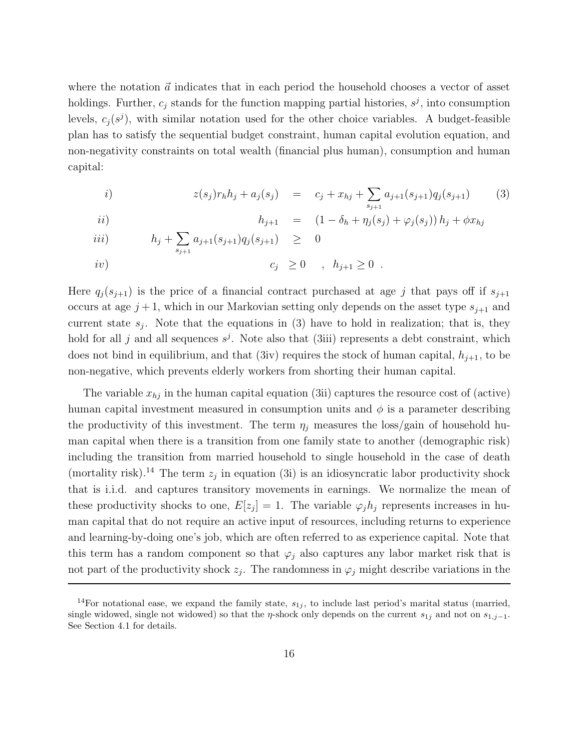where the notation  $\vec{a}$  indicates that in each period the household chooses a vector of asset holdings. Further,  $c_j$  stands for the function mapping partial histories,  $s^j$ , into consumption levels,  $c_j(s^j)$ , with similar notation used for the other choice variables. A budget-feasible plan has to satisfy the sequential budget constraint, human capital evolution equation, and non-negativity constraints on total wealth (financial plus human), consumption and human capital:

i) 
$$
z(s_j)r_hh_j + a_j(s_j) = c_j + x_{hj} + \sum_{s_{j+1}} a_{j+1}(s_{j+1})q_j(s_{j+1})
$$
 (3)

$$
h_{j+1} = (1 - \delta_h + \eta_j(s_j) + \varphi_j(s_j)) h_j + \phi x_{hj}
$$
  
iii) 
$$
h_j + \sum_{s_{j+1}} a_{j+1}(s_{j+1}) q_j(s_{j+1}) \geq 0
$$

*iv*)  $c_j \geq 0$ ,  $h_{j+1} \geq 0$ .

Here  $q_j(s_{j+1})$  is the price of a financial contract purchased at age *j* that pays off if  $s_{j+1}$ occurs at age  $j+1$ , which in our Markovian setting only depends on the asset type  $s_{j+1}$  and current state  $s_i$ . Note that the equations in (3) have to hold in realization; that is, they hold for all  $j$  and all sequences  $s^j$ . Note also that (3iii) represents a debt constraint, which does not bind in equilibrium, and that (3iv) requires the stock of human capital,  $h_{j+1}$ , to be non-negative, which prevents elderly workers from shorting their human capital.

The variable  $x_{hj}$  in the human capital equation (3ii) captures the resource cost of (active) human capital investment measured in consumption units and  $\phi$  is a parameter describing the productivity of this investment. The term  $\eta_j$  measures the loss/gain of household human capital when there is a transition from one family state to another (demographic risk) including the transition from married household to single household in the case of death (mortality risk).<sup>14</sup> The term  $z_j$  in equation (3i) is an idiosyncratic labor productivity shock that is i.i.d. and captures transitory movements in earnings. We normalize the mean of these productivity shocks to one,  $E[z_j] = 1$ . The variable  $\varphi_j h_j$  represents increases in human capital that do not require an active input of resources, including returns to experience and learning-by-doing one's job, which are often referred to as experience capital. Note that this term has a random component so that  $\varphi_j$  also captures any labor market risk that is not part of the productivity shock  $z_j$ . The randomness in  $\varphi_j$  might describe variations in the

<sup>&</sup>lt;sup>14</sup>For notational ease, we expand the family state,  $s_{1j}$ , to include last period's marital status (married, single widowed, single not widowed) so that the  $\eta$ -shock only depends on the current  $s_{1j}$  and not on  $s_{1,j-1}$ . See Section 4.1 for details.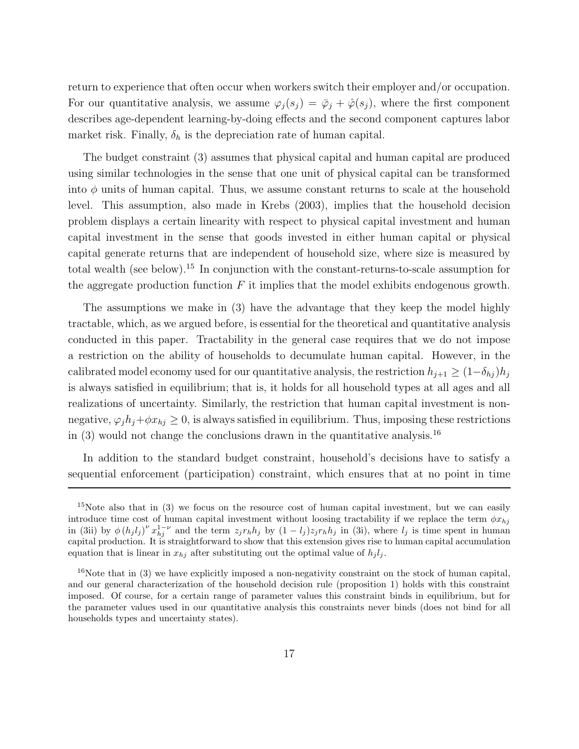return to experience that often occur when workers switch their employer and/or occupation. For our quantitative analysis, we assume  $\varphi_j(s_j) = \bar{\varphi}_j + \hat{\varphi}(s_j)$ , where the first component describes age-dependent learning-by-doing effects and the second component captures labor market risk. Finally,  $\delta_h$  is the depreciation rate of human capital.

The budget constraint (3) assumes that physical capital and human capital are produced using similar technologies in the sense that one unit of physical capital can be transformed into  $\phi$  units of human capital. Thus, we assume constant returns to scale at the household level. This assumption, also made in Krebs (2003), implies that the household decision problem displays a certain linearity with respect to physical capital investment and human capital investment in the sense that goods invested in either human capital or physical capital generate returns that are independent of household size, where size is measured by total wealth (see below).<sup>15</sup> In conjunction with the constant-returns-to-scale assumption for the aggregate production function *F* it implies that the model exhibits endogenous growth.

The assumptions we make in (3) have the advantage that they keep the model highly tractable, which, as we argued before, is essential for the theoretical and quantitative analysis conducted in this paper. Tractability in the general case requires that we do not impose a restriction on the ability of households to decumulate human capital. However, in the calibrated model economy used for our quantitative analysis, the restriction  $h_{j+1} \geq (1-\delta_{hj})h_j$ is always satisfied in equilibrium; that is, it holds for all household types at all ages and all realizations of uncertainty. Similarly, the restriction that human capital investment is nonnegative,  $\varphi_j h_j + \varphi x_{h_j} \geq 0$ , is always satisfied in equilibrium. Thus, imposing these restrictions in  $(3)$  would not change the conclusions drawn in the quantitative analysis.<sup>16</sup>

In addition to the standard budget constraint, household's decisions have to satisfy a sequential enforcement (participation) constraint, which ensures that at no point in time

<sup>&</sup>lt;sup>15</sup>Note also that in  $(3)$  we focus on the resource cost of human capital investment, but we can easily introduce time cost of human capital investment without loosing tractability if we replace the term  $\phi x_{hj}$ in (3ii) by  $\phi(h_j l_j)^{\nu} x_{h_j}^{1-\nu}$  and the term  $z_j r_h h_j$  by  $(1-l_j) z_j r_h h_j$  in (3i), where  $l_j$  is time spent in human capital production. It is straightforward to show that this extension gives rise to human capital accumulation equation that is linear in  $x_{hj}$  after substituting out the optimal value of  $h_j l_j$ .

 $16$ Note that in (3) we have explicitly imposed a non-negativity constraint on the stock of human capital, and our general characterization of the household decision rule (proposition 1) holds with this constraint imposed. Of course, for a certain range of parameter values this constraint binds in equilibrium, but for the parameter values used in our quantitative analysis this constraints never binds (does not bind for all households types and uncertainty states).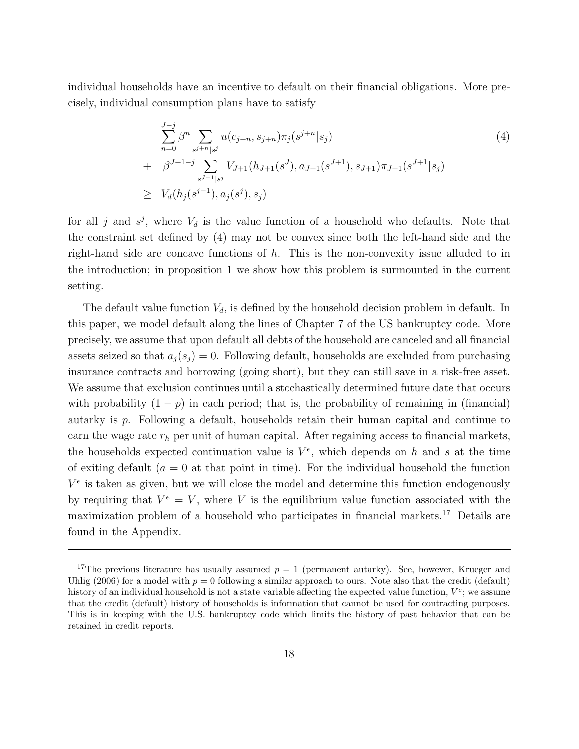individual households have an incentive to default on their financial obligations. More precisely, individual consumption plans have to satisfy

$$
\sum_{n=0}^{J-j} \beta^n \sum_{s^{j+n}|s^j} u(c_{j+n}, s_{j+n}) \pi_j(s^{j+n}|s_j)
$$
\n
$$
+ \beta^{J+1-j} \sum_{s^{J+1}|s^j} V_{J+1}(h_{J+1}(s^J), a_{J+1}(s^{J+1}), s_{J+1}) \pi_{J+1}(s^{J+1}|s_j)
$$
\n
$$
\geq V_d(h_j(s^{j-1}), a_j(s^j), s_j)
$$
\n(4)

for all *j* and  $s^j$ , where  $V_d$  is the value function of a household who defaults. Note that the constraint set defined by (4) may not be convex since both the left-hand side and the right-hand side are concave functions of *h*. This is the non-convexity issue alluded to in the introduction; in proposition 1 we show how this problem is surmounted in the current setting.

The default value function  $V_d$ , is defined by the household decision problem in default. In this paper, we model default along the lines of Chapter 7 of the US bankruptcy code. More precisely, we assume that upon default all debts of the household are canceled and all financial assets seized so that  $a_j(s_j) = 0$ . Following default, households are excluded from purchasing insurance contracts and borrowing (going short), but they can still save in a risk-free asset. We assume that exclusion continues until a stochastically determined future date that occurs with probability  $(1 - p)$  in each period; that is, the probability of remaining in (financial) autarky is *p*. Following a default, households retain their human capital and continue to earn the wage rate  $r_h$  per unit of human capital. After regaining access to financial markets, the households expected continuation value is  $V^e$ , which depends on *h* and *s* at the time of exiting default  $(a = 0$  at that point in time). For the individual household the function  $V<sup>e</sup>$  is taken as given, but we will close the model and determine this function endogenously by requiring that  $V^e = V$ , where *V* is the equilibrium value function associated with the maximization problem of a household who participates in financial markets.<sup>17</sup> Details are found in the Appendix.

<sup>&</sup>lt;sup>17</sup>The previous literature has usually assumed  $p = 1$  (permanent autarky). See, however, Krueger and Uhlig (2006) for a model with  $p = 0$  following a similar approach to ours. Note also that the credit (default) history of an individual household is not a state variable affecting the expected value function,  $V^e$ ; we assume that the credit (default) history of households is information that cannot be used for contracting purposes. This is in keeping with the U.S. bankruptcy code which limits the history of past behavior that can be retained in credit reports.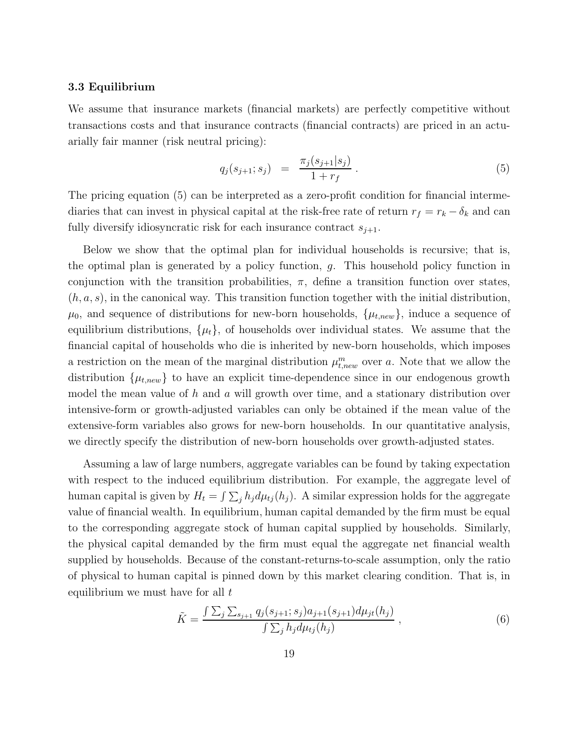#### **3.3 Equilibrium**

We assume that insurance markets (financial markets) are perfectly competitive without transactions costs and that insurance contracts (financial contracts) are priced in an actuarially fair manner (risk neutral pricing):

$$
q_j(s_{j+1}; s_j) = \frac{\pi_j(s_{j+1}|s_j)}{1 + r_f} \,. \tag{5}
$$

The pricing equation (5) can be interpreted as a zero-profit condition for financial intermediaries that can invest in physical capital at the risk-free rate of return  $r_f = r_k - \delta_k$  and can fully diversify idiosyncratic risk for each insurance contract  $s_{j+1}$ .

Below we show that the optimal plan for individual households is recursive; that is, the optimal plan is generated by a policy function, *g*. This household policy function in conjunction with the transition probabilities,  $\pi$ , define a transition function over states, (*h, a, s*), in the canonical way. This transition function together with the initial distribution,  $\mu_0$ , and sequence of distributions for new-born households,  $\{\mu_{t,new}\},$  induce a sequence of equilibrium distributions,  $\{\mu_t\}$ , of households over individual states. We assume that the financial capital of households who die is inherited by new-born households, which imposes a restriction on the mean of the marginal distribution  $\mu_{t,new}^m$  over *a*. Note that we allow the distribution  $\{\mu_{t,new}\}\$ to have an explicit time-dependence since in our endogenous growth model the mean value of *h* and *a* will growth over time, and a stationary distribution over intensive-form or growth-adjusted variables can only be obtained if the mean value of the extensive-form variables also grows for new-born households. In our quantitative analysis, we directly specify the distribution of new-born households over growth-adjusted states.

Assuming a law of large numbers, aggregate variables can be found by taking expectation with respect to the induced equilibrium distribution. For example, the aggregate level of human capital is given by  $H_t = \int \sum_j h_j d\mu_{tj}(h_j)$ . A similar expression holds for the aggregate value of financial wealth. In equilibrium, human capital demanded by the firm must be equal to the corresponding aggregate stock of human capital supplied by households. Similarly, the physical capital demanded by the firm must equal the aggregate net financial wealth supplied by households. Because of the constant-returns-to-scale assumption, only the ratio of physical to human capital is pinned down by this market clearing condition. That is, in equilibrium we must have for all *t*

$$
\tilde{K} = \frac{\int \sum_{j} \sum_{s_{j+1}} q_j(s_{j+1}; s_j) a_{j+1}(s_{j+1}) d\mu_{jt}(h_j)}{\int \sum_{j} h_j d\mu_{tj}(h_j)},
$$
\n(6)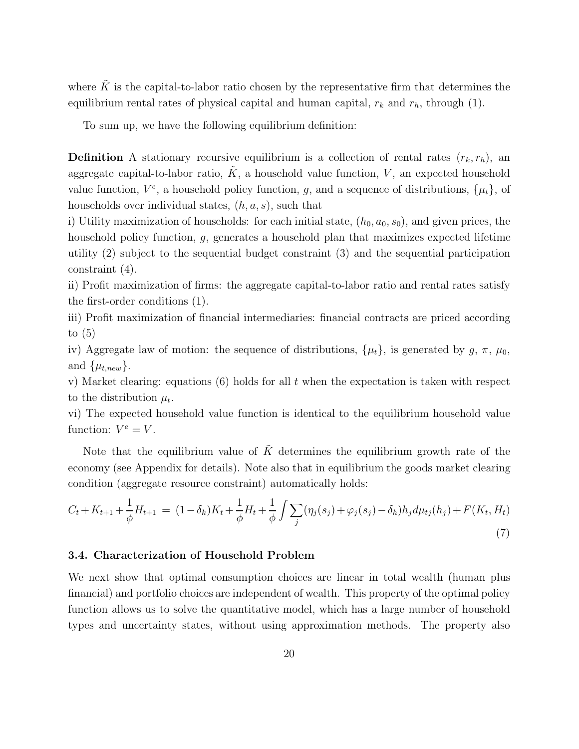where  $\tilde{K}$  is the capital-to-labor ratio chosen by the representative firm that determines the equilibrium rental rates of physical capital and human capital,  $r_k$  and  $r_h$ , through (1).

To sum up, we have the following equilibrium definition:

**Definition** A stationary recursive equilibrium is a collection of rental rates  $(r_k, r_h)$ , an aggregate capital-to-labor ratio,  $\tilde{K}$ , a household value function, *V*, an expected household value function,  $V^e$ , a household policy function, g, and a sequence of distributions,  $\{\mu_t\}$ , of households over individual states, (*h, a, s*), such that

i) Utility maximization of households: for each initial state,  $(h_0, a_0, s_0)$ , and given prices, the household policy function, *g*, generates a household plan that maximizes expected lifetime utility (2) subject to the sequential budget constraint (3) and the sequential participation constraint (4).

ii) Profit maximization of firms: the aggregate capital-to-labor ratio and rental rates satisfy the first-order conditions (1).

iii) Profit maximization of financial intermediaries: financial contracts are priced according to (5)

iv) Aggregate law of motion: the sequence of distributions,  $\{\mu_t\}$ , is generated by *g*,  $\pi$ ,  $\mu_0$ , and  $\{\mu_{t,new}\}.$ 

v) Market clearing: equations (6) holds for all *t* when the expectation is taken with respect to the distribution  $\mu_t$ .

vi) The expected household value function is identical to the equilibrium household value function:  $V^e = V$ .

Note that the equilibrium value of  $\tilde{K}$  determines the equilibrium growth rate of the economy (see Appendix for details). Note also that in equilibrium the goods market clearing condition (aggregate resource constraint) automatically holds:

$$
C_t + K_{t+1} + \frac{1}{\phi} H_{t+1} = (1 - \delta_k) K_t + \frac{1}{\phi} H_t + \frac{1}{\phi} \int \sum_j (\eta_j(s_j) + \varphi_j(s_j) - \delta_h) h_j d\mu_{tj}(h_j) + F(K_t, H_t)
$$
\n(7)

#### **3.4. Characterization of Household Problem**

We next show that optimal consumption choices are linear in total wealth (human plus financial) and portfolio choices are independent of wealth. This property of the optimal policy function allows us to solve the quantitative model, which has a large number of household types and uncertainty states, without using approximation methods. The property also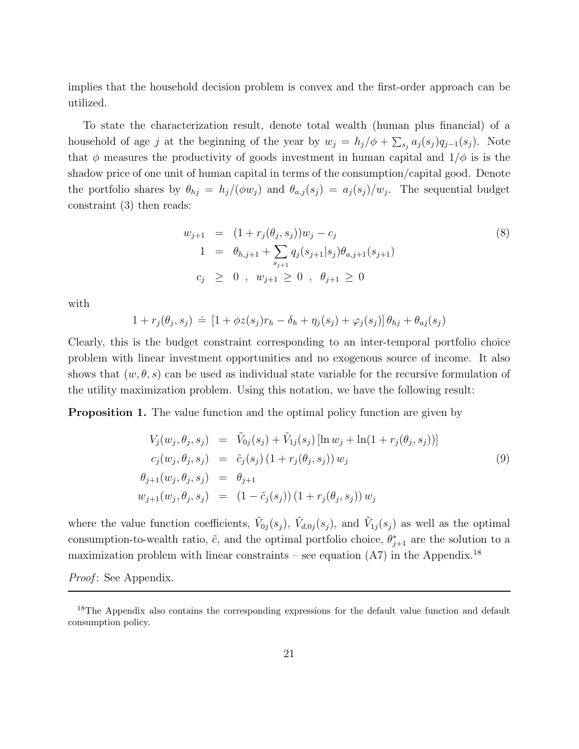implies that the household decision problem is convex and the first-order approach can be utilized.

To state the characterization result, denote total wealth (human plus financial) of a household of age *j* at the beginning of the year by  $w_j = h_j/\phi + \sum_{s_j} a_j(s_j)q_{j-1}(s_j)$ . Note that  $\phi$  measures the productivity of goods investment in human capital and  $1/\phi$  is is the shadow price of one unit of human capital in terms of the consumption/capital good. Denote the portfolio shares by  $\theta_{hj} = h_j/(\phi w_j)$  and  $\theta_{a,j}(s_j) = a_j(s_j)/w_j$ . The sequential budget constraint (3) then reads:

$$
w_{j+1} = (1 + r_j(\theta_j, s_j))w_j - c_j
$$
  
\n
$$
1 = \theta_{h,j+1} + \sum_{s_{j+1}} q_j(s_{j+1}|s_j)\theta_{a,j+1}(s_{j+1})
$$
  
\n
$$
c_j \geq 0, \quad w_{j+1} \geq 0, \quad \theta_{j+1} \geq 0
$$
\n
$$
(8)
$$

with

$$
1 + r_j(\theta_j, s_j) \doteq [1 + \phi z(s_j)r_h - \delta_h + \eta_j(s_j) + \varphi_j(s_j)]\theta_{hj} + \theta_{aj}(s_j)
$$

Clearly, this is the budget constraint corresponding to an inter-temporal portfolio choice problem with linear investment opportunities and no exogenous source of income. It also shows that  $(w, \theta, s)$  can be used as individual state variable for the recursive formulation of the utility maximization problem. Using this notation, we have the following result:

**Proposition 1.** The value function and the optimal policy function are given by

$$
V_j(w_j, \theta_j, s_j) = \tilde{V}_{0j}(s_j) + \tilde{V}_{1j}(s_j) [\ln w_j + \ln(1 + r_j(\theta_j, s_j))]
$$
  
\n
$$
c_j(w_j, \theta_j, s_j) = \tilde{c}_j(s_j) (1 + r_j(\theta_j, s_j)) w_j
$$
  
\n
$$
\theta_{j+1}(w_j, \theta_j, s_j) = \theta_{j+1}
$$
  
\n
$$
w_{j+1}(w_j, \theta_j, s_j) = (1 - \tilde{c}_j(s_j)) (1 + r_j(\theta_j, s_j)) w_j
$$
\n(9)

where the value function coefficients,  $V_{0j}(s_j)$ ,  $V_{d,0j}(s_j)$ , and  $V_{1j}(s_j)$  as well as the optimal consumption-to-wealth ratio,  $\tilde{c}$ , and the optimal portfolio choice,  $\theta_{j+1}^*$  are the solution to a maximization problem with linear constraints – see equation  $(A7)$  in the Appendix.<sup>18</sup>

*Proof*: See Appendix.

<sup>&</sup>lt;sup>18</sup>The Appendix also contains the corresponding expressions for the default value function and default consumption policy.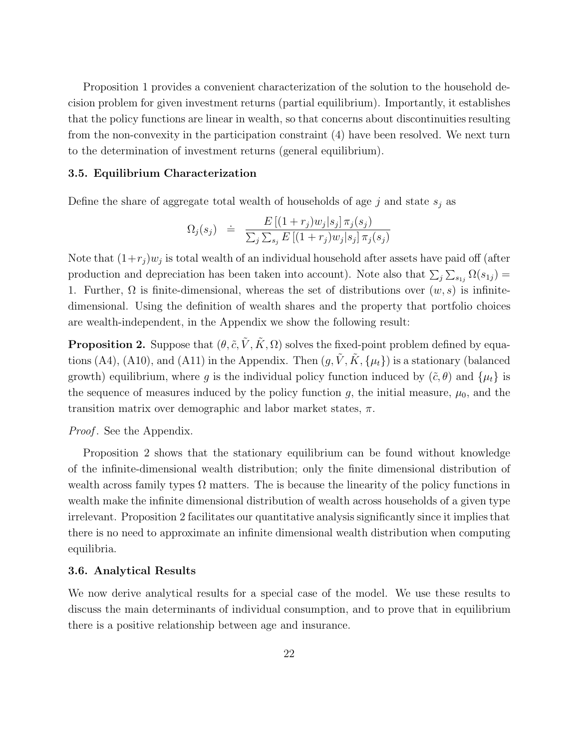Proposition 1 provides a convenient characterization of the solution to the household decision problem for given investment returns (partial equilibrium). Importantly, it establishes that the policy functions are linear in wealth, so that concerns about discontinuities resulting from the non-convexity in the participation constraint (4) have been resolved. We next turn to the determination of investment returns (general equilibrium).

#### **3.5. Equilibrium Characterization**

Define the share of aggregate total wealth of households of age  $j$  and state  $s_j$  as

$$
\Omega_j(s_j) \quad \doteq \quad \frac{E\left[(1+r_j)w_j|s_j\right]\pi_j(s_j)}{\sum_j \sum_{s_j} E\left[(1+r_j)w_j|s_j\right]\pi_j(s_j)}
$$

Note that  $(1+r_j)w_j$  is total wealth of an individual household after assets have paid off (after production and depreciation has been taken into account). Note also that  $\sum_j \sum_{s_{1j}} \Omega(s_{1j}) =$ 1. Further,  $\Omega$  is finite-dimensional, whereas the set of distributions over  $(w, s)$  is infinitedimensional. Using the definition of wealth shares and the property that portfolio choices are wealth-independent, in the Appendix we show the following result:

**Proposition 2.** Suppose that  $(\theta, \tilde{c}, \tilde{V}, \tilde{K}, \Omega)$  solves the fixed-point problem defined by equations (A4), (A10), and (A11) in the Appendix. Then  $(g, \tilde{V}, \tilde{K}, \{\mu_t\})$  is a stationary (balanced growth) equilibrium, where *g* is the individual policy function induced by  $(\tilde{c}, \theta)$  and  $\{\mu_t\}$  is the sequence of measures induced by the policy function  $g$ , the initial measure,  $\mu_0$ , and the transition matrix over demographic and labor market states, *π*.

*Proof.* See the Appendix.

Proposition 2 shows that the stationary equilibrium can be found without knowledge of the infinite-dimensional wealth distribution; only the finite dimensional distribution of wealth across family types  $\Omega$  matters. The is because the linearity of the policy functions in wealth make the infinite dimensional distribution of wealth across households of a given type irrelevant. Proposition 2 facilitates our quantitative analysis significantly since it implies that there is no need to approximate an infinite dimensional wealth distribution when computing equilibria.

#### **3.6. Analytical Results**

We now derive analytical results for a special case of the model. We use these results to discuss the main determinants of individual consumption, and to prove that in equilibrium there is a positive relationship between age and insurance.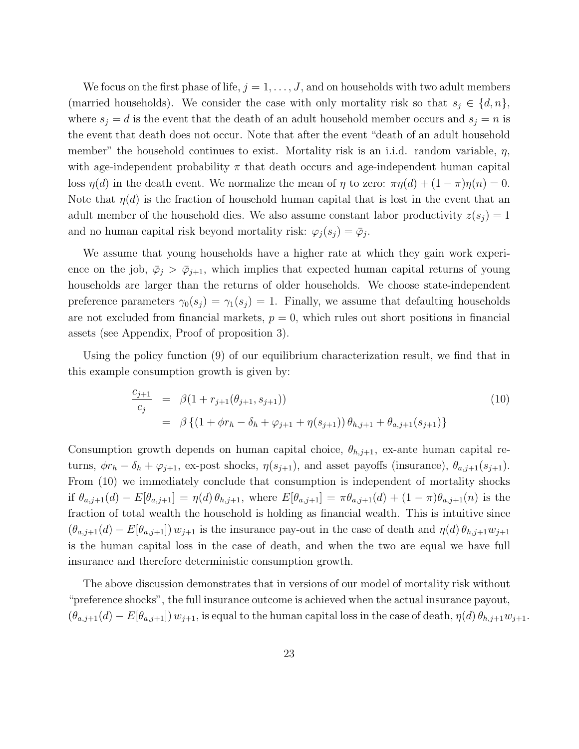We focus on the first phase of life,  $j = 1, \ldots, J$ , and on households with two adult members (married households). We consider the case with only mortality risk so that  $s_j \in \{d, n\}$ , where  $s_j = d$  is the event that the death of an adult household member occurs and  $s_j = n$  is the event that death does not occur. Note that after the event "death of an adult household member" the household continues to exist. Mortality risk is an i.i.d. random variable, *η*, with age-independent probability  $\pi$  that death occurs and age-independent human capital loss  $\eta(d)$  in the death event. We normalize the mean of  $\eta$  to zero:  $\pi \eta(d) + (1 - \pi)\eta(n) = 0$ . Note that  $\eta(d)$  is the fraction of household human capital that is lost in the event that an adult member of the household dies. We also assume constant labor productivity  $z(s_j) = 1$ and no human capital risk beyond mortality risk:  $\varphi_j(s_j) = \bar{\varphi}_j$ .

We assume that young households have a higher rate at which they gain work experience on the job,  $\bar{\varphi}_j > \bar{\varphi}_{j+1}$ , which implies that expected human capital returns of young households are larger than the returns of older households. We choose state-independent preference parameters  $\gamma_0(s_i) = \gamma_1(s_i) = 1$ . Finally, we assume that defaulting households are not excluded from financial markets,  $p = 0$ , which rules out short positions in financial assets (see Appendix, Proof of proposition 3).

Using the policy function (9) of our equilibrium characterization result, we find that in this example consumption growth is given by:

$$
\frac{c_{j+1}}{c_j} = \beta(1 + r_{j+1}(\theta_{j+1}, s_{j+1}))
$$
\n
$$
= \beta \{ (1 + \phi r_h - \delta_h + \varphi_{j+1} + \eta(s_{j+1})) \theta_{h,j+1} + \theta_{a,j+1}(s_{j+1}) \}
$$
\n(10)

Consumption growth depends on human capital choice,  $\theta_{h,j+1}$ , ex-ante human capital returns,  $\phi r_h - \delta_h + \varphi_{j+1}$ , ex-post shocks,  $\eta(s_{j+1})$ , and asset payoffs (insurance),  $\theta_{a,j+1}(s_{j+1})$ . From (10) we immediately conclude that consumption is independent of mortality shocks if  $\theta_{a,j+1}(d) - E[\theta_{a,j+1}] = \eta(d) \theta_{h,j+1}$ , where  $E[\theta_{a,j+1}] = \pi \theta_{a,j+1}(d) + (1 - \pi) \theta_{a,j+1}(n)$  is the fraction of total wealth the household is holding as financial wealth. This is intuitive since  $(\theta_{a,j+1}(d) - E[\theta_{a,j+1}]) w_{j+1}$  is the insurance pay-out in the case of death and  $\eta(d) \theta_{h,j+1} w_{j+1}$ is the human capital loss in the case of death, and when the two are equal we have full insurance and therefore deterministic consumption growth.

The above discussion demonstrates that in versions of our model of mortality risk without "preference shocks", the full insurance outcome is achieved when the actual insurance payout,  $(\theta_{a,j+1}(d) - E[\theta_{a,j+1}]) w_{j+1}$ , is equal to the human capital loss in the case of death,  $\eta(d) \theta_{h,j+1} w_{j+1}$ .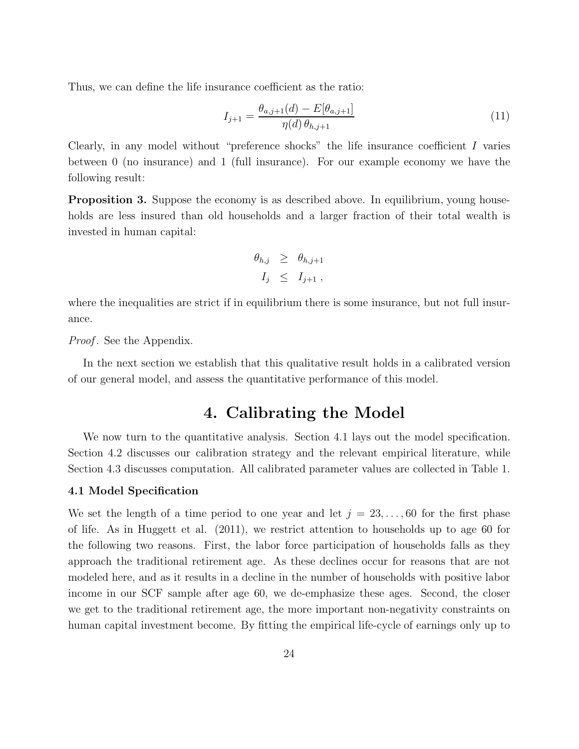Thus, we can define the life insurance coefficient as the ratio:

$$
I_{j+1} = \frac{\theta_{a,j+1}(d) - E[\theta_{a,j+1}]}{\eta(d)\,\theta_{h,j+1}}\tag{11}
$$

Clearly, in any model without "preference shocks" the life insurance coefficient *I* varies between 0 (no insurance) and 1 (full insurance). For our example economy we have the following result:

**Proposition 3.** Suppose the economy is as described above. In equilibrium, young households are less insured than old households and a larger fraction of their total wealth is invested in human capital:

$$
\begin{array}{rcl}\n\theta_{h,j} & \geq & \theta_{h,j+1} \\
I_j & \leq & I_{j+1}\n\end{array}
$$

where the inequalities are strict if in equilibrium there is some insurance, but not full insurance.

*Proof* . See the Appendix.

In the next section we establish that this qualitative result holds in a calibrated version of our general model, and assess the quantitative performance of this model.

# **4. Calibrating the Model**

We now turn to the quantitative analysis. Section 4.1 lays out the model specification. Section 4.2 discusses our calibration strategy and the relevant empirical literature, while Section 4.3 discusses computation. All calibrated parameter values are collected in Table 1.

#### **4.1 Model Specification**

We set the length of a time period to one year and let  $j = 23, \ldots, 60$  for the first phase of life. As in Huggett et al. (2011), we restrict attention to households up to age 60 for the following two reasons. First, the labor force participation of households falls as they approach the traditional retirement age. As these declines occur for reasons that are not modeled here, and as it results in a decline in the number of households with positive labor income in our SCF sample after age 60, we de-emphasize these ages. Second, the closer we get to the traditional retirement age, the more important non-negativity constraints on human capital investment become. By fitting the empirical life-cycle of earnings only up to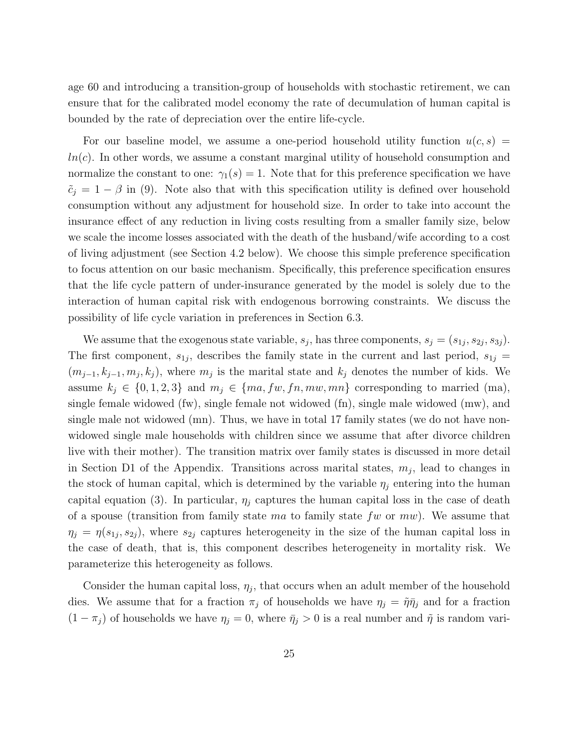age 60 and introducing a transition-group of households with stochastic retirement, we can ensure that for the calibrated model economy the rate of decumulation of human capital is bounded by the rate of depreciation over the entire life-cycle.

For our baseline model, we assume a one-period household utility function  $u(c, s)$  = *ln*(*c*). In other words, we assume a constant marginal utility of household consumption and normalize the constant to one:  $\gamma_1(s) = 1$ . Note that for this preference specification we have  $\tilde{c}_j = 1 - \beta$  in (9). Note also that with this specification utility is defined over household consumption without any adjustment for household size. In order to take into account the insurance effect of any reduction in living costs resulting from a smaller family size, below we scale the income losses associated with the death of the husband/wife according to a cost of living adjustment (see Section 4.2 below). We choose this simple preference specification to focus attention on our basic mechanism. Specifically, this preference specification ensures that the life cycle pattern of under-insurance generated by the model is solely due to the interaction of human capital risk with endogenous borrowing constraints. We discuss the possibility of life cycle variation in preferences in Section 6.3.

We assume that the exogenous state variable,  $s_j$ , has three components,  $s_j = (s_{1j}, s_{2j}, s_{3j})$ . The first component,  $s_{1j}$ , describes the family state in the current and last period,  $s_{1j}$  = (*m*j−1*, k*j−1*, m*j*, k*<sup>j</sup> ), where *m*<sup>j</sup> is the marital state and *k*<sup>j</sup> denotes the number of kids. We assume  $k_j \in \{0, 1, 2, 3\}$  and  $m_j \in \{ma, fw, fn, mw, mn\}$  corresponding to married (ma), single female widowed (fw), single female not widowed (fn), single male widowed (mw), and single male not widowed (mn). Thus, we have in total 17 family states (we do not have nonwidowed single male households with children since we assume that after divorce children live with their mother). The transition matrix over family states is discussed in more detail in Section D1 of the Appendix. Transitions across marital states,  $m_j$ , lead to changes in the stock of human capital, which is determined by the variable  $\eta_j$  entering into the human capital equation (3). In particular,  $\eta_j$  captures the human capital loss in the case of death of a spouse (transition from family state *ma* to family state *fw* or *mw*). We assume that  $\eta_j = \eta(s_{1j}, s_{2j})$ , where  $s_{2j}$  captures heterogeneity in the size of the human capital loss in the case of death, that is, this component describes heterogeneity in mortality risk. We parameterize this heterogeneity as follows.

Consider the human capital loss,  $\eta_j$ , that occurs when an adult member of the household dies. We assume that for a fraction  $\pi_j$  of households we have  $\eta_j = \tilde{\eta} \bar{\eta}_j$  and for a fraction  $(1 - \pi_j)$  of households we have  $\eta_j = 0$ , where  $\bar{\eta}_j > 0$  is a real number and  $\tilde{\eta}$  is random vari-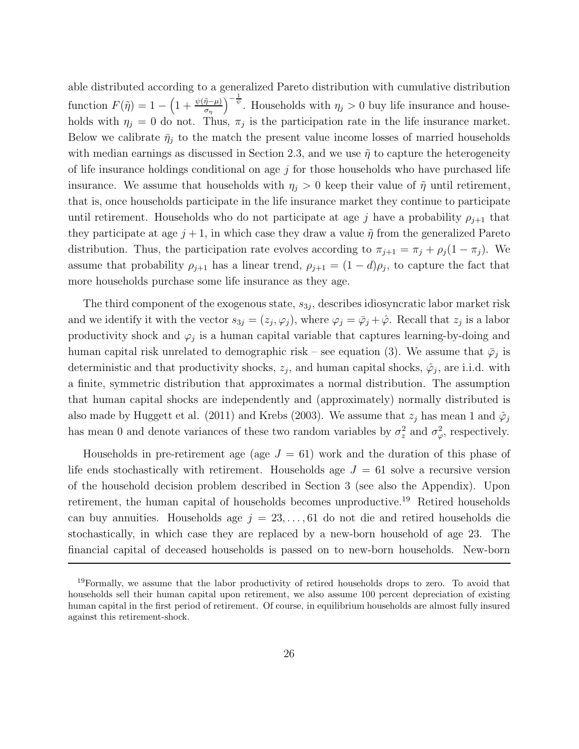able distributed according to a generalized Pareto distribution with cumulative distribution function  $F(\tilde{\eta}) = 1 - \left(1 + \frac{\psi(\tilde{\eta} - \mu)}{\sigma_{\eta}}\right)$  $\int_{0}^{-\frac{1}{\psi}}$ . Households with  $\eta_j > 0$  buy life insurance and households with  $\eta_j = 0$  do not. Thus,  $\pi_j$  is the participation rate in the life insurance market. Below we calibrate  $\bar{\eta}_j$  to the match the present value income losses of married households with median earnings as discussed in Section 2.3, and we use  $\tilde{\eta}$  to capture the heterogeneity of life insurance holdings conditional on age *j* for those households who have purchased life insurance. We assume that households with  $\eta_j > 0$  keep their value of  $\tilde{\eta}$  until retirement, that is, once households participate in the life insurance market they continue to participate until retirement. Households who do not participate at age *j* have a probability  $\rho_{j+1}$  that they participate at age  $j + 1$ , in which case they draw a value  $\tilde{\eta}$  from the generalized Pareto distribution. Thus, the participation rate evolves according to  $\pi_{i+1} = \pi_i + \rho_i (1 - \pi_i)$ . We assume that probability  $\rho_{j+1}$  has a linear trend,  $\rho_{j+1} = (1-d)\rho_j$ , to capture the fact that more households purchase some life insurance as they age.

The third component of the exogenous state,  $s_{3j}$ , describes idiosyncratic labor market risk and we identify it with the vector  $s_{3j} = (z_j, \varphi_j)$ , where  $\varphi_j = \bar{\varphi}_j + \hat{\varphi}$ . Recall that  $z_j$  is a labor productivity shock and  $\varphi_j$  is a human capital variable that captures learning-by-doing and human capital risk unrelated to demographic risk – see equation (3). We assume that  $\bar{\varphi}_j$  is deterministic and that productivity shocks,  $z_j$ , and human capital shocks,  $\hat{\varphi}_j$ , are i.i.d. with a finite, symmetric distribution that approximates a normal distribution. The assumption that human capital shocks are independently and (approximately) normally distributed is also made by Huggett et al. (2011) and Krebs (2003). We assume that  $z_j$  has mean 1 and  $\hat{\varphi}_j$ has mean 0 and denote variances of these two random variables by  $\sigma_z^2$  and  $\sigma_\varphi^2$ , respectively.

Households in pre-retirement age (age  $J = 61$ ) work and the duration of this phase of life ends stochastically with retirement. Households age  $J = 61$  solve a recursive version of the household decision problem described in Section 3 (see also the Appendix). Upon retirement, the human capital of households becomes unproductive.<sup>19</sup> Retired households can buy annuities. Households age  $j = 23, \ldots, 61$  do not die and retired households die stochastically, in which case they are replaced by a new-born household of age 23. The financial capital of deceased households is passed on to new-born households. New-born

 $19$ Formally, we assume that the labor productivity of retired households drops to zero. To avoid that households sell their human capital upon retirement, we also assume 100 percent depreciation of existing human capital in the first period of retirement. Of course, in equilibrium households are almost fully insured against this retirement-shock.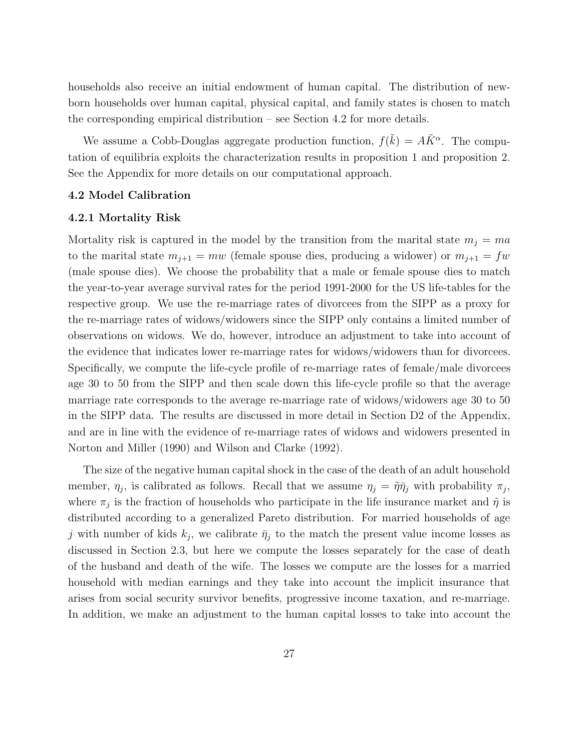households also receive an initial endowment of human capital. The distribution of newborn households over human capital, physical capital, and family states is chosen to match the corresponding empirical distribution – see Section 4.2 for more details.

We assume a Cobb-Douglas aggregate production function,  $f(\tilde{k}) = A\tilde{K}^{\alpha}$ . The computation of equilibria exploits the characterization results in proposition 1 and proposition 2. See the Appendix for more details on our computational approach.

#### **4.2 Model Calibration**

#### **4.2.1 Mortality Risk**

Mortality risk is captured in the model by the transition from the marital state  $m_j = ma$ to the marital state  $m_{j+1} = mw$  (female spouse dies, producing a widower) or  $m_{j+1} = fw$ (male spouse dies). We choose the probability that a male or female spouse dies to match the year-to-year average survival rates for the period 1991-2000 for the US life-tables for the respective group. We use the re-marriage rates of divorcees from the SIPP as a proxy for the re-marriage rates of widows/widowers since the SIPP only contains a limited number of observations on widows. We do, however, introduce an adjustment to take into account of the evidence that indicates lower re-marriage rates for widows/widowers than for divorcees. Specifically, we compute the life-cycle profile of re-marriage rates of female/male divorcees age 30 to 50 from the SIPP and then scale down this life-cycle profile so that the average marriage rate corresponds to the average re-marriage rate of widows/widowers age 30 to 50 in the SIPP data. The results are discussed in more detail in Section D2 of the Appendix, and are in line with the evidence of re-marriage rates of widows and widowers presented in Norton and Miller (1990) and Wilson and Clarke (1992).

The size of the negative human capital shock in the case of the death of an adult household member,  $\eta_j$ , is calibrated as follows. Recall that we assume  $\eta_j = \tilde{\eta} \bar{\eta}_j$  with probability  $\pi_j$ , where  $\pi_j$  is the fraction of households who participate in the life insurance market and  $\tilde{\eta}$  is distributed according to a generalized Pareto distribution. For married households of age *j* with number of kids  $k_j$ , we calibrate  $\bar{\eta}_j$  to the match the present value income losses as discussed in Section 2.3, but here we compute the losses separately for the case of death of the husband and death of the wife. The losses we compute are the losses for a married household with median earnings and they take into account the implicit insurance that arises from social security survivor benefits, progressive income taxation, and re-marriage. In addition, we make an adjustment to the human capital losses to take into account the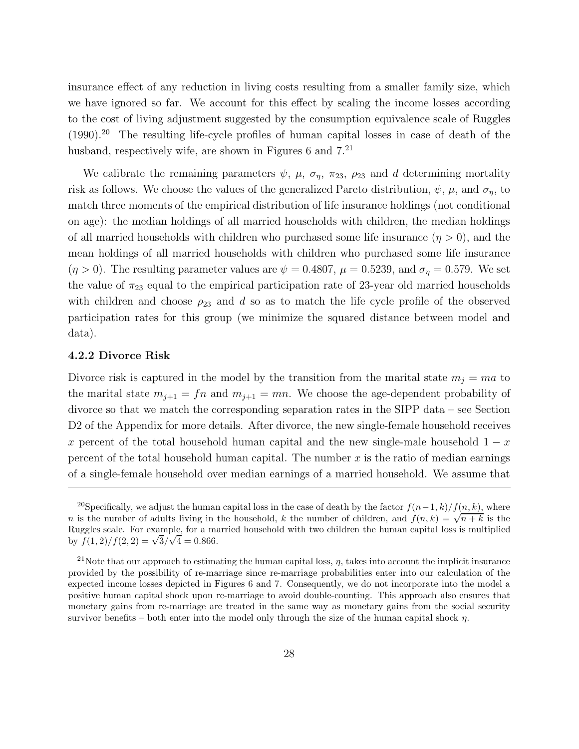insurance effect of any reduction in living costs resulting from a smaller family size, which we have ignored so far. We account for this effect by scaling the income losses according to the cost of living adjustment suggested by the consumption equivalence scale of Ruggles  $(1990).^{20}$  The resulting life-cycle profiles of human capital losses in case of death of the husband, respectively wife, are shown in Figures 6 and  $7.^{21}$ 

We calibrate the remaining parameters  $\psi$ ,  $\mu$ ,  $\sigma_{\eta}$ ,  $\pi_{23}$ ,  $\rho_{23}$  and *d* determining mortality risk as follows. We choose the values of the generalized Pareto distribution,  $\psi$ ,  $\mu$ , and  $\sigma$ <sub>n</sub>, to match three moments of the empirical distribution of life insurance holdings (not conditional on age): the median holdings of all married households with children, the median holdings of all married households with children who purchased some life insurance (*η >* 0), and the mean holdings of all married households with children who purchased some life insurance  $(\eta > 0)$ . The resulting parameter values are  $\psi = 0.4807$ ,  $\mu = 0.5239$ , and  $\sigma_{\eta} = 0.579$ . We set the value of  $\pi_{23}$  equal to the empirical participation rate of 23-year old married households with children and choose  $\rho_{23}$  and *d* so as to match the life cycle profile of the observed participation rates for this group (we minimize the squared distance between model and data).

#### **4.2.2 Divorce Risk**

Divorce risk is captured in the model by the transition from the marital state  $m_j = ma$  to the marital state  $m_{j+1} = fn$  and  $m_{j+1} = mn$ . We choose the age-dependent probability of divorce so that we match the corresponding separation rates in the SIPP data – see Section D2 of the Appendix for more details. After divorce, the new single-female household receives *x* percent of the total household human capital and the new single-male household  $1 - x$ percent of the total household human capital. The number *x* is the ratio of median earnings of a single-female household over median earnings of a married household. We assume that

<sup>&</sup>lt;sup>20</sup>Specifically, we adjust the human capital loss in the case of death by the factor  $f(n-1, k)/f(n, k)$ , where n is the number of adults living in the household, k the number of children, and  $f(n, k) = \sqrt{n+k}$  is the Ruggles scale. For example, for a married household with two children the human capital loss is multiplied Ruggles scale. For example, for a man by  $f(1, 2)/f(2, 2) = \sqrt{3}/\sqrt{4} = 0.866$ .

<sup>&</sup>lt;sup>21</sup>Note that our approach to estimating the human capital loss,  $\eta$ , takes into account the implicit insurance provided by the possibility of re-marriage since re-marriage probabilities enter into our calculation of the expected income losses depicted in Figures 6 and 7. Consequently, we do not incorporate into the model a positive human capital shock upon re-marriage to avoid double-counting. This approach also ensures that monetary gains from re-marriage are treated in the same way as monetary gains from the social security survivor benefits – both enter into the model only through the size of the human capital shock  $\eta$ .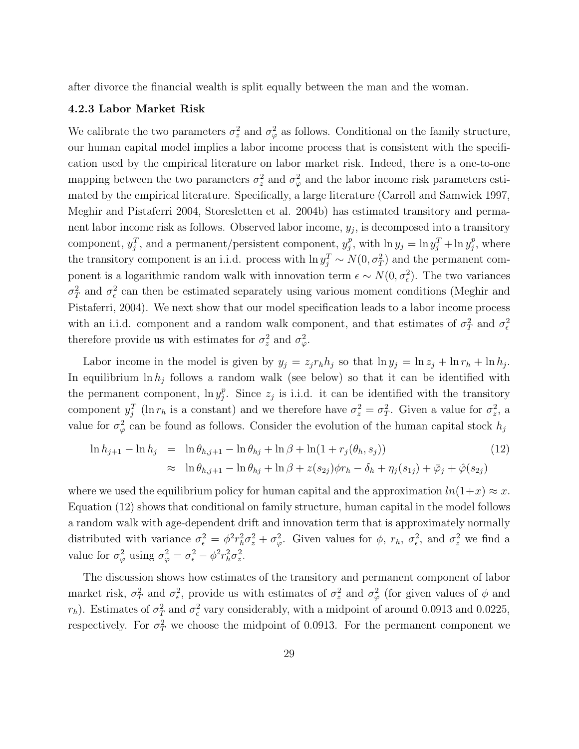after divorce the financial wealth is split equally between the man and the woman.

#### **4.2.3 Labor Market Risk**

We calibrate the two parameters  $\sigma_z^2$  and  $\sigma_{\varphi}^2$  as follows. Conditional on the family structure, our human capital model implies a labor income process that is consistent with the specification used by the empirical literature on labor market risk. Indeed, there is a one-to-one mapping between the two parameters  $\sigma_z^2$  and  $\sigma_\varphi^2$  and the labor income risk parameters estimated by the empirical literature. Specifically, a large literature (Carroll and Samwick 1997, Meghir and Pistaferri 2004, Storesletten et al. 2004b) has estimated transitory and permanent labor income risk as follows. Observed labor income,  $y_j$ , is decomposed into a transitory component,  $y_j^T$ , and a permanent/persistent component,  $y_j^p$ , with  $\ln y_j = \ln y_j^T + \ln y_j^p$ , where the transitory component is an i.i.d. process with  $\ln y_j^T \sim N(0, \sigma_T^2)$  and the permanent component is a logarithmic random walk with innovation term  $\epsilon \sim N(0, \sigma_{\epsilon}^2)$ . The two variances  $\sigma_T^2$  and  $\sigma_{\epsilon}^2$  can then be estimated separately using various moment conditions (Meghir and Pistaferri, 2004). We next show that our model specification leads to a labor income process with an i.i.d. component and a random walk component, and that estimates of  $\sigma_T^2$  and  $\sigma_{\epsilon}^2$ therefore provide us with estimates for  $\sigma_z^2$  and  $\sigma_\varphi^2$ .

Labor income in the model is given by  $y_j = z_j r_h h_j$  so that  $\ln y_j = \ln z_j + \ln r_h + \ln h_j$ . In equilibrium  $\ln h_j$  follows a random walk (see below) so that it can be identified with the permanent component,  $\ln y_j^p$ . Since  $z_j$  is i.i.d. it can be identified with the transitory component  $y_j^T$  (ln  $r_h$  is a constant) and we therefore have  $\sigma_z^2 = \sigma_T^2$ . Given a value for  $\sigma_z^2$ , a value for  $\sigma_{\varphi}^2$  can be found as follows. Consider the evolution of the human capital stock  $h_j$ 

$$
\ln h_{j+1} - \ln h_j = \ln \theta_{h,j+1} - \ln \theta_{hj} + \ln \beta + \ln(1 + r_j(\theta_h, s_j))
$$
\n
$$
\approx \ln \theta_{h,j+1} - \ln \theta_{hj} + \ln \beta + z(s_{2j})\phi r_h - \delta_h + \eta_j(s_{1j}) + \bar{\varphi}_j + \hat{\varphi}(s_{2j})
$$
\n(12)

where we used the equilibrium policy for human capital and the approximation  $ln(1+x) \approx x$ . Equation (12) shows that conditional on family structure, human capital in the model follows a random walk with age-dependent drift and innovation term that is approximately normally distributed with variance  $\sigma_{\epsilon}^2 = \phi^2 r_h^2 \sigma_z^2 + \sigma_{\varphi}^2$ . Given values for  $\phi$ ,  $r_h$ ,  $\sigma_{\epsilon}^2$ , and  $\sigma_z^2$  we find a value for  $\sigma_{\varphi}^2$  using  $\sigma_{\varphi}^2 = \sigma_{\epsilon}^2 - \phi^2 r_h^2 \sigma_z^2$ .

The discussion shows how estimates of the transitory and permanent component of labor market risk,  $\sigma_T^2$  and  $\sigma_\epsilon^2$ , provide us with estimates of  $\sigma_z^2$  and  $\sigma_\varphi^2$  (for given values of  $\phi$  and *r<sub>h</sub>*). Estimates of  $\sigma_T^2$  and  $\sigma_\epsilon^2$  vary considerably, with a midpoint of around 0.0913 and 0.0225, respectively. For  $\sigma_T^2$  we choose the midpoint of 0.0913. For the permanent component we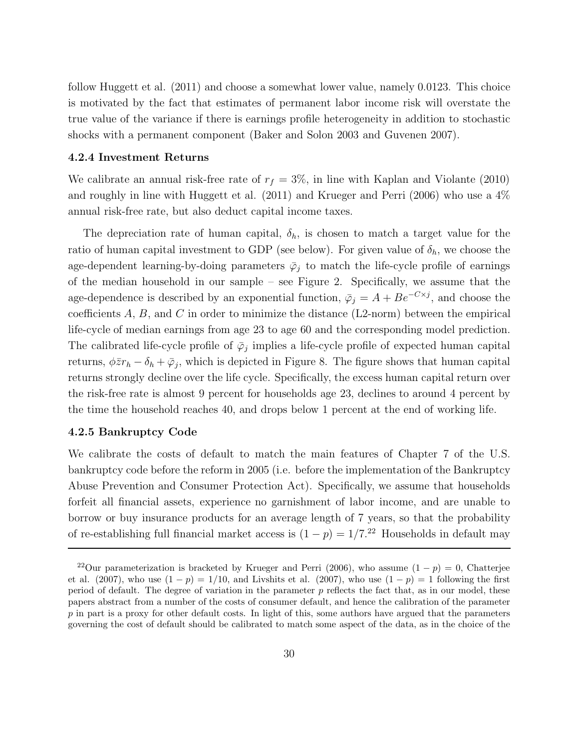follow Huggett et al. (2011) and choose a somewhat lower value, namely 0*.*0123. This choice is motivated by the fact that estimates of permanent labor income risk will overstate the true value of the variance if there is earnings profile heterogeneity in addition to stochastic shocks with a permanent component (Baker and Solon 2003 and Guvenen 2007).

#### **4.2.4 Investment Returns**

We calibrate an annual risk-free rate of  $r_f = 3\%$ , in line with Kaplan and Violante (2010) and roughly in line with Huggett et al. (2011) and Krueger and Perri (2006) who use a 4% annual risk-free rate, but also deduct capital income taxes.

The depreciation rate of human capital,  $\delta_h$ , is chosen to match a target value for the ratio of human capital investment to GDP (see below). For given value of  $\delta_h$ , we choose the age-dependent learning-by-doing parameters  $\bar{\varphi}_j$  to match the life-cycle profile of earnings of the median household in our sample – see Figure 2. Specifically, we assume that the age-dependence is described by an exponential function,  $\bar{\varphi}_j = A + Be^{-C \times j}$ , and choose the coefficients *A*, *B*, and *C* in order to minimize the distance (L2-norm) between the empirical life-cycle of median earnings from age 23 to age 60 and the corresponding model prediction. The calibrated life-cycle profile of  $\bar{\varphi}_j$  implies a life-cycle profile of expected human capital returns,  $\phi \bar{z}r_h - \delta_h + \bar{\varphi}_j$ , which is depicted in Figure 8. The figure shows that human capital returns strongly decline over the life cycle. Specifically, the excess human capital return over the risk-free rate is almost 9 percent for households age 23, declines to around 4 percent by the time the household reaches 40, and drops below 1 percent at the end of working life.

#### **4.2.5 Bankruptcy Code**

We calibrate the costs of default to match the main features of Chapter 7 of the U.S. bankruptcy code before the reform in 2005 (i.e. before the implementation of the Bankruptcy Abuse Prevention and Consumer Protection Act). Specifically, we assume that households forfeit all financial assets, experience no garnishment of labor income, and are unable to borrow or buy insurance products for an average length of 7 years, so that the probability of re-establishing full financial market access is  $(1 - p) = 1/7$ .<sup>22</sup> Households in default may

<sup>&</sup>lt;sup>22</sup>Our parameterization is bracketed by Krueger and Perri (2006), who assume  $(1 - p) = 0$ , Chatterjee et al. (2007), who use  $(1-p)=1/10$ , and Livshits et al. (2007), who use  $(1-p)=1$  following the first period of default. The degree of variation in the parameter  $p$  reflects the fact that, as in our model, these papers abstract from a number of the costs of consumer default, and hence the calibration of the parameter  $p$  in part is a proxy for other default costs. In light of this, some authors have argued that the parameters governing the cost of default should be calibrated to match some aspect of the data, as in the choice of the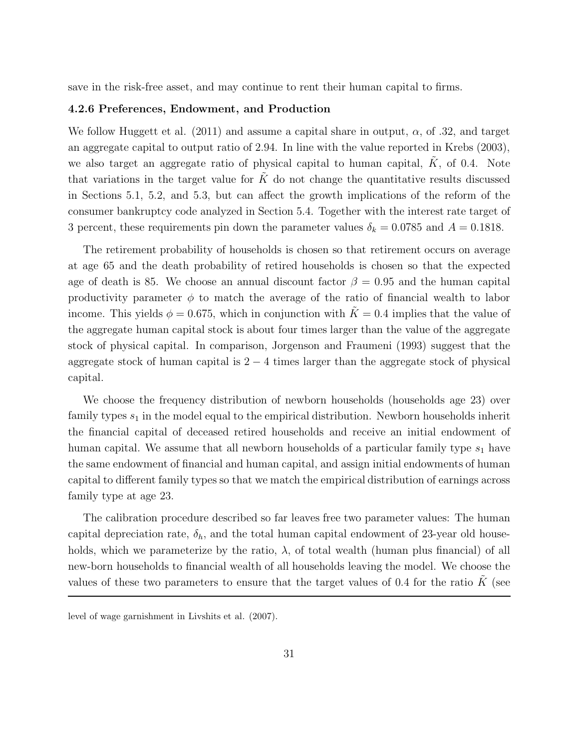save in the risk-free asset, and may continue to rent their human capital to firms.

#### **4.2.6 Preferences, Endowment, and Production**

We follow Huggett et al. (2011) and assume a capital share in output,  $\alpha$ , of *.*32, and target an aggregate capital to output ratio of 2*.*94. In line with the value reported in Krebs (2003), we also target an aggregate ratio of physical capital to human capital,  $\tilde{K}$ , of 0.4. Note that variations in the target value for  $\tilde{K}$  do not change the quantitative results discussed in Sections 5.1, 5.2, and 5.3, but can affect the growth implications of the reform of the consumer bankruptcy code analyzed in Section 5.4. Together with the interest rate target of 3 percent, these requirements pin down the parameter values  $\delta_k = 0.0785$  and  $A = 0.1818$ .

The retirement probability of households is chosen so that retirement occurs on average at age 65 and the death probability of retired households is chosen so that the expected age of death is 85. We choose an annual discount factor  $\beta = 0.95$  and the human capital productivity parameter  $\phi$  to match the average of the ratio of financial wealth to labor income. This yields  $\phi = 0.675$ , which in conjunction with  $\tilde{K} = 0.4$  implies that the value of the aggregate human capital stock is about four times larger than the value of the aggregate stock of physical capital. In comparison, Jorgenson and Fraumeni (1993) suggest that the aggregate stock of human capital is  $2 - 4$  times larger than the aggregate stock of physical capital.

We choose the frequency distribution of newborn households (households age 23) over family types  $s_1$  in the model equal to the empirical distribution. Newborn households inherit the financial capital of deceased retired households and receive an initial endowment of human capital. We assume that all newborn households of a particular family type  $s_1$  have the same endowment of financial and human capital, and assign initial endowments of human capital to different family types so that we match the empirical distribution of earnings across family type at age 23.

The calibration procedure described so far leaves free two parameter values: The human capital depreciation rate,  $\delta_h$ , and the total human capital endowment of 23-year old households, which we parameterize by the ratio,  $\lambda$ , of total wealth (human plus financial) of all new-born households to financial wealth of all households leaving the model. We choose the values of these two parameters to ensure that the target values of 0.4 for the ratio  $\tilde{K}$  (see

level of wage garnishment in Livshits et al. (2007).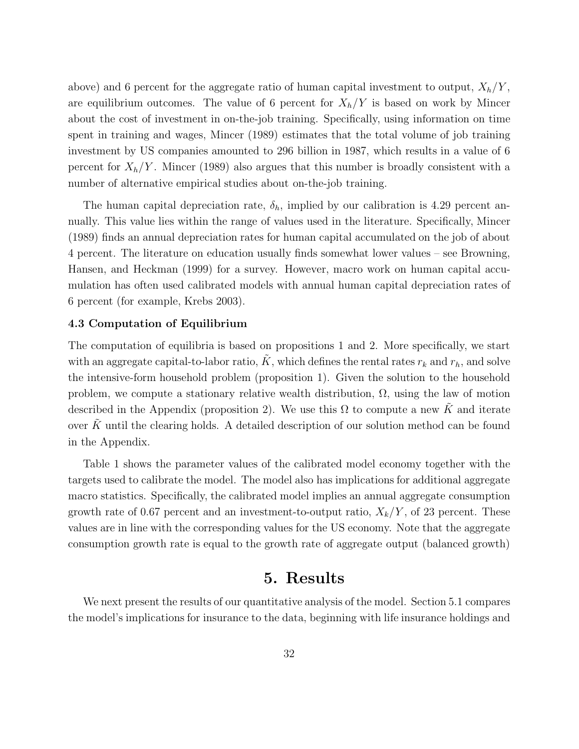above) and 6 percent for the aggregate ratio of human capital investment to output, *X*h*/Y* , are equilibrium outcomes. The value of 6 percent for  $X_h/Y$  is based on work by Mincer about the cost of investment in on-the-job training. Specifically, using information on time spent in training and wages, Mincer (1989) estimates that the total volume of job training investment by US companies amounted to 296 billion in 1987, which results in a value of 6 percent for  $X_h/Y$ . Mincer (1989) also argues that this number is broadly consistent with a number of alternative empirical studies about on-the-job training.

The human capital depreciation rate,  $\delta_h$ , implied by our calibration is 4.29 percent annually. This value lies within the range of values used in the literature. Specifically, Mincer (1989) finds an annual depreciation rates for human capital accumulated on the job of about 4 percent. The literature on education usually finds somewhat lower values – see Browning, Hansen, and Heckman (1999) for a survey. However, macro work on human capital accumulation has often used calibrated models with annual human capital depreciation rates of 6 percent (for example, Krebs 2003).

#### **4.3 Computation of Equilibrium**

The computation of equilibria is based on propositions 1 and 2. More specifically, we start with an aggregate capital-to-labor ratio,  $\tilde{K}$ , which defines the rental rates  $r_k$  and  $r_h$ , and solve the intensive-form household problem (proposition 1). Given the solution to the household problem, we compute a stationary relative wealth distribution,  $\Omega$ , using the law of motion described in the Appendix (proposition 2). We use this  $\Omega$  to compute a new  $\tilde{K}$  and iterate over  $\tilde{K}$  until the clearing holds. A detailed description of our solution method can be found in the Appendix.

Table 1 shows the parameter values of the calibrated model economy together with the targets used to calibrate the model. The model also has implications for additional aggregate macro statistics. Specifically, the calibrated model implies an annual aggregate consumption growth rate of 0.67 percent and an investment-to-output ratio,  $X_k/Y$ , of 23 percent. These values are in line with the corresponding values for the US economy. Note that the aggregate consumption growth rate is equal to the growth rate of aggregate output (balanced growth)

# **5. Results**

We next present the results of our quantitative analysis of the model. Section 5.1 compares the model's implications for insurance to the data, beginning with life insurance holdings and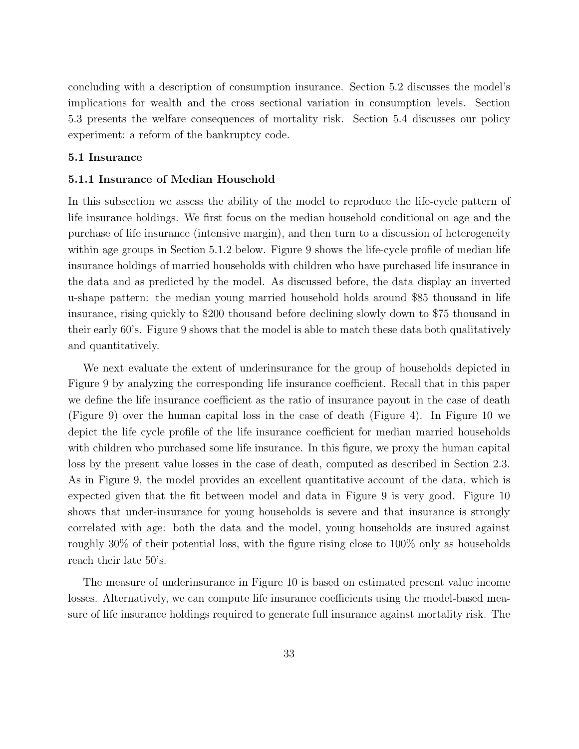concluding with a description of consumption insurance. Section 5.2 discusses the model's implications for wealth and the cross sectional variation in consumption levels. Section 5.3 presents the welfare consequences of mortality risk. Section 5.4 discusses our policy experiment: a reform of the bankruptcy code.

#### **5.1 Insurance**

#### **5.1.1 Insurance of Median Household**

In this subsection we assess the ability of the model to reproduce the life-cycle pattern of life insurance holdings. We first focus on the median household conditional on age and the purchase of life insurance (intensive margin), and then turn to a discussion of heterogeneity within age groups in Section 5.1.2 below. Figure 9 shows the life-cycle profile of median life insurance holdings of married households with children who have purchased life insurance in the data and as predicted by the model. As discussed before, the data display an inverted u-shape pattern: the median young married household holds around \$85 thousand in life insurance, rising quickly to \$200 thousand before declining slowly down to \$75 thousand in their early 60's. Figure 9 shows that the model is able to match these data both qualitatively and quantitatively.

We next evaluate the extent of underinsurance for the group of households depicted in Figure 9 by analyzing the corresponding life insurance coefficient. Recall that in this paper we define the life insurance coefficient as the ratio of insurance payout in the case of death (Figure 9) over the human capital loss in the case of death (Figure 4). In Figure 10 we depict the life cycle profile of the life insurance coefficient for median married households with children who purchased some life insurance. In this figure, we proxy the human capital loss by the present value losses in the case of death, computed as described in Section 2.3. As in Figure 9, the model provides an excellent quantitative account of the data, which is expected given that the fit between model and data in Figure 9 is very good. Figure 10 shows that under-insurance for young households is severe and that insurance is strongly correlated with age: both the data and the model, young households are insured against roughly 30% of their potential loss, with the figure rising close to 100% only as households reach their late 50's.

The measure of underinsurance in Figure 10 is based on estimated present value income losses. Alternatively, we can compute life insurance coefficients using the model-based measure of life insurance holdings required to generate full insurance against mortality risk. The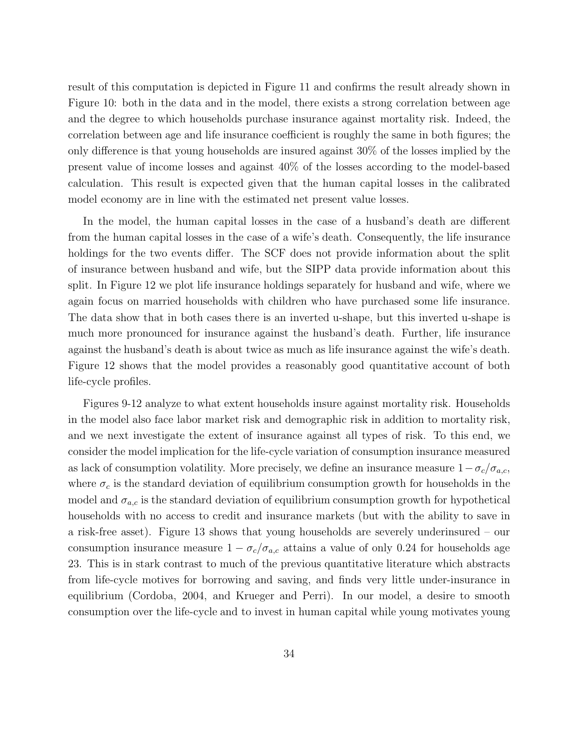result of this computation is depicted in Figure 11 and confirms the result already shown in Figure 10: both in the data and in the model, there exists a strong correlation between age and the degree to which households purchase insurance against mortality risk. Indeed, the correlation between age and life insurance coefficient is roughly the same in both figures; the only difference is that young households are insured against 30% of the losses implied by the present value of income losses and against 40% of the losses according to the model-based calculation. This result is expected given that the human capital losses in the calibrated model economy are in line with the estimated net present value losses.

In the model, the human capital losses in the case of a husband's death are different from the human capital losses in the case of a wife's death. Consequently, the life insurance holdings for the two events differ. The SCF does not provide information about the split of insurance between husband and wife, but the SIPP data provide information about this split. In Figure 12 we plot life insurance holdings separately for husband and wife, where we again focus on married households with children who have purchased some life insurance. The data show that in both cases there is an inverted u-shape, but this inverted u-shape is much more pronounced for insurance against the husband's death. Further, life insurance against the husband's death is about twice as much as life insurance against the wife's death. Figure 12 shows that the model provides a reasonably good quantitative account of both life-cycle profiles.

Figures 9-12 analyze to what extent households insure against mortality risk. Households in the model also face labor market risk and demographic risk in addition to mortality risk, and we next investigate the extent of insurance against all types of risk. To this end, we consider the model implication for the life-cycle variation of consumption insurance measured as lack of consumption volatility. More precisely, we define an insurance measure  $1-\sigma_c/\sigma_{a,c}$ , where  $\sigma_c$  is the standard deviation of equilibrium consumption growth for households in the model and  $\sigma_{a,c}$  is the standard deviation of equilibrium consumption growth for hypothetical households with no access to credit and insurance markets (but with the ability to save in a risk-free asset). Figure 13 shows that young households are severely underinsured – our consumption insurance measure  $1 - \sigma_c/\sigma_{a,c}$  attains a value of only 0.24 for households age 23. This is in stark contrast to much of the previous quantitative literature which abstracts from life-cycle motives for borrowing and saving, and finds very little under-insurance in equilibrium (Cordoba, 2004, and Krueger and Perri). In our model, a desire to smooth consumption over the life-cycle and to invest in human capital while young motivates young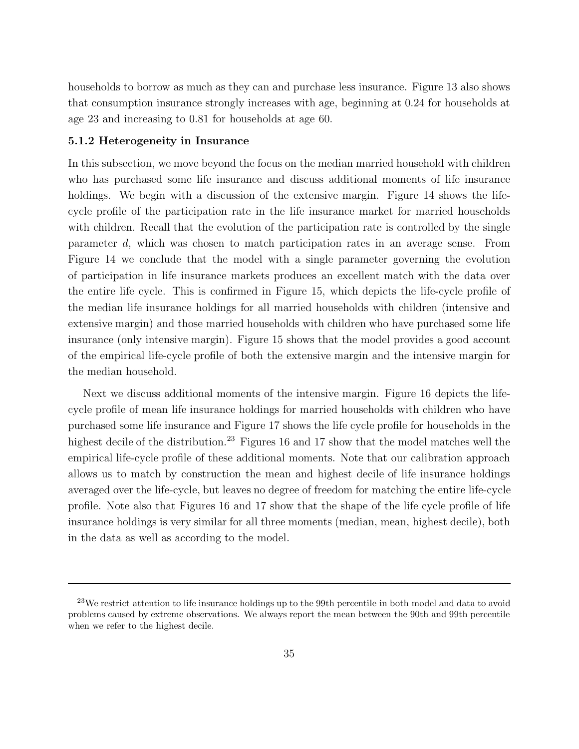households to borrow as much as they can and purchase less insurance. Figure 13 also shows that consumption insurance strongly increases with age, beginning at 0*.*24 for households at age 23 and increasing to 0*.*81 for households at age 60.

### **5.1.2 Heterogeneity in Insurance**

In this subsection, we move beyond the focus on the median married household with children who has purchased some life insurance and discuss additional moments of life insurance holdings. We begin with a discussion of the extensive margin. Figure 14 shows the lifecycle profile of the participation rate in the life insurance market for married households with children. Recall that the evolution of the participation rate is controlled by the single parameter *d*, which was chosen to match participation rates in an average sense. From Figure 14 we conclude that the model with a single parameter governing the evolution of participation in life insurance markets produces an excellent match with the data over the entire life cycle. This is confirmed in Figure 15, which depicts the life-cycle profile of the median life insurance holdings for all married households with children (intensive and extensive margin) and those married households with children who have purchased some life insurance (only intensive margin). Figure 15 shows that the model provides a good account of the empirical life-cycle profile of both the extensive margin and the intensive margin for the median household.

Next we discuss additional moments of the intensive margin. Figure 16 depicts the lifecycle profile of mean life insurance holdings for married households with children who have purchased some life insurance and Figure 17 shows the life cycle profile for households in the highest decile of the distribution.<sup>23</sup> Figures 16 and 17 show that the model matches well the empirical life-cycle profile of these additional moments. Note that our calibration approach allows us to match by construction the mean and highest decile of life insurance holdings averaged over the life-cycle, but leaves no degree of freedom for matching the entire life-cycle profile. Note also that Figures 16 and 17 show that the shape of the life cycle profile of life insurance holdings is very similar for all three moments (median, mean, highest decile), both in the data as well as according to the model.

<sup>23</sup>We restrict attention to life insurance holdings up to the 99th percentile in both model and data to avoid problems caused by extreme observations. We always report the mean between the 90th and 99th percentile when we refer to the highest decile.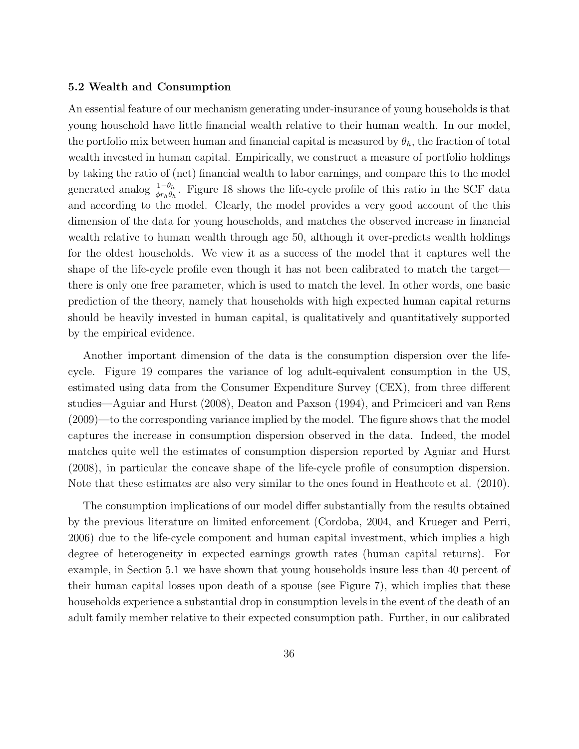#### **5.2 Wealth and Consumption**

An essential feature of our mechanism generating under-insurance of young households is that young household have little financial wealth relative to their human wealth. In our model, the portfolio mix between human and financial capital is measured by  $\theta_h$ , the fraction of total wealth invested in human capital. Empirically, we construct a measure of portfolio holdings by taking the ratio of (net) financial wealth to labor earnings, and compare this to the model generated analog  $\frac{1-\theta_h}{\phi r_h \theta_h}$ . Figure 18 shows the life-cycle profile of this ratio in the SCF data and according to the model. Clearly, the model provides a very good account of the this dimension of the data for young households, and matches the observed increase in financial wealth relative to human wealth through age 50, although it over-predicts wealth holdings for the oldest households. We view it as a success of the model that it captures well the shape of the life-cycle profile even though it has not been calibrated to match the target there is only one free parameter, which is used to match the level. In other words, one basic prediction of the theory, namely that households with high expected human capital returns should be heavily invested in human capital, is qualitatively and quantitatively supported by the empirical evidence.

Another important dimension of the data is the consumption dispersion over the lifecycle. Figure 19 compares the variance of log adult-equivalent consumption in the US, estimated using data from the Consumer Expenditure Survey (CEX), from three different studies—Aguiar and Hurst (2008), Deaton and Paxson (1994), and Primciceri and van Rens (2009)—to the corresponding variance implied by the model. The figure shows that the model captures the increase in consumption dispersion observed in the data. Indeed, the model matches quite well the estimates of consumption dispersion reported by Aguiar and Hurst (2008), in particular the concave shape of the life-cycle profile of consumption dispersion. Note that these estimates are also very similar to the ones found in Heathcote et al. (2010).

The consumption implications of our model differ substantially from the results obtained by the previous literature on limited enforcement (Cordoba, 2004, and Krueger and Perri, 2006) due to the life-cycle component and human capital investment, which implies a high degree of heterogeneity in expected earnings growth rates (human capital returns). For example, in Section 5.1 we have shown that young households insure less than 40 percent of their human capital losses upon death of a spouse (see Figure 7), which implies that these households experience a substantial drop in consumption levels in the event of the death of an adult family member relative to their expected consumption path. Further, in our calibrated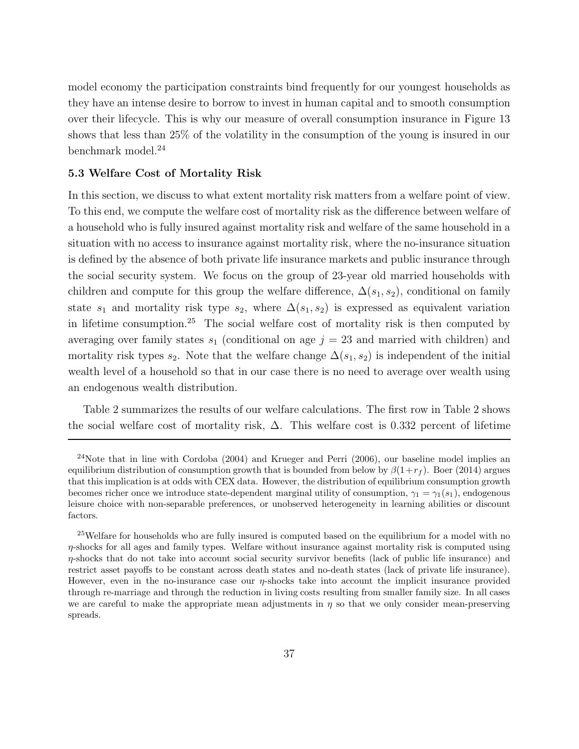model economy the participation constraints bind frequently for our youngest households as they have an intense desire to borrow to invest in human capital and to smooth consumption over their lifecycle. This is why our measure of overall consumption insurance in Figure 13 shows that less than 25% of the volatility in the consumption of the young is insured in our benchmark model.<sup>24</sup>

### **5.3 Welfare Cost of Mortality Risk**

In this section, we discuss to what extent mortality risk matters from a welfare point of view. To this end, we compute the welfare cost of mortality risk as the difference between welfare of a household who is fully insured against mortality risk and welfare of the same household in a situation with no access to insurance against mortality risk, where the no-insurance situation is defined by the absence of both private life insurance markets and public insurance through the social security system. We focus on the group of 23-year old married households with children and compute for this group the welfare difference,  $\Delta(s_1, s_2)$ , conditional on family state  $s_1$  and mortality risk type  $s_2$ , where  $\Delta(s_1, s_2)$  is expressed as equivalent variation in lifetime consumption.<sup>25</sup> The social welfare cost of mortality risk is then computed by averaging over family states  $s_1$  (conditional on age  $j = 23$  and married with children) and mortality risk types  $s_2$ . Note that the welfare change  $\Delta(s_1, s_2)$  is independent of the initial wealth level of a household so that in our case there is no need to average over wealth using an endogenous wealth distribution.

Table 2 summarizes the results of our welfare calculations. The first row in Table 2 shows the social welfare cost of mortality risk, ∆. This welfare cost is 0*.*332 percent of lifetime

<sup>&</sup>lt;sup>24</sup>Note that in line with Cordoba (2004) and Krueger and Perri (2006), our baseline model implies an equilibrium distribution of consumption growth that is bounded from below by  $\beta(1+r_f)$ . Boer (2014) argues that this implication is at odds with CEX data. However, the distribution of equilibrium consumption growth becomes richer once we introduce state-dependent marginal utility of consumption,  $\gamma_1 = \gamma_1(s_1)$ , endogenous leisure choice with non-separable preferences, or unobserved heterogeneity in learning abilities or discount factors.

<sup>&</sup>lt;sup>25</sup>Welfare for households who are fully insured is computed based on the equilibrium for a model with no  $\eta$ -shocks for all ages and family types. Welfare without insurance against mortality risk is computed using η-shocks that do not take into account social security survivor benefits (lack of public life insurance) and restrict asset payoffs to be constant across death states and no-death states (lack of private life insurance). However, even in the no-insurance case our  $\eta$ -shocks take into account the implicit insurance provided through re-marriage and through the reduction in living costs resulting from smaller family size. In all cases we are careful to make the appropriate mean adjustments in  $\eta$  so that we only consider mean-preserving spreads.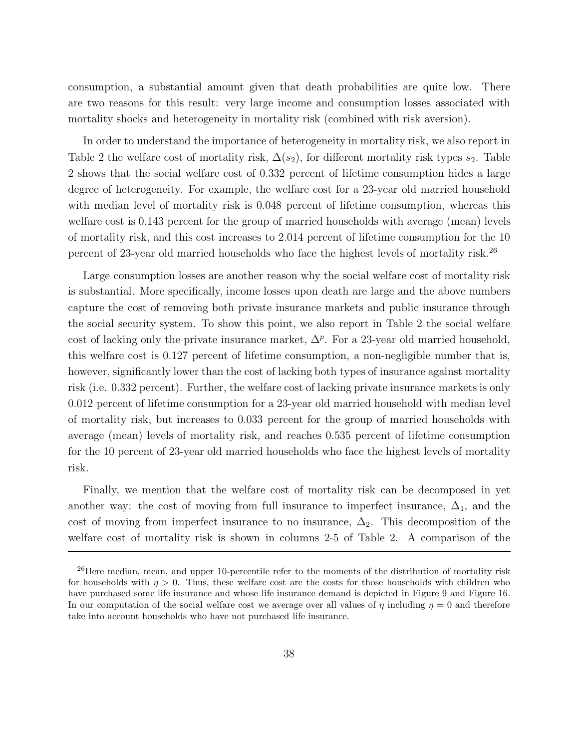consumption, a substantial amount given that death probabilities are quite low. There are two reasons for this result: very large income and consumption losses associated with mortality shocks and heterogeneity in mortality risk (combined with risk aversion).

In order to understand the importance of heterogeneity in mortality risk, we also report in Table 2 the welfare cost of mortality risk,  $\Delta(s_2)$ , for different mortality risk types  $s_2$ . Table 2 shows that the social welfare cost of 0*.*332 percent of lifetime consumption hides a large degree of heterogeneity. For example, the welfare cost for a 23-year old married household with median level of mortality risk is  $0.048$  percent of lifetime consumption, whereas this welfare cost is 0*.*143 percent for the group of married households with average (mean) levels of mortality risk, and this cost increases to 2*.*014 percent of lifetime consumption for the 10 percent of 23-year old married households who face the highest levels of mortality risk.<sup>26</sup>

Large consumption losses are another reason why the social welfare cost of mortality risk is substantial. More specifically, income losses upon death are large and the above numbers capture the cost of removing both private insurance markets and public insurance through the social security system. To show this point, we also report in Table 2 the social welfare cost of lacking only the private insurance market,  $\Delta^p$ . For a 23-year old married household, this welfare cost is 0*.*127 percent of lifetime consumption, a non-negligible number that is, however, significantly lower than the cost of lacking both types of insurance against mortality risk (i.e. 0*.*332 percent). Further, the welfare cost of lacking private insurance markets is only 0*.*012 percent of lifetime consumption for a 23-year old married household with median level of mortality risk, but increases to 0*.*033 percent for the group of married households with average (mean) levels of mortality risk, and reaches 0*.*535 percent of lifetime consumption for the 10 percent of 23-year old married households who face the highest levels of mortality risk.

Finally, we mention that the welfare cost of mortality risk can be decomposed in yet another way: the cost of moving from full insurance to imperfect insurance,  $\Delta_1$ , and the cost of moving from imperfect insurance to no insurance,  $\Delta_2$ . This decomposition of the welfare cost of mortality risk is shown in columns 2-5 of Table 2. A comparison of the

<sup>&</sup>lt;sup>26</sup>Here median, mean, and upper 10-percentile refer to the moments of the distribution of mortality risk for households with  $\eta > 0$ . Thus, these welfare cost are the costs for those households with children who have purchased some life insurance and whose life insurance demand is depicted in Figure 9 and Figure 16. In our computation of the social welfare cost we average over all values of  $\eta$  including  $\eta = 0$  and therefore take into account households who have not purchased life insurance.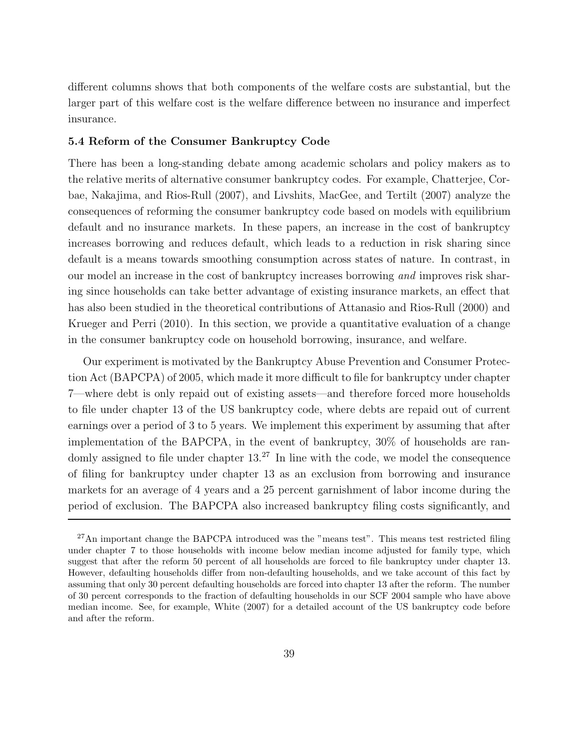different columns shows that both components of the welfare costs are substantial, but the larger part of this welfare cost is the welfare difference between no insurance and imperfect insurance.

### **5.4 Reform of the Consumer Bankruptcy Code**

There has been a long-standing debate among academic scholars and policy makers as to the relative merits of alternative consumer bankruptcy codes. For example, Chatterjee, Corbae, Nakajima, and Rios-Rull (2007), and Livshits, MacGee, and Tertilt (2007) analyze the consequences of reforming the consumer bankruptcy code based on models with equilibrium default and no insurance markets. In these papers, an increase in the cost of bankruptcy increases borrowing and reduces default, which leads to a reduction in risk sharing since default is a means towards smoothing consumption across states of nature. In contrast, in our model an increase in the cost of bankruptcy increases borrowing *and* improves risk sharing since households can take better advantage of existing insurance markets, an effect that has also been studied in the theoretical contributions of Attanasio and Rios-Rull (2000) and Krueger and Perri (2010). In this section, we provide a quantitative evaluation of a change in the consumer bankruptcy code on household borrowing, insurance, and welfare.

Our experiment is motivated by the Bankruptcy Abuse Prevention and Consumer Protection Act (BAPCPA) of 2005, which made it more difficult to file for bankruptcy under chapter 7—where debt is only repaid out of existing assets—and therefore forced more households to file under chapter 13 of the US bankruptcy code, where debts are repaid out of current earnings over a period of 3 to 5 years. We implement this experiment by assuming that after implementation of the BAPCPA, in the event of bankruptcy, 30% of households are randomly assigned to file under chapter  $13<sup>27</sup>$  In line with the code, we model the consequence of filing for bankruptcy under chapter 13 as an exclusion from borrowing and insurance markets for an average of 4 years and a 25 percent garnishment of labor income during the period of exclusion. The BAPCPA also increased bankruptcy filing costs significantly, and

<sup>&</sup>lt;sup>27</sup>An important change the BAPCPA introduced was the "means test". This means test restricted filing under chapter 7 to those households with income below median income adjusted for family type, which suggest that after the reform 50 percent of all households are forced to file bankruptcy under chapter 13. However, defaulting households differ from non-defaulting households, and we take account of this fact by assuming that only 30 percent defaulting households are forced into chapter 13 after the reform. The number of 30 percent corresponds to the fraction of defaulting households in our SCF 2004 sample who have above median income. See, for example, White (2007) for a detailed account of the US bankruptcy code before and after the reform.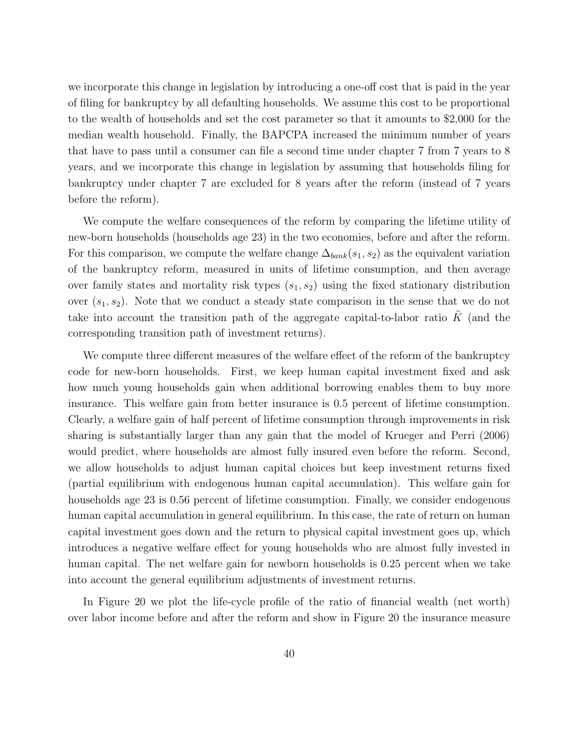we incorporate this change in legislation by introducing a one-off cost that is paid in the year of filing for bankruptcy by all defaulting households. We assume this cost to be proportional to the wealth of households and set the cost parameter so that it amounts to \$2,000 for the median wealth household. Finally, the BAPCPA increased the minimum number of years that have to pass until a consumer can file a second time under chapter 7 from 7 years to 8 years, and we incorporate this change in legislation by assuming that households filing for bankruptcy under chapter 7 are excluded for 8 years after the reform (instead of 7 years before the reform).

We compute the welfare consequences of the reform by comparing the lifetime utility of new-born households (households age 23) in the two economies, before and after the reform. For this comparison, we compute the welfare change  $\Delta_{bank}(s_1, s_2)$  as the equivalent variation of the bankruptcy reform, measured in units of lifetime consumption, and then average over family states and mortality risk types (*s*1*, s*2) using the fixed stationary distribution over (*s*1*, s*2). Note that we conduct a steady state comparison in the sense that we do not take into account the transition path of the aggregate capital-to-labor ratio  $\tilde{K}$  (and the corresponding transition path of investment returns).

We compute three different measures of the welfare effect of the reform of the bankruptcy code for new-born households. First, we keep human capital investment fixed and ask how much young households gain when additional borrowing enables them to buy more insurance. This welfare gain from better insurance is 0*.*5 percent of lifetime consumption. Clearly, a welfare gain of half percent of lifetime consumption through improvements in risk sharing is substantially larger than any gain that the model of Krueger and Perri (2006) would predict, where households are almost fully insured even before the reform. Second, we allow households to adjust human capital choices but keep investment returns fixed (partial equilibrium with endogenous human capital accumulation). This welfare gain for households age 23 is 0*.*56 percent of lifetime consumption. Finally, we consider endogenous human capital accumulation in general equilibrium. In this case, the rate of return on human capital investment goes down and the return to physical capital investment goes up, which introduces a negative welfare effect for young households who are almost fully invested in human capital. The net welfare gain for newborn households is 0*.*25 percent when we take into account the general equilibrium adjustments of investment returns.

In Figure 20 we plot the life-cycle profile of the ratio of financial wealth (net worth) over labor income before and after the reform and show in Figure 20 the insurance measure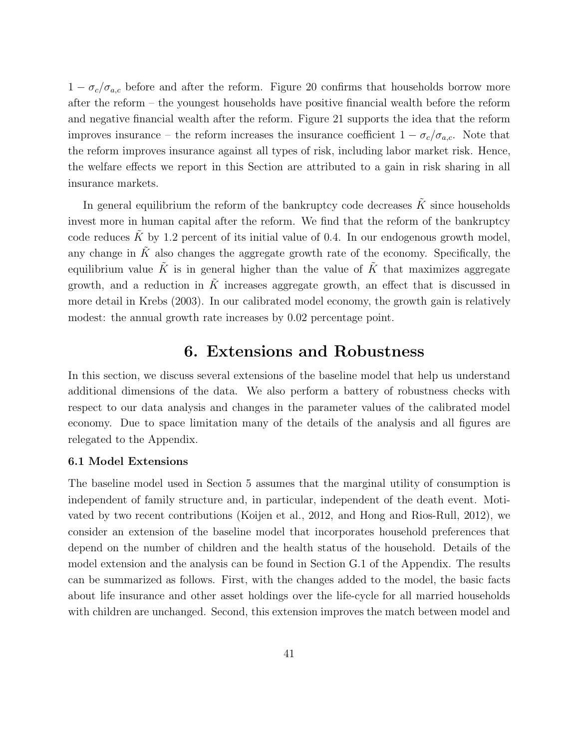$1 - \sigma_c/\sigma_{a,c}$  before and after the reform. Figure 20 confirms that households borrow more after the reform – the youngest households have positive financial wealth before the reform and negative financial wealth after the reform. Figure 21 supports the idea that the reform improves insurance – the reform increases the insurance coefficient  $1 - \sigma_c/\sigma_{a,c}$ . Note that the reform improves insurance against all types of risk, including labor market risk. Hence, the welfare effects we report in this Section are attributed to a gain in risk sharing in all insurance markets.

In general equilibrium the reform of the bankruptcy code decreases  $\tilde{K}$  since households invest more in human capital after the reform. We find that the reform of the bankruptcy code reduces *K*˜ by 1*.*2 percent of its initial value of 0*.*4. In our endogenous growth model, any change in  $\tilde{K}$  also changes the aggregate growth rate of the economy. Specifically, the equilibrium value  $\tilde{K}$  is in general higher than the value of  $\tilde{K}$  that maximizes aggregate growth, and a reduction in  $\tilde{K}$  increases aggregate growth, an effect that is discussed in more detail in Krebs (2003). In our calibrated model economy, the growth gain is relatively modest: the annual growth rate increases by  $0.02$  percentage point.

## **6. Extensions and Robustness**

In this section, we discuss several extensions of the baseline model that help us understand additional dimensions of the data. We also perform a battery of robustness checks with respect to our data analysis and changes in the parameter values of the calibrated model economy. Due to space limitation many of the details of the analysis and all figures are relegated to the Appendix.

### **6.1 Model Extensions**

The baseline model used in Section 5 assumes that the marginal utility of consumption is independent of family structure and, in particular, independent of the death event. Motivated by two recent contributions (Koijen et al., 2012, and Hong and Rios-Rull, 2012), we consider an extension of the baseline model that incorporates household preferences that depend on the number of children and the health status of the household. Details of the model extension and the analysis can be found in Section G.1 of the Appendix. The results can be summarized as follows. First, with the changes added to the model, the basic facts about life insurance and other asset holdings over the life-cycle for all married households with children are unchanged. Second, this extension improves the match between model and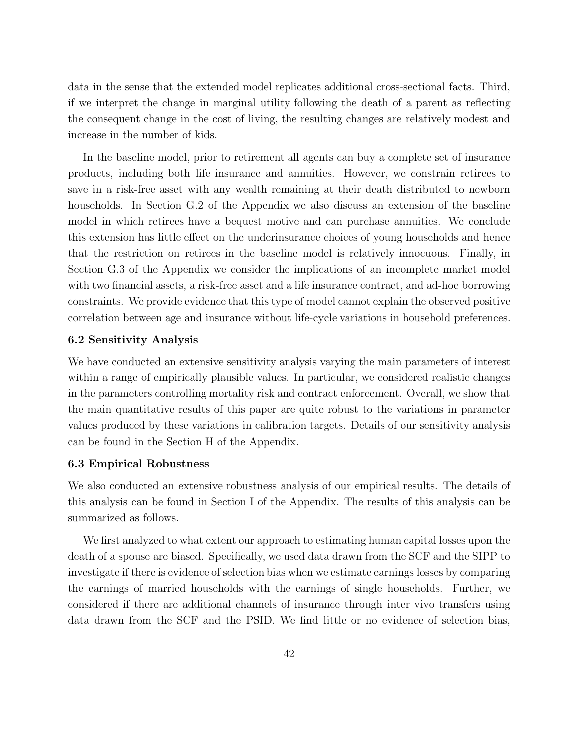data in the sense that the extended model replicates additional cross-sectional facts. Third, if we interpret the change in marginal utility following the death of a parent as reflecting the consequent change in the cost of living, the resulting changes are relatively modest and increase in the number of kids.

In the baseline model, prior to retirement all agents can buy a complete set of insurance products, including both life insurance and annuities. However, we constrain retirees to save in a risk-free asset with any wealth remaining at their death distributed to newborn households. In Section G.2 of the Appendix we also discuss an extension of the baseline model in which retirees have a bequest motive and can purchase annuities. We conclude this extension has little effect on the underinsurance choices of young households and hence that the restriction on retirees in the baseline model is relatively innocuous. Finally, in Section G.3 of the Appendix we consider the implications of an incomplete market model with two financial assets, a risk-free asset and a life insurance contract, and ad-hoc borrowing constraints. We provide evidence that this type of model cannot explain the observed positive correlation between age and insurance without life-cycle variations in household preferences.

### **6.2 Sensitivity Analysis**

We have conducted an extensive sensitivity analysis varying the main parameters of interest within a range of empirically plausible values. In particular, we considered realistic changes in the parameters controlling mortality risk and contract enforcement. Overall, we show that the main quantitative results of this paper are quite robust to the variations in parameter values produced by these variations in calibration targets. Details of our sensitivity analysis can be found in the Section H of the Appendix.

#### **6.3 Empirical Robustness**

We also conducted an extensive robustness analysis of our empirical results. The details of this analysis can be found in Section I of the Appendix. The results of this analysis can be summarized as follows.

We first analyzed to what extent our approach to estimating human capital losses upon the death of a spouse are biased. Specifically, we used data drawn from the SCF and the SIPP to investigate if there is evidence of selection bias when we estimate earnings losses by comparing the earnings of married households with the earnings of single households. Further, we considered if there are additional channels of insurance through inter vivo transfers using data drawn from the SCF and the PSID. We find little or no evidence of selection bias,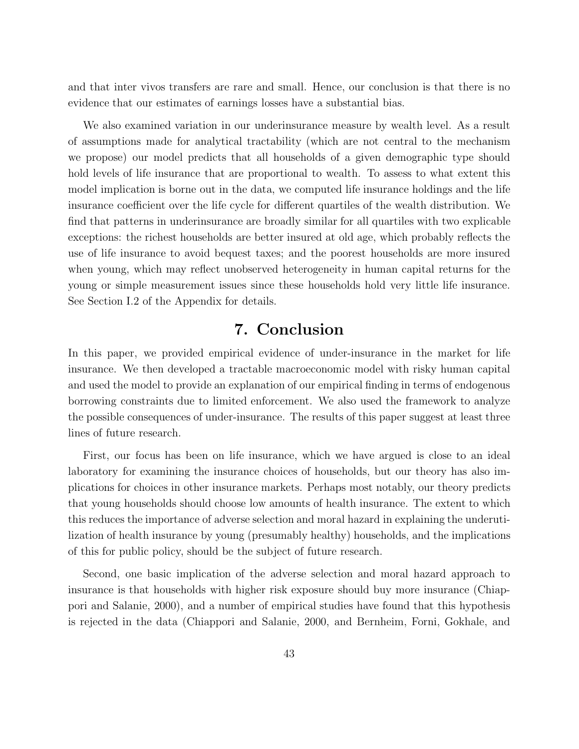and that inter vivos transfers are rare and small. Hence, our conclusion is that there is no evidence that our estimates of earnings losses have a substantial bias.

We also examined variation in our underinsurance measure by wealth level. As a result of assumptions made for analytical tractability (which are not central to the mechanism we propose) our model predicts that all households of a given demographic type should hold levels of life insurance that are proportional to wealth. To assess to what extent this model implication is borne out in the data, we computed life insurance holdings and the life insurance coefficient over the life cycle for different quartiles of the wealth distribution. We find that patterns in underinsurance are broadly similar for all quartiles with two explicable exceptions: the richest households are better insured at old age, which probably reflects the use of life insurance to avoid bequest taxes; and the poorest households are more insured when young, which may reflect unobserved heterogeneity in human capital returns for the young or simple measurement issues since these households hold very little life insurance. See Section I.2 of the Appendix for details.

# **7. Conclusion**

In this paper, we provided empirical evidence of under-insurance in the market for life insurance. We then developed a tractable macroeconomic model with risky human capital and used the model to provide an explanation of our empirical finding in terms of endogenous borrowing constraints due to limited enforcement. We also used the framework to analyze the possible consequences of under-insurance. The results of this paper suggest at least three lines of future research.

First, our focus has been on life insurance, which we have argued is close to an ideal laboratory for examining the insurance choices of households, but our theory has also implications for choices in other insurance markets. Perhaps most notably, our theory predicts that young households should choose low amounts of health insurance. The extent to which this reduces the importance of adverse selection and moral hazard in explaining the underutilization of health insurance by young (presumably healthy) households, and the implications of this for public policy, should be the subject of future research.

Second, one basic implication of the adverse selection and moral hazard approach to insurance is that households with higher risk exposure should buy more insurance (Chiappori and Salanie, 2000), and a number of empirical studies have found that this hypothesis is rejected in the data (Chiappori and Salanie, 2000, and Bernheim, Forni, Gokhale, and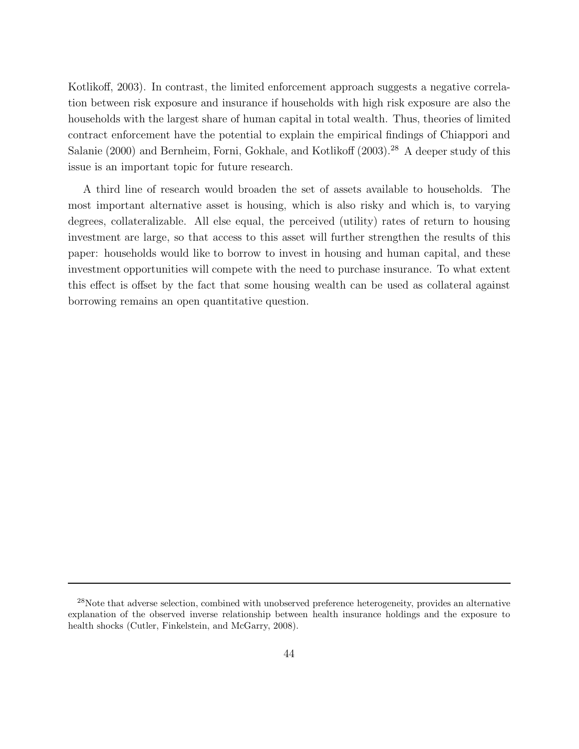Kotlikoff, 2003). In contrast, the limited enforcement approach suggests a negative correlation between risk exposure and insurance if households with high risk exposure are also the households with the largest share of human capital in total wealth. Thus, theories of limited contract enforcement have the potential to explain the empirical findings of Chiappori and Salanie (2000) and Bernheim, Forni, Gokhale, and Kotlikoff (2003).<sup>28</sup> A deeper study of this issue is an important topic for future research.

A third line of research would broaden the set of assets available to households. The most important alternative asset is housing, which is also risky and which is, to varying degrees, collateralizable. All else equal, the perceived (utility) rates of return to housing investment are large, so that access to this asset will further strengthen the results of this paper: households would like to borrow to invest in housing and human capital, and these investment opportunities will compete with the need to purchase insurance. To what extent this effect is offset by the fact that some housing wealth can be used as collateral against borrowing remains an open quantitative question.

<sup>28</sup>Note that adverse selection, combined with unobserved preference heterogeneity, provides an alternative explanation of the observed inverse relationship between health insurance holdings and the exposure to health shocks (Cutler, Finkelstein, and McGarry, 2008).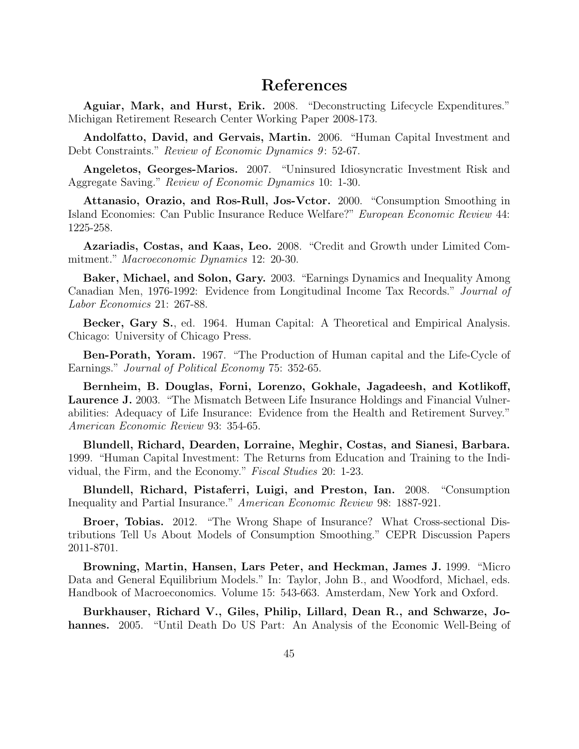## **References**

**Aguiar, Mark, and Hurst, Erik.** 2008. "Deconstructing Lifecycle Expenditures." Michigan Retirement Research Center Working Paper 2008-173.

**Andolfatto, David, and Gervais, Martin.** 2006. "Human Capital Investment and Debt Constraints." *Review of Economic Dynamics 9* : 52-67.

**Angeletos, Georges-Marios.** 2007. "Uninsured Idiosyncratic Investment Risk and Aggregate Saving." *Review of Economic Dynamics* 10: 1-30.

**Attanasio, Orazio, and Ros-Rull, Jos-Vctor.** 2000. "Consumption Smoothing in Island Economies: Can Public Insurance Reduce Welfare?" *European Economic Review* 44: 1225-258.

**Azariadis, Costas, and Kaas, Leo.** 2008. "Credit and Growth under Limited Commitment." *Macroeconomic Dynamics* 12: 20-30.

**Baker, Michael, and Solon, Gary.** 2003. "Earnings Dynamics and Inequality Among Canadian Men, 1976-1992: Evidence from Longitudinal Income Tax Records." *Journal of Labor Economics* 21: 267-88.

**Becker, Gary S.**, ed. 1964. Human Capital: A Theoretical and Empirical Analysis. Chicago: University of Chicago Press.

**Ben-Porath, Yoram.** 1967. "The Production of Human capital and the Life-Cycle of Earnings." *Journal of Political Economy* 75: 352-65.

**Bernheim, B. Douglas, Forni, Lorenzo, Gokhale, Jagadeesh, and Kotlikoff, Laurence J.** 2003. "The Mismatch Between Life Insurance Holdings and Financial Vulnerabilities: Adequacy of Life Insurance: Evidence from the Health and Retirement Survey." *American Economic Review* 93: 354-65.

**Blundell, Richard, Dearden, Lorraine, Meghir, Costas, and Sianesi, Barbara.** 1999. "Human Capital Investment: The Returns from Education and Training to the Individual, the Firm, and the Economy." *Fiscal Studies* 20: 1-23.

**Blundell, Richard, Pistaferri, Luigi, and Preston, Ian.** 2008. "Consumption Inequality and Partial Insurance." *American Economic Review* 98: 1887-921.

**Broer, Tobias.** 2012. "The Wrong Shape of Insurance? What Cross-sectional Distributions Tell Us About Models of Consumption Smoothing." CEPR Discussion Papers 2011-8701.

**Browning, Martin, Hansen, Lars Peter, and Heckman, James J.** 1999. "Micro Data and General Equilibrium Models." In: Taylor, John B., and Woodford, Michael, eds. Handbook of Macroeconomics. Volume 15: 543-663. Amsterdam, New York and Oxford.

**Burkhauser, Richard V., Giles, Philip, Lillard, Dean R., and Schwarze, Johannes.** 2005. "Until Death Do US Part: An Analysis of the Economic Well-Being of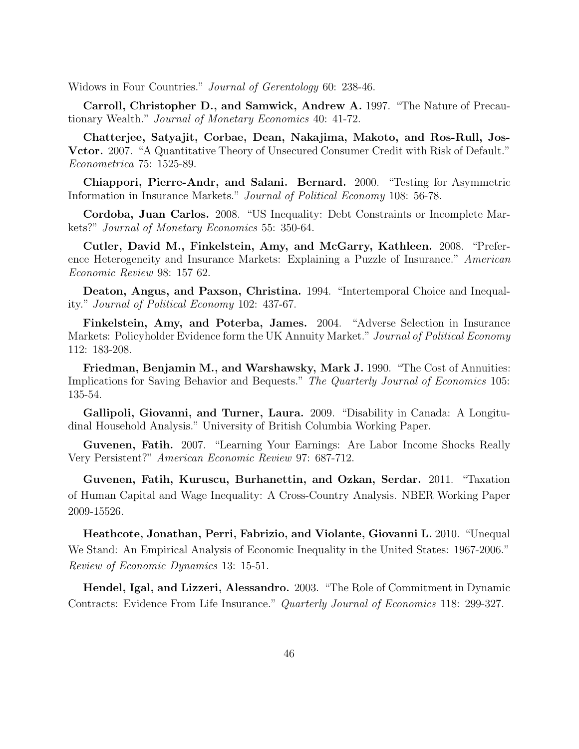Widows in Four Countries." *Journal of Gerentology* 60: 238-46.

**Carroll, Christopher D., and Samwick, Andrew A.** 1997. "The Nature of Precautionary Wealth." *Journal of Monetary Economics* 40: 41-72.

**Chatterjee, Satyajit, Corbae, Dean, Nakajima, Makoto, and Ros-Rull, Jos-Vctor.** 2007. "A Quantitative Theory of Unsecured Consumer Credit with Risk of Default." *Econometrica* 75: 1525-89.

**Chiappori, Pierre-Andr, and Salani. Bernard.** 2000. "Testing for Asymmetric Information in Insurance Markets." *Journal of Political Economy* 108: 56-78.

**Cordoba, Juan Carlos.** 2008. "US Inequality: Debt Constraints or Incomplete Markets?" *Journal of Monetary Economics* 55: 350-64.

**Cutler, David M., Finkelstein, Amy, and McGarry, Kathleen.** 2008. "Preference Heterogeneity and Insurance Markets: Explaining a Puzzle of Insurance." *American Economic Review* 98: 157 62.

**Deaton, Angus, and Paxson, Christina.** 1994. "Intertemporal Choice and Inequality." *Journal of Political Economy* 102: 437-67.

**Finkelstein, Amy, and Poterba, James.** 2004. "Adverse Selection in Insurance Markets: Policyholder Evidence form the UK Annuity Market." *Journal of Political Economy* 112: 183-208.

**Friedman, Benjamin M., and Warshawsky, Mark J.** 1990. "The Cost of Annuities: Implications for Saving Behavior and Bequests." *The Quarterly Journal of Economics* 105: 135-54.

**Gallipoli, Giovanni, and Turner, Laura.** 2009. "Disability in Canada: A Longitudinal Household Analysis." University of British Columbia Working Paper.

**Guvenen, Fatih.** 2007. "Learning Your Earnings: Are Labor Income Shocks Really Very Persistent?" *American Economic Review* 97: 687-712.

**Guvenen, Fatih, Kuruscu, Burhanettin, and Ozkan, Serdar.** 2011. "Taxation of Human Capital and Wage Inequality: A Cross-Country Analysis. NBER Working Paper 2009-15526.

**Heathcote, Jonathan, Perri, Fabrizio, and Violante, Giovanni L.** 2010. "Unequal We Stand: An Empirical Analysis of Economic Inequality in the United States: 1967-2006." *Review of Economic Dynamics* 13: 15-51.

**Hendel, Igal, and Lizzeri, Alessandro.** 2003. "The Role of Commitment in Dynamic Contracts: Evidence From Life Insurance." *Quarterly Journal of Economics* 118: 299-327.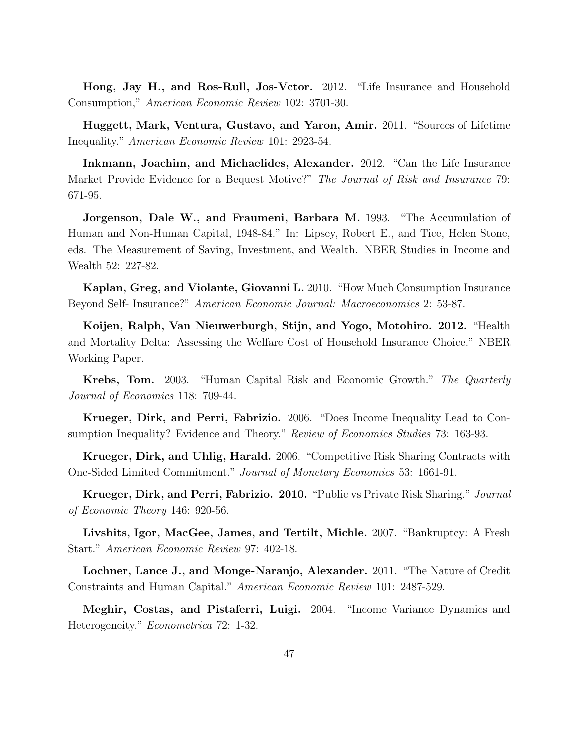**Hong, Jay H., and Ros-Rull, Jos-Vctor.** 2012. "Life Insurance and Household Consumption," *American Economic Review* 102: 3701-30.

**Huggett, Mark, Ventura, Gustavo, and Yaron, Amir.** 2011. "Sources of Lifetime Inequality." *American Economic Review* 101: 2923-54.

**Inkmann, Joachim, and Michaelides, Alexander.** 2012. "Can the Life Insurance Market Provide Evidence for a Bequest Motive?" *The Journal of Risk and Insurance* 79: 671-95.

**Jorgenson, Dale W., and Fraumeni, Barbara M.** 1993. "The Accumulation of Human and Non-Human Capital, 1948-84." In: Lipsey, Robert E., and Tice, Helen Stone, eds. The Measurement of Saving, Investment, and Wealth. NBER Studies in Income and Wealth 52: 227-82.

**Kaplan, Greg, and Violante, Giovanni L.** 2010. "How Much Consumption Insurance Beyond Self- Insurance?" *American Economic Journal: Macroeconomics* 2: 53-87.

**Koijen, Ralph, Van Nieuwerburgh, Stijn, and Yogo, Motohiro. 2012.** "Health and Mortality Delta: Assessing the Welfare Cost of Household Insurance Choice." NBER Working Paper.

**Krebs, Tom.** 2003. "Human Capital Risk and Economic Growth." *The Quarterly Journal of Economics* 118: 709-44.

**Krueger, Dirk, and Perri, Fabrizio.** 2006. "Does Income Inequality Lead to Consumption Inequality? Evidence and Theory." *Review of Economics Studies* 73: 163-93.

**Krueger, Dirk, and Uhlig, Harald.** 2006. "Competitive Risk Sharing Contracts with One-Sided Limited Commitment." *Journal of Monetary Economics* 53: 1661-91.

**Krueger, Dirk, and Perri, Fabrizio. 2010.** "Public vs Private Risk Sharing." *Journal of Economic Theory* 146: 920-56.

**Livshits, Igor, MacGee, James, and Tertilt, Michle.** 2007. "Bankruptcy: A Fresh Start." *American Economic Review* 97: 402-18.

**Lochner, Lance J., and Monge-Naranjo, Alexander.** 2011. "The Nature of Credit Constraints and Human Capital." *American Economic Review* 101: 2487-529.

**Meghir, Costas, and Pistaferri, Luigi.** 2004. "Income Variance Dynamics and Heterogeneity." *Econometrica* 72: 1-32.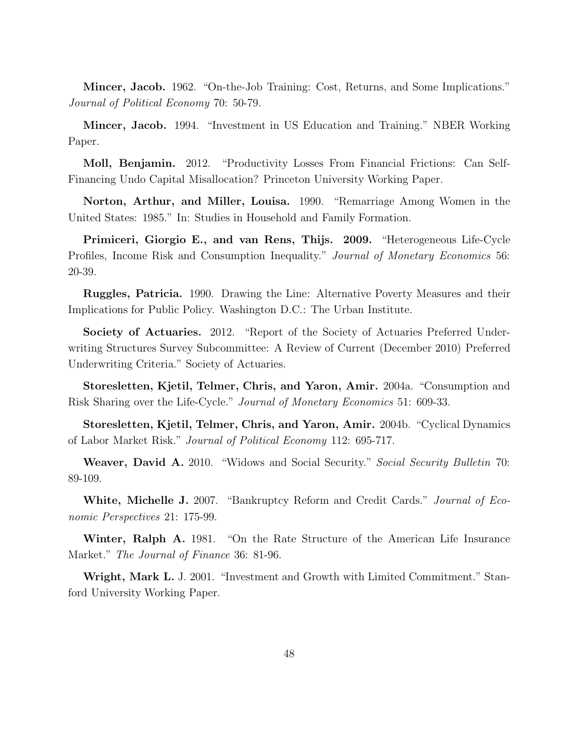**Mincer, Jacob.** 1962. "On-the-Job Training: Cost, Returns, and Some Implications." *Journal of Political Economy* 70: 50-79.

**Mincer, Jacob.** 1994. "Investment in US Education and Training." NBER Working Paper.

**Moll, Benjamin.** 2012. "Productivity Losses From Financial Frictions: Can Self-Financing Undo Capital Misallocation? Princeton University Working Paper.

**Norton, Arthur, and Miller, Louisa.** 1990. "Remarriage Among Women in the United States: 1985." In: Studies in Household and Family Formation.

**Primiceri, Giorgio E., and van Rens, Thijs. 2009.** "Heterogeneous Life-Cycle Profiles, Income Risk and Consumption Inequality." *Journal of Monetary Economics* 56: 20-39.

**Ruggles, Patricia.** 1990. Drawing the Line: Alternative Poverty Measures and their Implications for Public Policy. Washington D.C.: The Urban Institute.

**Society of Actuaries.** 2012. "Report of the Society of Actuaries Preferred Underwriting Structures Survey Subcommittee: A Review of Current (December 2010) Preferred Underwriting Criteria." Society of Actuaries.

**Storesletten, Kjetil, Telmer, Chris, and Yaron, Amir.** 2004a. "Consumption and Risk Sharing over the Life-Cycle." *Journal of Monetary Economics* 51: 609-33.

**Storesletten, Kjetil, Telmer, Chris, and Yaron, Amir.** 2004b. "Cyclical Dynamics of Labor Market Risk." *Journal of Political Economy* 112: 695-717.

**Weaver, David A.** 2010. "Widows and Social Security." *Social Security Bulletin* 70: 89-109.

**White, Michelle J.** 2007. "Bankruptcy Reform and Credit Cards." *Journal of Economic Perspectives* 21: 175-99.

**Winter, Ralph A.** 1981. "On the Rate Structure of the American Life Insurance Market." *The Journal of Finance* 36: 81-96.

**Wright, Mark L.** J. 2001. "Investment and Growth with Limited Commitment." Stanford University Working Paper.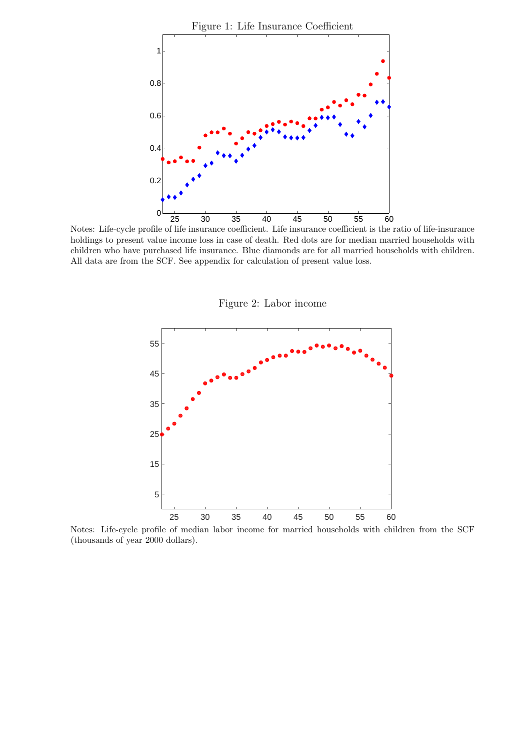

Notes: Life-cycle profile of life insurance coefficient. Life insurance coefficient is the ratio of life-insurance holdings to present value income loss in case of death. Red dots are for median married households with children who have purchased life insurance. Blue diamonds are for all married households with children. All data are from the SCF. See appendix for calculation of present value loss.

Figure 2: Labor income



Notes: Life-cycle profile of median labor income for married households with children from the SCF (thousands of year 2000 dollars).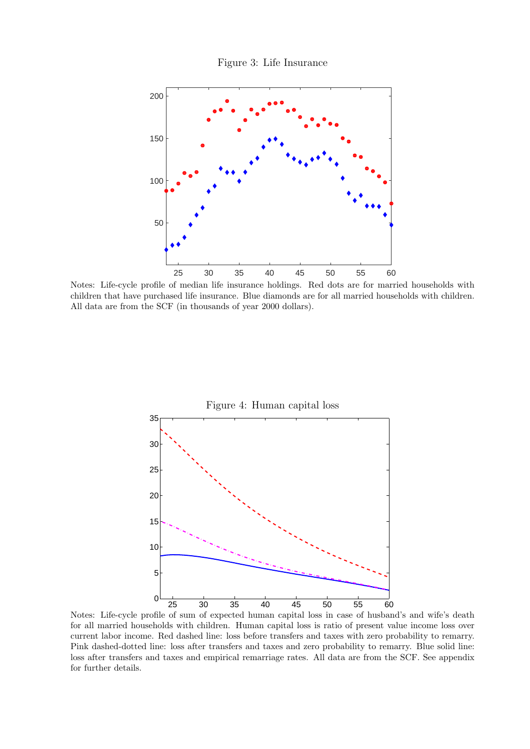

Notes: Life-cycle profile of median life insurance holdings. Red dots are for married households with children that have purchased life insurance. Blue diamonds are for all married households with children. All data are from the SCF (in thousands of year 2000 dollars).



Notes: Life-cycle profile of sum of expected human capital loss in case of husband's and wife's death for all married households with children. Human capital loss is ratio of present value income loss over current labor income. Red dashed line: loss before transfers and taxes with zero probability to remarry. Pink dashed-dotted line: loss after transfers and taxes and zero probability to remarry. Blue solid line: loss after transfers and taxes and empirical remarriage rates. All data are from the SCF. See appendix for further details.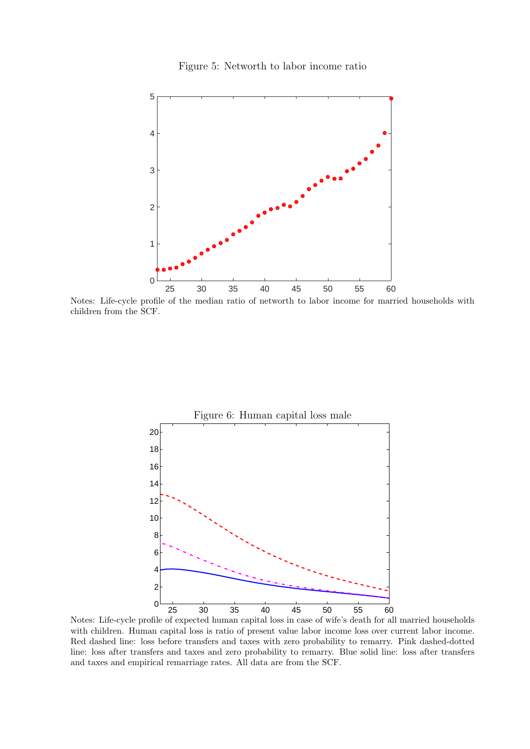



Notes: Life-cycle profile of the median ratio of networth to labor income for married households with children from the SCF.



Notes: Life-cycle profile of expected human capital loss in case of wife's death for all married households with children. Human capital loss is ratio of present value labor income loss over current labor income. Red dashed line: loss before transfers and taxes with zero probability to remarry. Pink dashed-dotted line: loss after transfers and taxes and zero probability to remarry. Blue solid line: loss after transfers and taxes and empirical remarriage rates. All data are from the SCF.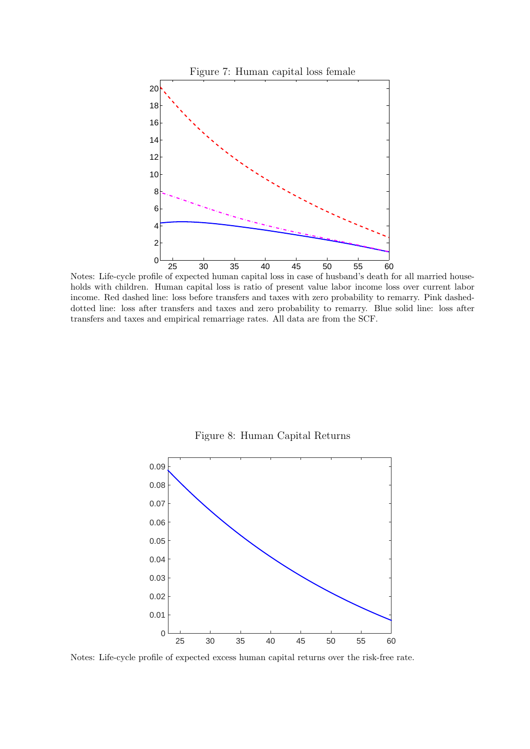

Notes: Life-cycle profile of expected human capital loss in case of husband's death for all married households with children. Human capital loss is ratio of present value labor income loss over current labor income. Red dashed line: loss before transfers and taxes with zero probability to remarry. Pink dasheddotted line: loss after transfers and taxes and zero probability to remarry. Blue solid line: loss after transfers and taxes and empirical remarriage rates. All data are from the SCF.

Figure 8: Human Capital Returns



Notes: Life-cycle profile of expected excess human capital returns over the risk-free rate.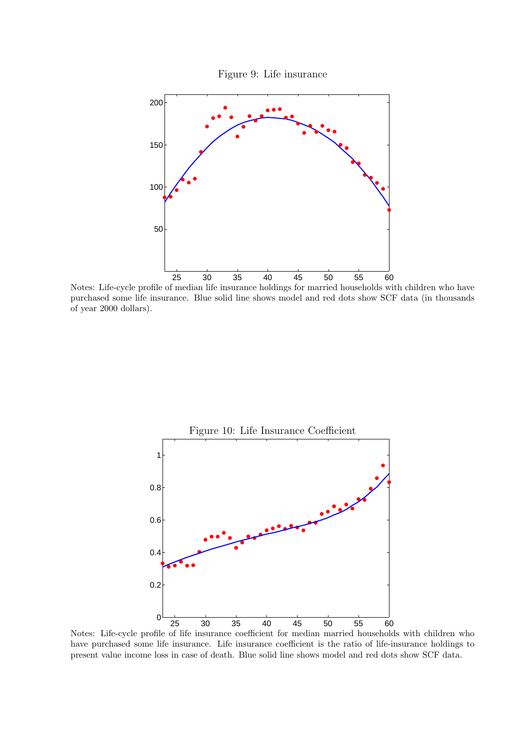

Notes: Life-cycle profile of median life insurance holdings for married households with children who have purchased some life insurance. Blue solid line shows model and red dots show SCF data (in thousands of year 2000 dollars).



Notes: Life-cycle profile of life insurance coefficient for median married households with children who have purchased some life insurance. Life insurance coefficient is the ratio of life-insurance holdings to present value income loss in case of death. Blue solid line shows model and red dots show SCF data.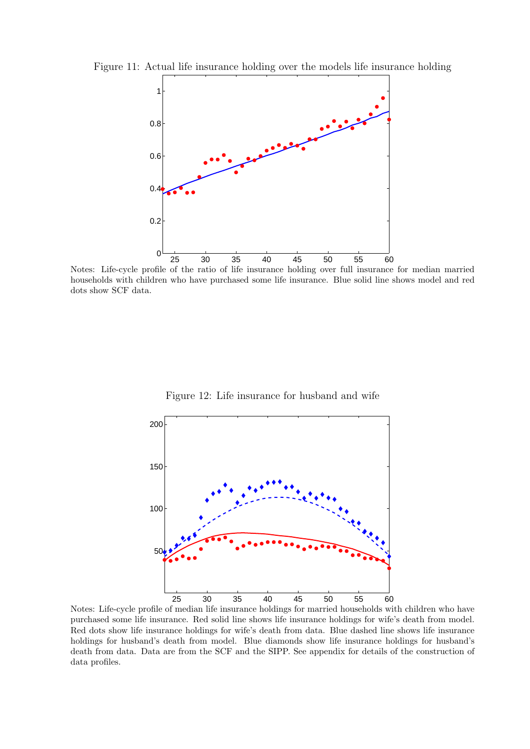

Figure 11: Actual life insurance holding over the models life insurance holding

Notes: Life-cycle profile of the ratio of life insurance holding over full insurance for median married households with children who have purchased some life insurance. Blue solid line shows model and red dots show SCF data.

Figure 12: Life insurance for husband and wife



Notes: Life-cycle profile of median life insurance holdings for married households with children who have purchased some life insurance. Red solid line shows life insurance holdings for wife's death from model. Red dots show life insurance holdings for wife's death from data. Blue dashed line shows life insurance holdings for husband's death from model. Blue diamonds show life insurance holdings for husband's death from data. Data are from the SCF and the SIPP. See appendix for details of the construction of data profiles.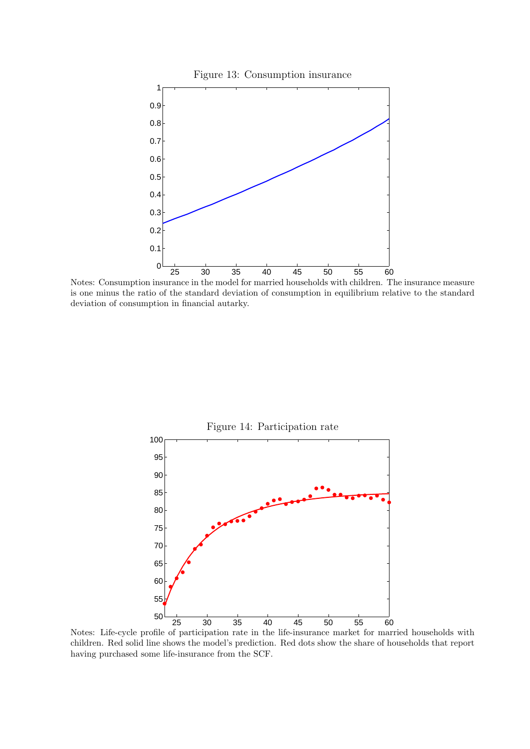

Notes: Consumption insurance in the model for married households with children. The insurance measure is one minus the ratio of the standard deviation of consumption in equilibrium relative to the standard deviation of consumption in financial autarky.



Notes: Life-cycle profile of participation rate in the life-insurance market for married households with children. Red solid line shows the model's prediction. Red dots show the share of households that report having purchased some life-insurance from the SCF.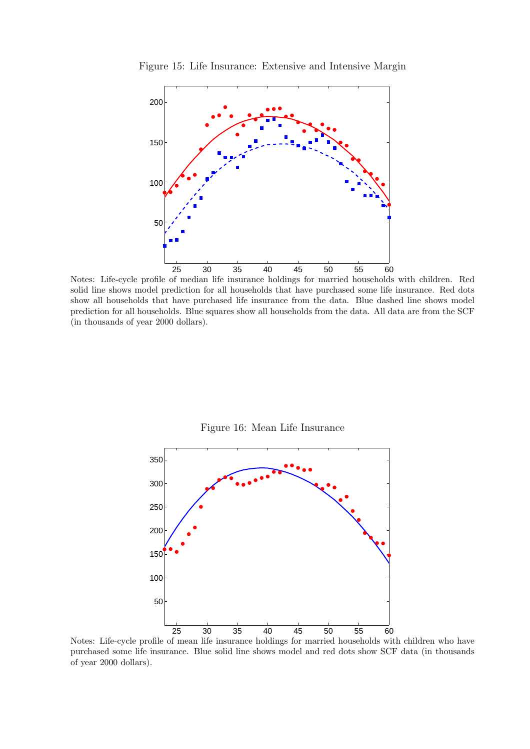

Figure 15: Life Insurance: Extensive and Intensive Margin

Notes: Life-cycle profile of median life insurance holdings for married households with children. Red solid line shows model prediction for all households that have purchased some life insurance. Red dots show all households that have purchased life insurance from the data. Blue dashed line shows model prediction for all households. Blue squares show all households from the data. All data are from the SCF (in thousands of year 2000 dollars).



Figure 16: Mean Life Insurance

Notes: Life-cycle profile of mean life insurance holdings for married households with children who have purchased some life insurance. Blue solid line shows model and red dots show SCF data (in thousands of year 2000 dollars).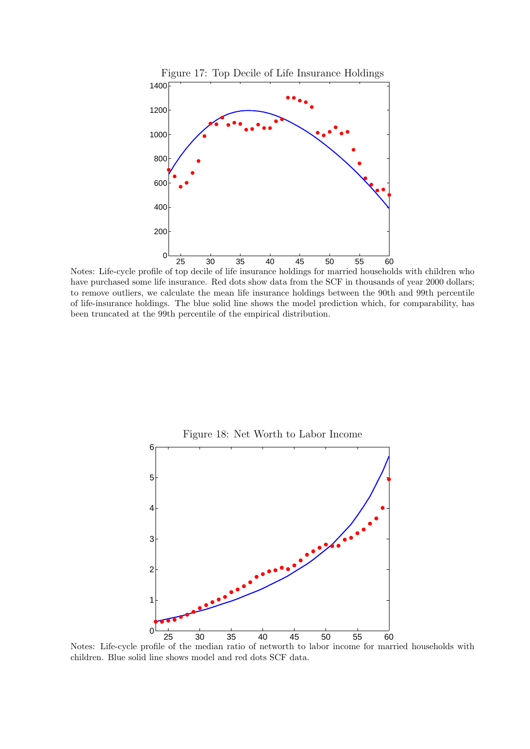

Notes: Life-cycle profile of top decile of life insurance holdings for married households with children who have purchased some life insurance. Red dots show data from the SCF in thousands of year 2000 dollars; to remove outliers, we calculate the mean life insurance holdings between the 90th and 99th percentile of life-insurance holdings. The blue solid line shows the model prediction which, for comparability, has been truncated at the 99th percentile of the empirical distribution.



Notes: Life-cycle profile of the median ratio of networth to labor income for married households with children. Blue solid line shows model and red dots SCF data.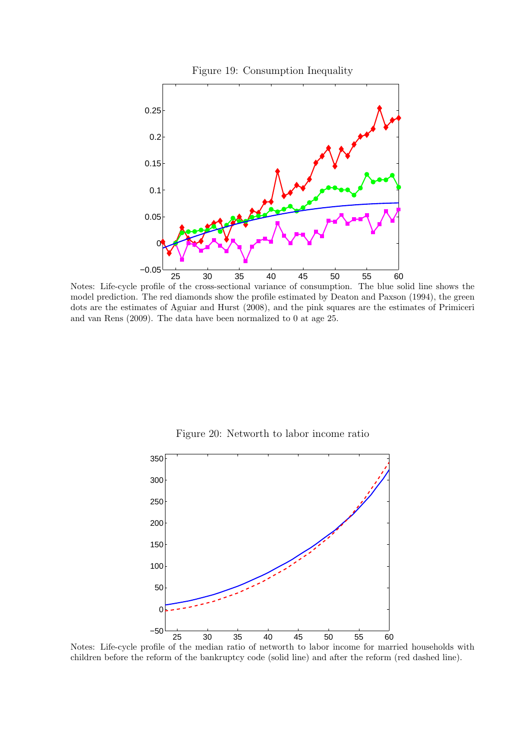

Notes: Life-cycle profile of the cross-sectional variance of consumption. The blue solid line shows the model prediction. The red diamonds show the profile estimated by Deaton and Paxson (1994), the green dots are the estimates of Aguiar and Hurst (2008), and the pink squares are the estimates of Primiceri and van Rens (2009). The data have been normalized to 0 at age 25.



Figure 20: Networth to labor income ratio

Notes: Life-cycle profile of the median ratio of networth to labor income for married households with children before the reform of the bankruptcy code (solid line) and after the reform (red dashed line).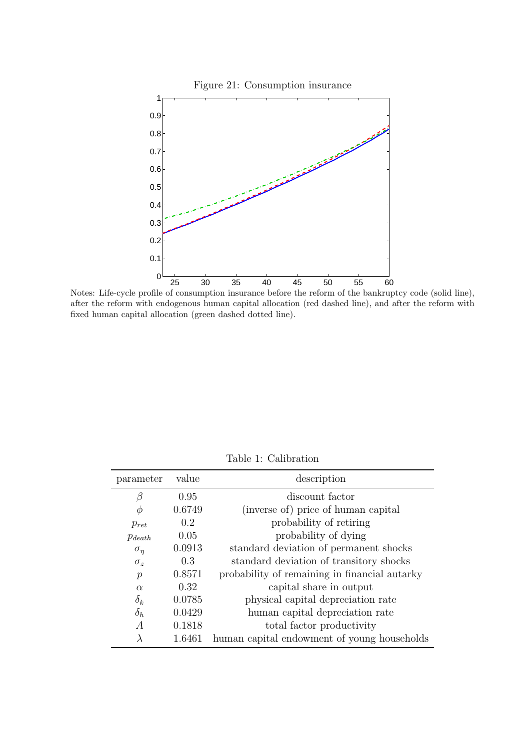

Notes: Life-cycle profile of consumption insurance before the reform of the bankruptcy code (solid line), after the reform with endogenous human capital allocation (red dashed line), and after the reform with fixed human capital allocation (green dashed dotted line).

| parameter       | value  | description                                   |  |  |  |
|-----------------|--------|-----------------------------------------------|--|--|--|
| 13              | 0.95   | discount factor                               |  |  |  |
| Ф               | 0.6749 | (inverse of) price of human capital           |  |  |  |
| $p_{ret}$       | 0.2    | probability of retiring                       |  |  |  |
| $p_{death}$     | 0.05   | probability of dying                          |  |  |  |
| $\sigma_{\eta}$ | 0.0913 | standard deviation of permanent shocks        |  |  |  |
| $\sigma_z$      | 0.3    | standard deviation of transitory shocks       |  |  |  |
| $\mathcal{p}$   | 0.8571 | probability of remaining in financial autarky |  |  |  |
| $\alpha$        | 0.32   | capital share in output                       |  |  |  |
| $\delta_k$      | 0.0785 | physical capital depreciation rate            |  |  |  |
| $\delta_h$      | 0.0429 | human capital depreciation rate               |  |  |  |
| A               | 0.1818 | total factor productivity                     |  |  |  |
| $\lambda$       | 1.6461 | human capital endowment of young households   |  |  |  |
|                 |        |                                               |  |  |  |

Table 1: Calibration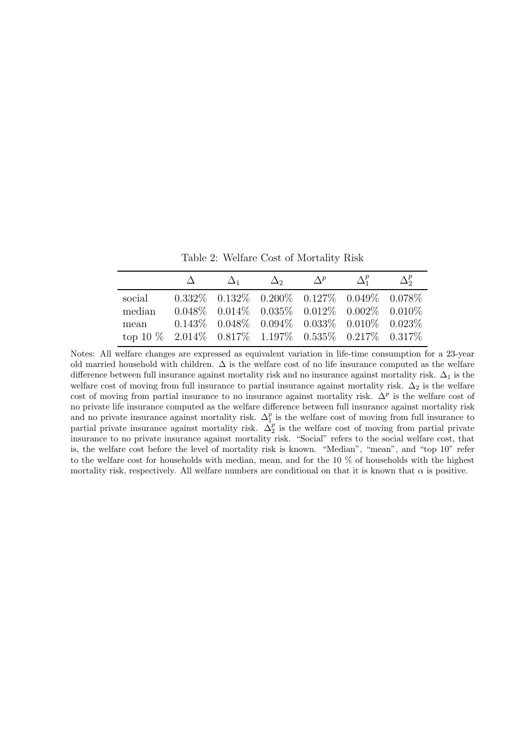Table 2: Welfare Cost of Mortality Risk

|                                                                    | $\Delta$ | $\Delta_1$ | $\Delta_2$ $\Delta^p$ $\Delta_1^p$ | $\Delta^p_2$ |
|--------------------------------------------------------------------|----------|------------|------------------------------------|--------------|
| social 0.332\% 0.132\% 0.200\% 0.127\% 0.049\% 0.078\%             |          |            |                                    |              |
| median $0.048\%$ $0.014\%$ $0.035\%$ $0.012\%$ $0.002\%$ $0.010\%$ |          |            |                                    |              |
| mean $0.143\%$ $0.048\%$ $0.094\%$ $0.033\%$ $0.010\%$ $0.023\%$   |          |            |                                    |              |
| top 10 % 2.014% 0.817% 1.197% 0.535% 0.217% 0.317%                 |          |            |                                    |              |

Notes: All welfare changes are expressed as equivalent variation in life-time consumption for a 23-year old married household with children. ∆ is the welfare cost of no life insurance computed as the welfare difference between full insurance against mortality risk and no insurance against mortality risk.  $\Delta_1$  is the welfare cost of moving from full insurance to partial insurance against mortality risk.  $\Delta_2$  is the welfare cost of moving from partial insurance to no insurance against mortality risk.  $\Delta^p$  is the welfare cost of no private life insurance computed as the welfare difference between full insurance against mortality risk and no private insurance against mortality risk.  $\Delta_1^p$  is the welfare cost of moving from full insurance to partial private insurance against mortality risk.  $\Delta_2^p$  is the welfare cost of moving from partial private insurance to no private insurance against mortality risk. "Social" refers to the social welfare cost, that is, the welfare cost before the level of mortality risk is known. "Median", "mean", and "top 10" refer to the welfare cost for households with median, mean, and for the 10 % of households with the highest mortality risk, respectively. All welfare numbers are conditional on that it is known that  $\alpha$  is positive.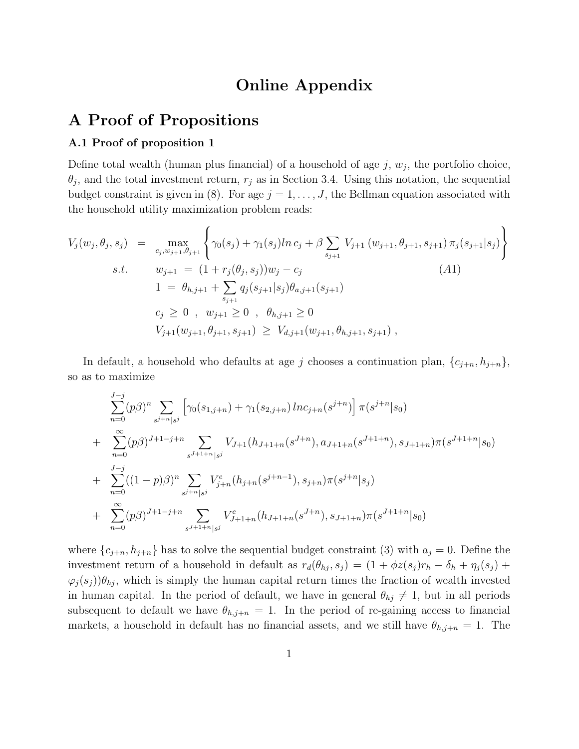## **Online Appendix**

## **A Proof of Propositions**

### **A.1 Proof of proposition 1**

Define total wealth (human plus financial) of a household of age  $j, w_j$ , the portfolio choice,  $\theta_j$ , and the total investment return,  $r_j$  as in Section 3.4. Using this notation, the sequential budget constraint is given in (8). For age  $j = 1, \ldots, J$ , the Bellman equation associated with the household utility maximization problem reads:

$$
V_j(w_j, \theta_j, s_j) = \max_{\substack{c_j, w_{j+1}, \theta_{j+1} \\ s,t}} \left\{ \gamma_0(s_j) + \gamma_1(s_j) \ln c_j + \beta \sum_{s_{j+1}} V_{j+1}(w_{j+1}, \theta_{j+1}, s_{j+1}) \pi_j(s_{j+1}|s_j) \right\}
$$
  
s.t. 
$$
w_{j+1} = (1 + r_j(\theta_j, s_j))w_j - c_j
$$
(A1)  

$$
1 = \theta_{h,j+1} + \sum_{s_{j+1}} q_j(s_{j+1}|s_j) \theta_{a,j+1}(s_{j+1})
$$
  

$$
c_j \ge 0, \quad w_{j+1} \ge 0, \quad \theta_{h,j+1} \ge 0
$$
  

$$
V_{j+1}(w_{j+1}, \theta_{j+1}, s_{j+1}) \ge V_{d,j+1}(w_{j+1}, \theta_{h,j+1}, s_{j+1}),
$$

In default, a household who defaults at age *j* chooses a continuation plan,  $\{c_{j+n}, h_{j+n}\},\$ so as to maximize

$$
\sum_{n=0}^{J-j} (p\beta)^n \sum_{s^{j+n} \mid s^j} \left[ \gamma_0(s_{1,j+n}) + \gamma_1(s_{2,j+n}) \ln c_{j+n}(s^{j+n}) \right] \pi(s^{j+n} | s_0)
$$
\n+ 
$$
\sum_{n=0}^{\infty} (p\beta)^{J+1-j+n} \sum_{s^{J+1+n} \mid s^j} V_{J+1}(h_{J+1+n}(s^{J+n}), a_{J+1+n}(s^{J+1+n}), s_{J+1+n}) \pi(s^{J+1+n} | s_0)
$$
\n+ 
$$
\sum_{n=0}^{J-j} ((1-p)\beta)^n \sum_{s^{j+n} \mid s^j} V_{j+n}^e(h_{j+n}(s^{j+n-1}), s_{j+n}) \pi(s^{j+n} | s_j)
$$
\n+ 
$$
\sum_{n=0}^{\infty} (p\beta)^{J+1-j+n} \sum_{s^{J+1+n} \mid s^j} V_{J+1+n}^e(h_{J+1+n}(s^{J+n}), s_{J+1+n}) \pi(s^{J+1+n} | s_0)
$$

where  $\{c_{j+n}, h_{j+n}\}\$  has to solve the sequential budget constraint (3) with  $a_j = 0$ . Define the investment return of a household in default as  $r_d(\theta_{hj}, s_j) = (1 + \phi z(s_j)r_h - \delta_h + \eta_j(s_j) +$  $\varphi_j(s_j)\theta_{h_j}$ , which is simply the human capital return times the fraction of wealth invested in human capital. In the period of default, we have in general  $\theta_{hj} \neq 1$ , but in all periods subsequent to default we have  $\theta_{h,j+n} = 1$ . In the period of re-gaining access to financial markets, a household in default has no financial assets, and we still have  $\theta_{h,j+n} = 1$ . The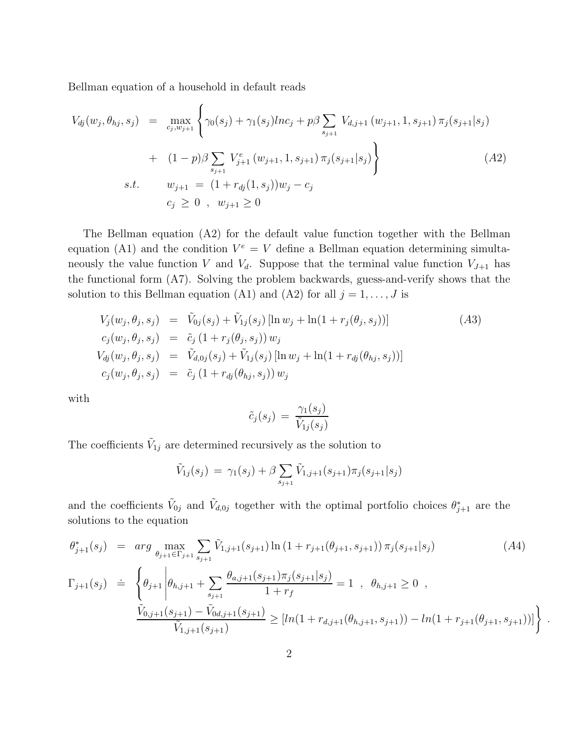Bellman equation of a household in default reads

$$
V_{dj}(w_j, \theta_{hj}, s_j) = \max_{c_j, w_{j+1}} \left\{ \gamma_0(s_j) + \gamma_1(s_j)lnc_j + p\beta \sum_{s_{j+1}} V_{d,j+1}(w_{j+1}, 1, s_{j+1}) \pi_j(s_{j+1}|s_j) + (1-p)\beta \sum_{s_{j+1}} V_{j+1}^e(w_{j+1}, 1, s_{j+1}) \pi_j(s_{j+1}|s_j) \right\}
$$
  
s.t. 
$$
w_{j+1} = (1 + r_{dj}(1, s_j))w_j - c_j
$$

$$
c_j \geq 0, \quad w_{j+1} \geq 0
$$
 (A2)

The Bellman equation (A2) for the default value function together with the Bellman equation (A1) and the condition  $V^e = V$  define a Bellman equation determining simultaneously the value function *V* and *V*<sub>d</sub>. Suppose that the terminal value function  $V_{J+1}$  has the functional form (A7). Solving the problem backwards, guess-and-verify shows that the solution to this Bellman equation (A1) and (A2) for all  $j = 1, \ldots, J$  is

$$
V_j(w_j, \theta_j, s_j) = \tilde{V}_{0j}(s_j) + \tilde{V}_{1j}(s_j) [\ln w_j + \ln(1 + r_j(\theta_j, s_j))]
$$
\n
$$
c_j(w_j, \theta_j, s_j) = \tilde{c}_j (1 + r_j(\theta_j, s_j)) w_j
$$
\n
$$
V_{dj}(w_j, \theta_j, s_j) = \tilde{V}_{d,0j}(s_j) + \tilde{V}_{1j}(s_j) [\ln w_j + \ln(1 + r_{dj}(\theta_{hj}, s_j))]
$$
\n
$$
c_j(w_j, \theta_j, s_j) = \tilde{c}_j (1 + r_{dj}(\theta_{hj}, s_j)) w_j
$$
\n(43)

with

$$
\tilde{c}_j(s_j) = \frac{\gamma_1(s_j)}{\tilde{V}_{1j}(s_j)}
$$

The coefficients  $\tilde{V}_{1j}$  are determined recursively as the solution to

$$
\tilde{V}_{1j}(s_j) = \gamma_1(s_j) + \beta \sum_{s_{j+1}} \tilde{V}_{1,j+1}(s_{j+1}) \pi_j(s_{j+1}|s_j)
$$

and the coefficients  $\tilde{V}_{0j}$  and  $\tilde{V}_{d,0j}$  together with the optimal portfolio choices  $\theta_{j+1}^*$  are the solutions to the equation

$$
\theta_{j+1}^{*}(s_{j}) = \arg \max_{\theta_{j+1} \in \Gamma_{j+1}} \sum_{s_{j+1}} \tilde{V}_{1,j+1}(s_{j+1}) \ln(1 + r_{j+1}(\theta_{j+1}, s_{j+1})) \pi_{j}(s_{j+1}|s_{j})
$$
\n(A4)\n
$$
\Gamma_{j+1}(s_{j}) \doteq \begin{cases}\n\theta_{j+1} \left| \theta_{h,j+1} + \sum_{s_{j+1}} \frac{\theta_{a,j+1}(s_{j+1}) \pi_{j}(s_{j+1}|s_{j})}{1+r_{f}} = 1, & \theta_{h,j+1} \ge 0, \\
\frac{\tilde{V}_{0,j+1}(s_{j+1}) - \tilde{V}_{0,d,j+1}(s_{j+1})}{\tilde{V}_{1,j+1}(s_{j+1})} \ge [ln(1 + r_{d,j+1}(\theta_{h,j+1}, s_{j+1})) - ln(1 + r_{j+1}(\theta_{j+1}, s_{j+1}))]\n\end{cases}
$$

*.*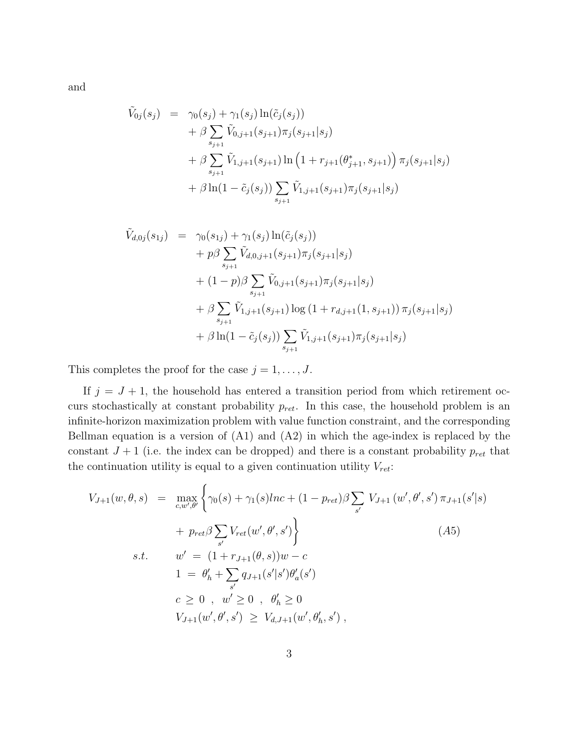and

$$
\tilde{V}_{0j}(s_j) = \gamma_0(s_j) + \gamma_1(s_j) \ln(\tilde{c}_j(s_j)) \n+ \beta \sum_{s_{j+1}} \tilde{V}_{0,j+1}(s_{j+1}) \pi_j(s_{j+1}|s_j) \n+ \beta \sum_{s_{j+1}} \tilde{V}_{1,j+1}(s_{j+1}) \ln(1 + r_{j+1}(\theta_{j+1}^*, s_{j+1})) \pi_j(s_{j+1}|s_j) \n+ \beta \ln(1 - \tilde{c}_j(s_j)) \sum_{s_{j+1}} \tilde{V}_{1,j+1}(s_{j+1}) \pi_j(s_{j+1}|s_j)
$$

$$
\tilde{V}_{d,0j}(s_{1j}) = \gamma_0(s_{1j}) + \gamma_1(s_j) \ln(\tilde{c}_j(s_j)) \n+ p\beta \sum_{s_{j+1}} \tilde{V}_{d,0,j+1}(s_{j+1})\pi_j(s_{j+1}|s_j) \n+ (1-p)\beta \sum_{s_{j+1}} \tilde{V}_{0,j+1}(s_{j+1})\pi_j(s_{j+1}|s_j) \n+ \beta \sum_{s_{j+1}} \tilde{V}_{1,j+1}(s_{j+1}) \log (1 + r_{d,j+1}(1, s_{j+1})) \pi_j(s_{j+1}|s_j) \n+ \beta \ln(1 - \tilde{c}_j(s_j)) \sum_{s_{j+1}} \tilde{V}_{1,j+1}(s_{j+1})\pi_j(s_{j+1}|s_j)
$$

This completes the proof for the case  $j = 1, \ldots, J$ .

If  $j = J + 1$ , the household has entered a transition period from which retirement occurs stochastically at constant probability  $p_{ret}$ . In this case, the household problem is an infinite-horizon maximization problem with value function constraint, and the corresponding Bellman equation is a version of (A1) and (A2) in which the age-index is replaced by the constant  $J+1$  (i.e. the index can be dropped) and there is a constant probability  $p_{ret}$  that the continuation utility is equal to a given continuation utility  $V_{ret}$ :

$$
V_{J+1}(w, \theta, s) = \max_{c, w', \theta'} \left\{ \gamma_0(s) + \gamma_1(s)lnc + (1 - p_{ret})\beta \sum_{s'} V_{J+1}(w', \theta', s') \pi_{J+1}(s'|s) + p_{ret}\beta \sum_{s'} V_{ret}(w', \theta', s') \right\}
$$
  
\n
$$
s.t. \quad w' = (1 + r_{J+1}(\theta, s))w - c
$$
  
\n
$$
1 = \theta'_h + \sum_{s'} q_{J+1}(s'|s')\theta'_a(s')
$$
  
\n
$$
c \ge 0, \quad w' \ge 0, \quad \theta'_h \ge 0
$$
  
\n
$$
V_{J+1}(w', \theta', s') \ge V_{d,J+1}(w', \theta'_h, s'),
$$
  
\n(A5)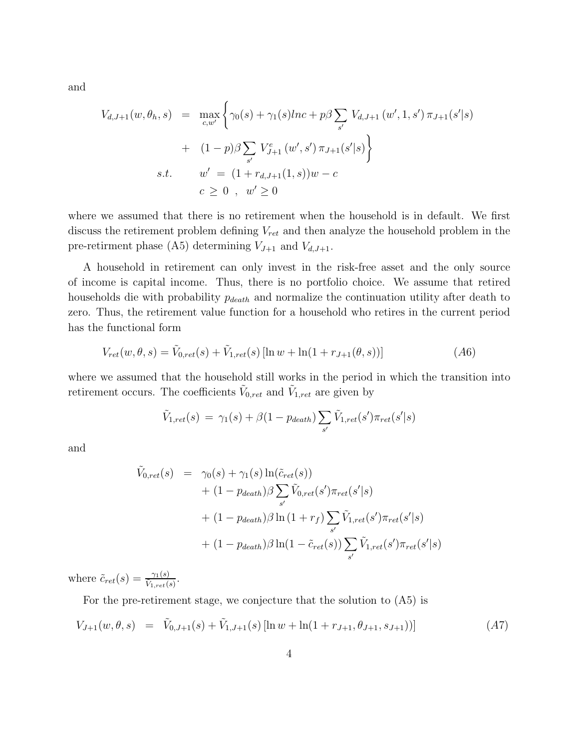and

$$
V_{d,J+1}(w, \theta_h, s) = \max_{c,w'} \left\{ \gamma_0(s) + \gamma_1(s)lnc + p\beta \sum_{s'} V_{d,J+1}(w', 1, s') \pi_{J+1}(s'|s) + (1-p)\beta \sum_{s'} V_{J+1}^e(w', s') \pi_{J+1}(s'|s) \right\}
$$
  
s.t. 
$$
w' = (1 + r_{d,J+1}(1, s))w - c
$$

$$
c \ge 0, \quad w' \ge 0
$$

where we assumed that there is no retirement when the household is in default. We first discuss the retirement problem defining  $V_{ret}$  and then analyze the household problem in the pre-retirment phase (A5) determining  $V_{J+1}$  and  $V_{d,J+1}$ .

A household in retirement can only invest in the risk-free asset and the only source of income is capital income. Thus, there is no portfolio choice. We assume that retired households die with probability  $p_{death}$  and normalize the continuation utility after death to zero. Thus, the retirement value function for a household who retires in the current period has the functional form

$$
V_{ret}(w, \theta, s) = \tilde{V}_{0,ret}(s) + \tilde{V}_{1,ret}(s) [\ln w + \ln(1 + r_{J+1}(\theta, s))]
$$
(A6)

where we assumed that the household still works in the period in which the transition into retirement occurs. The coefficients  $V_{0,ret}$  and  $V_{1,ret}$  are given by

$$
\tilde{V}_{1,ret}(s) = \gamma_1(s) + \beta(1 - p_{death}) \sum_{s'} \tilde{V}_{1,ret}(s') \pi_{ret}(s'|s)
$$

and

$$
\tilde{V}_{0,ret}(s) = \gamma_0(s) + \gamma_1(s) \ln(\tilde{c}_{ret}(s)) \n+ (1 - p_{death})\beta \sum_{s'} \tilde{V}_{0,ret}(s')\pi_{ret}(s'|s) \n+ (1 - p_{death})\beta \ln(1 + r_f) \sum_{s'} \tilde{V}_{1,ret}(s')\pi_{ret}(s'|s) \n+ (1 - p_{death})\beta \ln(1 - \tilde{c}_{ret}(s)) \sum_{s'} \tilde{V}_{1,ret}(s')\pi_{ret}(s'|s)
$$

where  $\tilde{c}_{ret}(s) = \frac{\gamma_1(s)}{\tilde{V}_{1,ret}(s)}$ .

For the pre-retirement stage, we conjecture that the solution to (A5) is

$$
V_{J+1}(w, \theta, s) = \tilde{V}_{0,J+1}(s) + \tilde{V}_{1,J+1}(s) \left[ \ln w + \ln(1 + r_{J+1}, \theta_{J+1}, s_{J+1}) \right] \tag{A7}
$$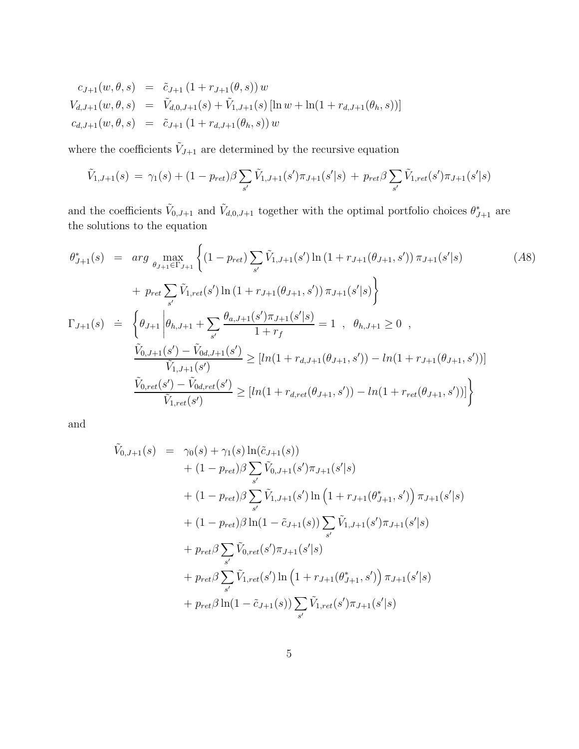$$
c_{J+1}(w, \theta, s) = \tilde{c}_{J+1} (1 + r_{J+1}(\theta, s)) w
$$
  
\n
$$
V_{d,J+1}(w, \theta, s) = \tilde{V}_{d,0,J+1}(s) + \tilde{V}_{1,J+1}(s) [\ln w + \ln(1 + r_{d,J+1}(\theta_h, s))]
$$
  
\n
$$
c_{d,J+1}(w, \theta, s) = \tilde{c}_{J+1} (1 + r_{d,J+1}(\theta_h, s)) w
$$

where the coefficients  $\tilde{V}_{J+1}$  are determined by the recursive equation

$$
\tilde{V}_{1,J+1}(s) = \gamma_1(s) + (1 - p_{ret})\beta \sum_{s'} \tilde{V}_{1,J+1}(s')\pi_{J+1}(s'|s) + p_{ret}\beta \sum_{s'} \tilde{V}_{1,ret}(s')\pi_{J+1}(s'|s)
$$

and the coefficients  $\tilde{V}_{0,J+1}$  and  $\tilde{V}_{d,0,J+1}$  together with the optimal portfolio choices  $\theta_{J+1}^*$  are the solutions to the equation

$$
\theta_{J+1}^{*}(s) = \arg \max_{\theta_{J+1} \in \Gamma_{J+1}} \left\{ (1 - p_{ret}) \sum_{s'} \tilde{V}_{1,J+1}(s') \ln (1 + r_{J+1}(\theta_{J+1}, s')) \pi_{J+1}(s'|s) + p_{ret} \sum_{s'} \tilde{V}_{1,ret}(s') \ln (1 + r_{J+1}(\theta_{J+1}, s')) \pi_{J+1}(s'|s) \right\}
$$
\n(A8)  
\n
$$
\Gamma_{J+1}(s) \doteq \left\{ \theta_{J+1} \left| \theta_{h,J+1} + \sum_{s'} \frac{\theta_{a,J+1}(s') \pi_{J+1}(s'|s)}{1 + r_{f}} = 1 \right|, \theta_{h,J+1} \ge 0 ,
$$
\n
$$
\frac{\tilde{V}_{0,J+1}(s') - \tilde{V}_{0d,J+1}(s')}{\tilde{V}_{1,J+1}(s')} \ge [ln(1 + r_{d,J+1}(\theta_{J+1}, s')) - ln(1 + r_{J+1}(\theta_{J+1}, s'))]
$$
\n
$$
\frac{\tilde{V}_{0,ret}(s') - \tilde{V}_{0d,ret}(s')}{\tilde{V}_{1,ret}(s')} \ge [ln(1 + r_{d,ret}(\theta_{J+1}, s')) - ln(1 + r_{ret}(\theta_{J+1}, s'))] \right\}
$$

and

$$
\tilde{V}_{0,J+1}(s) = \gamma_0(s) + \gamma_1(s) \ln(\tilde{c}_{J+1}(s)) \n+ (1 - p_{ret})\beta \sum_{s'} \tilde{V}_{0,J+1}(s')\pi_{J+1}(s'|s) \n+ (1 - p_{ret})\beta \sum_{s'} \tilde{V}_{1,J+1}(s') \ln(1 + r_{J+1}(\theta_{J+1}^*, s')) \pi_{J+1}(s'|s) \n+ (1 - p_{ret})\beta \ln(1 - \tilde{c}_{J+1}(s)) \sum_{s'} \tilde{V}_{1,J+1}(s')\pi_{J+1}(s'|s) \n+ p_{ret}\beta \sum_{s'} \tilde{V}_{0,ret}(s')\pi_{J+1}(s'|s) \n+ p_{ret}\beta \sum_{s'} \tilde{V}_{1,ret}(s') \ln(1 + r_{J+1}(\theta_{J+1}^*, s')) \pi_{J+1}(s'|s) \n+ p_{ret}\beta \ln(1 - \tilde{c}_{J+1}(s)) \sum_{s'} \tilde{V}_{1,ret}(s')\pi_{J+1}(s'|s)
$$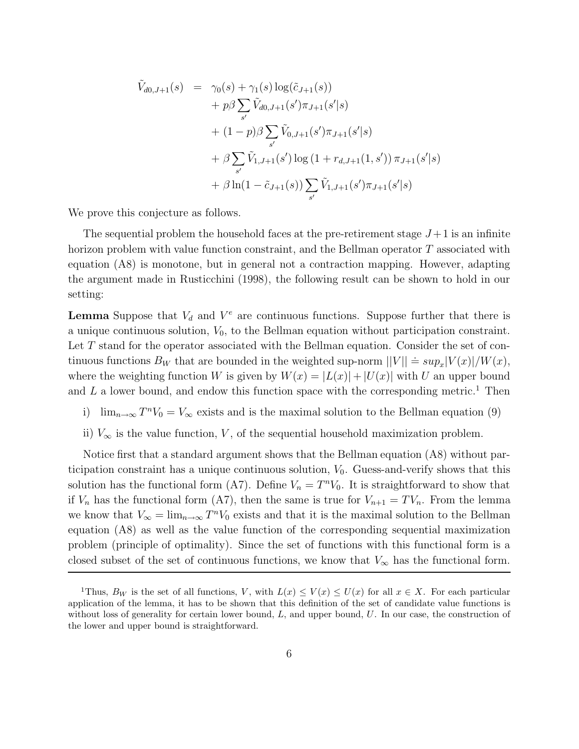$$
\tilde{V}_{d0,J+1}(s) = \gamma_0(s) + \gamma_1(s) \log(\tilde{c}_{J+1}(s)) \n+ p\beta \sum_{s'} \tilde{V}_{d0,J+1}(s')\pi_{J+1}(s'|s) \n+ (1-p)\beta \sum_{s'} \tilde{V}_{0,J+1}(s')\pi_{J+1}(s'|s) \n+ \beta \sum_{s'} \tilde{V}_{1,J+1}(s') \log(1 + r_{d,J+1}(1,s')) \pi_{J+1}(s'|s) \n+ \beta \ln(1 - \tilde{c}_{J+1}(s)) \sum_{s'} \tilde{V}_{1,J+1}(s')\pi_{J+1}(s'|s)
$$

We prove this conjecture as follows.

The sequential problem the household faces at the pre-retirement stage  $J+1$  is an infinite horizon problem with value function constraint, and the Bellman operator *T* associated with equation (A8) is monotone, but in general not a contraction mapping. However, adapting the argument made in Rusticchini (1998), the following result can be shown to hold in our setting:

**Lemma** Suppose that  $V_d$  and  $V^e$  are continuous functions. Suppose further that there is a unique continuous solution, *V*0, to the Bellman equation without participation constraint. Let *T* stand for the operator associated with the Bellman equation. Consider the set of continuous functions  $B_W$  that are bounded in the weighted sup-norm  $||V|| \doteq sup_x |V(x)|/W(x)$ , where the weighting function *W* is given by  $W(x) = |L(x)| + |U(x)|$  with *U* an upper bound and  $L$  a lower bound, and endow this function space with the corresponding metric.<sup>1</sup> Then

- i) lim<sub>n→∞</sub>  $T^nV_0 = V_\infty$  exists and is the maximal solution to the Bellman equation (9)
- ii)  $V_{\infty}$  is the value function, *V*, of the sequential household maximization problem.

Notice first that a standard argument shows that the Bellman equation (A8) without participation constraint has a unique continuous solution,  $V_0$ . Guess-and-verify shows that this solution has the functional form  $(A7)$ . Define  $V_n = T^n V_0$ . It is straightforward to show that if  $V_n$  has the functional form (A7), then the same is true for  $V_{n+1} = TV_n$ . From the lemma we know that  $V_{\infty} = \lim_{n \to \infty} T^n V_0$  exists and that it is the maximal solution to the Bellman equation (A8) as well as the value function of the corresponding sequential maximization problem (principle of optimality). Since the set of functions with this functional form is a closed subset of the set of continuous functions, we know that  $V_{\infty}$  has the functional form.

<sup>&</sup>lt;sup>1</sup>Thus, B<sub>W</sub> is the set of all functions, V, with  $L(x) \leq V(x) \leq U(x)$  for all  $x \in X$ . For each particular application of the lemma, it has to be shown that this definition of the set of candidate value functions is without loss of generality for certain lower bound,  $L$ , and upper bound,  $U$ . In our case, the construction of the lower and upper bound is straightforward.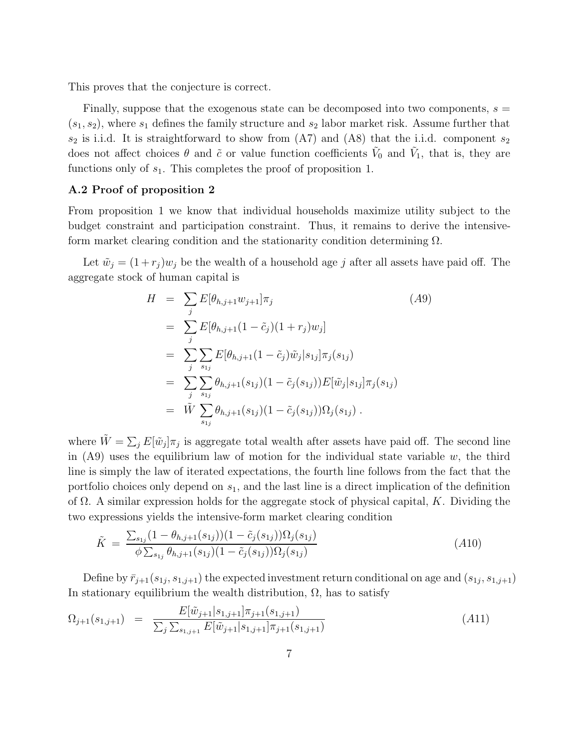This proves that the conjecture is correct.

Finally, suppose that the exogenous state can be decomposed into two components,  $s =$ (*s*1*, s*2), where *s*<sup>1</sup> defines the family structure and *s*<sup>2</sup> labor market risk. Assume further that *s*<sup>2</sup> is i.i.d. It is straightforward to show from (A7) and (A8) that the i.i.d. component *s*<sup>2</sup> does not affect choices  $\theta$  and  $\tilde{c}$  or value function coefficients  $\tilde{V}_0$  and  $\tilde{V}_1$ , that is, they are functions only of  $s_1$ . This completes the proof of proposition 1.

### **A.2 Proof of proposition 2**

From proposition 1 we know that individual households maximize utility subject to the budget constraint and participation constraint. Thus, it remains to derive the intensiveform market clearing condition and the stationarity condition determining  $\Omega$ .

Let  $\tilde{w}_j = (1 + r_j)w_j$  be the wealth of a household age *j* after all assets have paid off. The aggregate stock of human capital is

$$
H = \sum_{j} E[\theta_{h,j+1} w_{j+1}] \pi_j
$$
\n
$$
= \sum_{j} E[\theta_{h,j+1} (1 - \tilde{c}_j) (1 + r_j) w_j]
$$
\n
$$
= \sum_{j} \sum_{s_{1j}} E[\theta_{h,j+1} (1 - \tilde{c}_j) \tilde{w}_j | s_{1j}] \pi_j(s_{1j})
$$
\n
$$
= \sum_{j} \sum_{s_{1j}} \theta_{h,j+1}(s_{1j}) (1 - \tilde{c}_j(s_{1j})) E[\tilde{w}_j | s_{1j}] \pi_j(s_{1j})
$$
\n
$$
= \tilde{W} \sum_{s_{1j}} \theta_{h,j+1}(s_{1j}) (1 - \tilde{c}_j(s_{1j})) \Omega_j(s_{1j}).
$$
\n(49)

where  $\tilde{W} = \sum_j E[\tilde{w}_j] \pi_j$  is aggregate total wealth after assets have paid off. The second line in (A9) uses the equilibrium law of motion for the individual state variable *w*, the third line is simply the law of iterated expectations, the fourth line follows from the fact that the portfolio choices only depend on *s*1, and the last line is a direct implication of the definition of Ω. A similar expression holds for the aggregate stock of physical capital, *K*. Dividing the two expressions yields the intensive-form market clearing condition

$$
\tilde{K} = \frac{\sum_{s_{1j}} (1 - \theta_{h,j+1}(s_{1j}))(1 - \tilde{c}_j(s_{1j}))\Omega_j(s_{1j})}{\phi \sum_{s_{1j}} \theta_{h,j+1}(s_{1j})(1 - \tilde{c}_j(s_{1j}))\Omega_j(s_{1j})}
$$
\n(A10)

Define by  $\bar{r}_{j+1}(s_{1j}, s_{1,j+1})$  the expected investment return conditional on age and  $(s_{1j}, s_{1,j+1})$ In stationary equilibrium the wealth distribution,  $\Omega$ , has to satisfy

$$
\Omega_{j+1}(s_{1,j+1}) = \frac{E[\tilde{w}_{j+1}|s_{1,j+1}]\pi_{j+1}(s_{1,j+1})}{\sum_{j} \sum_{s_{1,j+1}} E[\tilde{w}_{j+1}|s_{1,j+1}]\pi_{j+1}(s_{1,j+1})}
$$
(A11)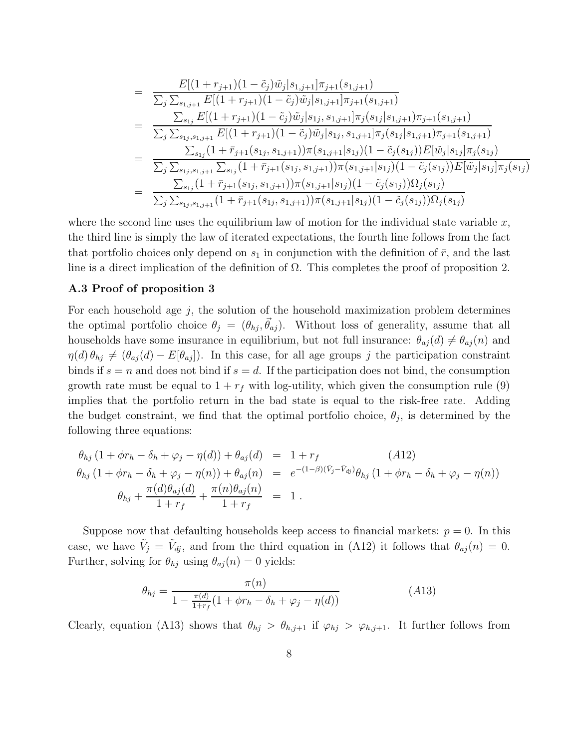$$
= \frac{E[(1+r_{j+1})(1-\tilde{c}_j)\tilde{w}_j|s_{1,j+1}]\pi_{j+1}(s_{1,j+1})}{\sum_j \sum_{s_{1,j+1}} E[(1+r_{j+1})(1-\tilde{c}_j)\tilde{w}_j|s_{1,j+1}]\pi_{j+1}(s_{1,j+1})}
$$
  
\n
$$
= \frac{\sum_{s_{1j}} E[(1+r_{j+1})(1-\tilde{c}_j)\tilde{w}_j|s_{1j}, s_{1,j+1}]\pi_j(s_{1j}|s_{1,j+1})\pi_{j+1}(s_{1,j+1})}{\sum_j \sum_{s_{1j},s_{1,j+1}} E[(1+r_{j+1})(1-\tilde{c}_j)\tilde{w}_j|s_{1j}, s_{1,j+1}]\pi_j(s_{1j}|s_{1,j+1})\pi_{j+1}(s_{1,j+1})}
$$
  
\n
$$
= \frac{\sum_{s_{1j}} (1+\bar{r}_{j+1}(s_{1j}, s_{1,j+1}))\pi(s_{1,j+1}|s_{1j})(1-\tilde{c}_j(s_{1j}))E[\tilde{w}_j|s_{1j}]\pi_j(s_{1j})}{\sum_j \sum_{s_{1j},s_{1,j+1}} \sum_{s_{1j}} (1+\bar{r}_{j+1}(s_{1j}, s_{1,j+1}))\pi(s_{1,j+1}|s_{1j})(1-\tilde{c}_j(s_{1j}))E[\tilde{w}_j|s_{1j}]\pi_j(s_{1j})}
$$
  
\n
$$
= \frac{\sum_{s_{1j}} (1+\bar{r}_{j+1}(s_{1j}, s_{1,j+1}))\pi(s_{1,j+1}|s_{1j})(1-\tilde{c}_j(s_{1j}))\Omega_j(s_{1j})}{\sum_j \sum_{s_{1j},s_{1,j+1}} (1+\bar{r}_{j+1}(s_{1j}, s_{1,j+1}))\pi(s_{1,j+1}|s_{1j})(1-\tilde{c}_j(s_{1j}))\Omega_j(s_{1j})}
$$

where the second line uses the equilibrium law of motion for the individual state variable *x*, the third line is simply the law of iterated expectations, the fourth line follows from the fact that portfolio choices only depend on  $s_1$  in conjunction with the definition of  $\bar{r}$ , and the last line is a direct implication of the definition of  $\Omega$ . This completes the proof of proposition 2.

### **A.3 Proof of proposition 3**

For each household age *j*, the solution of the household maximization problem determines the optimal portfolio choice  $\theta_j = (\theta_{hj}, \vec{\theta}_{aj})$ . Without loss of generality, assume that all households have some insurance in equilibrium, but not full insurance:  $\theta_{aj}(d) \neq \theta_{aj}(n)$  and  $\eta(d) \theta_{hj} \neq (\theta_{aj}(d) - E[\theta_{aj}])$ . In this case, for all age groups *j* the participation constraint binds if  $s = n$  and does not bind if  $s = d$ . If the participation does not bind, the consumption growth rate must be equal to  $1 + r_f$  with log-utility, which given the consumption rule (9) implies that the portfolio return in the bad state is equal to the risk-free rate. Adding the budget constraint, we find that the optimal portfolio choice,  $\theta_j$ , is determined by the following three equations:

$$
\theta_{hj} (1 + \phi r_h - \delta_h + \varphi_j - \eta(d)) + \theta_{aj}(d) = 1 + r_f \qquad (A12)
$$
\n
$$
\theta_{hj} (1 + \phi r_h - \delta_h + \varphi_j - \eta(n)) + \theta_{aj}(n) = e^{-(1-\beta)(\tilde{V}_j - \tilde{V}_{dj})} \theta_{hj} (1 + \phi r_h - \delta_h + \varphi_j - \eta(n))
$$
\n
$$
\theta_{hj} + \frac{\pi(d)\theta_{aj}(d)}{1 + r_f} + \frac{\pi(n)\theta_{aj}(n)}{1 + r_f} = 1.
$$

Suppose now that defaulting households keep access to financial markets:  $p = 0$ . In this case, we have  $\tilde{V}_j = \tilde{V}_{dj}$ , and from the third equation in (A12) it follows that  $\theta_{aj}(n) = 0$ . Further, solving for  $\theta_{hj}$  using  $\theta_{aj}(n) = 0$  yields:

$$
\theta_{hj} = \frac{\pi(n)}{1 - \frac{\pi(d)}{1 + r_f}(1 + \phi r_h - \delta_h + \varphi_j - \eta(d))}
$$
(A13)

Clearly, equation (A13) shows that  $\theta_{hj} > \theta_{h,j+1}$  if  $\varphi_{hj} > \varphi_{h,j+1}$ . It further follows from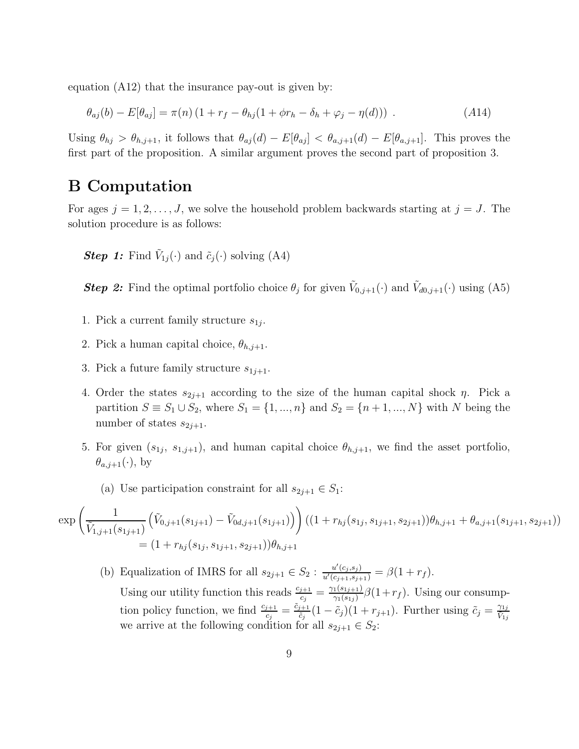equation (A12) that the insurance pay-out is given by:

$$
\theta_{aj}(b) - E[\theta_{aj}] = \pi(n) (1 + r_f - \theta_{hj}(1 + \phi r_h - \delta_h + \varphi_j - \eta(d))) . \tag{A14}
$$

Using  $\theta_{hj} > \theta_{h,j+1}$ , it follows that  $\theta_{aj}(d) - E[\theta_{aj}] < \theta_{a,j+1}(d) - E[\theta_{a,j+1}]$ . This proves the first part of the proposition. A similar argument proves the second part of proposition 3.

## **B Computation**

For ages  $j = 1, 2, \ldots, J$ , we solve the household problem backwards starting at  $j = J$ . The solution procedure is as follows:

*Step 1:* Find  $\tilde{V}_{1j}(\cdot)$  and  $\tilde{c}_j(\cdot)$  solving (A4)

**Step 2:** Find the optimal portfolio choice  $\theta_j$  for given  $\tilde{V}_{0,j+1}(\cdot)$  and  $\tilde{V}_{d0,j+1}(\cdot)$  using (A5)

- 1. Pick a current family structure *s*1<sup>j</sup> .
- 2. Pick a human capital choice,  $\theta_{h,j+1}$ .
- 3. Pick a future family structure  $s_{1j+1}$ .
- 4. Order the states  $s_{2j+1}$  according to the size of the human capital shock  $\eta$ . Pick a partition *S* ≡ *S*<sub>1</sub> ∪ *S*<sub>2</sub>, where *S*<sub>1</sub> = {1, ..., *n*} and *S*<sub>2</sub> = {*n* + 1, ..., *N*} with *N* being the number of states  $s_{2i+1}$ .
- 5. For given  $(s_{1i}, s_{1,i+1})$ , and human capital choice  $\theta_{h,i+1}$ , we find the asset portfolio,  $\theta_{a,j+1}(\cdot)$ , by
	- (a) Use participation constraint for all  $s_{2i+1} \in S_1$ :

$$
\exp\left(\frac{1}{\tilde{V}_{1,j+1}(s_{1j+1})}\left(\tilde{V}_{0,j+1}(s_{1j+1})-\tilde{V}_{0d,j+1}(s_{1j+1})\right)\right)\left((1+r_{hj}(s_{1j},s_{1j+1},s_{2j+1}))\theta_{h,j+1}+\theta_{a,j+1}(s_{1j+1},s_{2j+1})\right)
$$
  
= 
$$
(1+r_{hj}(s_{1j},s_{1j+1},s_{2j+1}))\theta_{h,j+1}
$$

(b) Equalization of IMRS for all  $s_{2j+1} \in S_2$ :  $\frac{u'(c_j,s_j)}{u'(c_{j+1},s_{j+1})} = \beta(1+r_f)$ . Using our utility function this reads  $\frac{c_{j+1}}{c_j} = \frac{\gamma_1(s_{1j+1})}{\gamma_1(s_{1j})} \beta(1+r_f)$ . Using our consumption policy function, we find  $\frac{c_{j+1}}{c_j} = \frac{\tilde{c}_{j+1}}{\tilde{c}_j} (1 - \tilde{c}_j)(1 + r_{j+1})$ . Further using  $\tilde{c}_j = \frac{\gamma_{1j}}{\tilde{V}_{1j}}$ we arrive at the following condition for all  $s_{2j+1} \in S_2$ :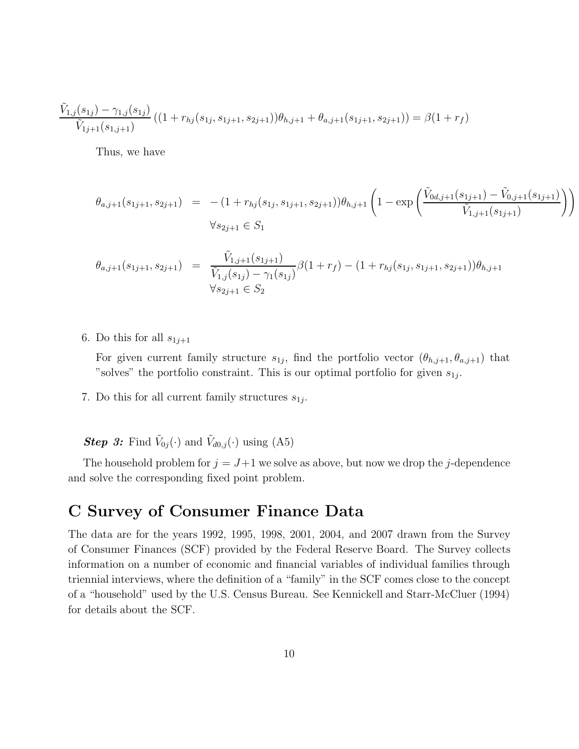$$
\frac{\tilde{V}_{1,j}(s_{1j}) - \gamma_{1,j}(s_{1j})}{\tilde{V}_{1j+1}(s_{1,j+1})}((1 + r_{hj}(s_{1j}, s_{1j+1}, s_{2j+1}))\theta_{h,j+1} + \theta_{a,j+1}(s_{1j+1}, s_{2j+1})) = \beta(1 + r_f)
$$

Thus, we have

$$
\theta_{a,j+1}(s_{1j+1}, s_{2j+1}) = -(1 + r_{hj}(s_{1j}, s_{1j+1}, s_{2j+1}))\theta_{h,j+1} \left(1 - \exp\left(\frac{\tilde{V}_{0d,j+1}(s_{1j+1}) - \tilde{V}_{0,j+1}(s_{1j+1})}{\tilde{V}_{1,j+1}(s_{1j+1})}\right)\right)
$$
  

$$
\forall s_{2j+1} \in S_1
$$

$$
\theta_{a,j+1}(s_{1j+1}, s_{2j+1}) = \frac{\tilde{V}_{1,j+1}(s_{1j+1})}{\tilde{V}_{1,j}(s_{1j}) - \gamma_1(s_{1j})} \beta(1+r_f) - (1+r_{hj}(s_{1j}, s_{1j+1}, s_{2j+1})) \theta_{h,j+1}
$$
  

$$
\forall s_{2j+1} \in S_2
$$

6. Do this for all  $s_{1j+1}$ 

For given current family structure  $s_{1j}$ , find the portfolio vector  $(\theta_{h,j+1}, \theta_{a,j+1})$  that "solves" the portfolio constraint. This is our optimal portfolio for given  $s_{1j}$ .

7. Do this for all current family structures  $s_{1j}$ .

*Step 3:* Find  $\tilde{V}_{0j}(\cdot)$  and  $\tilde{V}_{d0,j}(\cdot)$  using (A5)

The household problem for  $j = J+1$  we solve as above, but now we drop the *j*-dependence and solve the corresponding fixed point problem.

# **C Survey of Consumer Finance Data**

The data are for the years 1992, 1995, 1998, 2001, 2004, and 2007 drawn from the Survey of Consumer Finances (SCF) provided by the Federal Reserve Board. The Survey collects information on a number of economic and financial variables of individual families through triennial interviews, where the definition of a "family" in the SCF comes close to the concept of a "household" used by the U.S. Census Bureau. See Kennickell and Starr-McCluer (1994) for details about the SCF.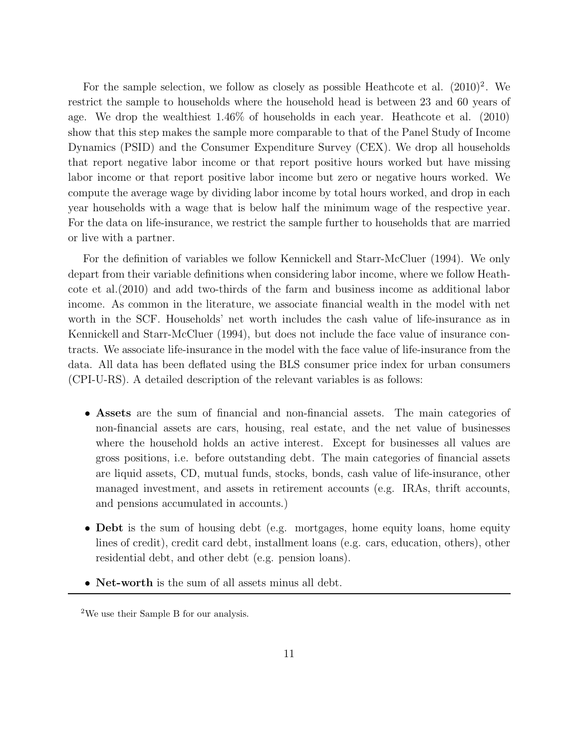For the sample selection, we follow as closely as possible Heathcote et al.  $(2010)^2$ . We restrict the sample to households where the household head is between 23 and 60 years of age. We drop the wealthiest 1*.*46% of households in each year. Heathcote et al. (2010) show that this step makes the sample more comparable to that of the Panel Study of Income Dynamics (PSID) and the Consumer Expenditure Survey (CEX). We drop all households that report negative labor income or that report positive hours worked but have missing labor income or that report positive labor income but zero or negative hours worked. We compute the average wage by dividing labor income by total hours worked, and drop in each year households with a wage that is below half the minimum wage of the respective year. For the data on life-insurance, we restrict the sample further to households that are married or live with a partner.

For the definition of variables we follow Kennickell and Starr-McCluer (1994). We only depart from their variable definitions when considering labor income, where we follow Heathcote et al.(2010) and add two-thirds of the farm and business income as additional labor income. As common in the literature, we associate financial wealth in the model with net worth in the SCF. Households' net worth includes the cash value of life-insurance as in Kennickell and Starr-McCluer (1994), but does not include the face value of insurance contracts. We associate life-insurance in the model with the face value of life-insurance from the data. All data has been deflated using the BLS consumer price index for urban consumers (CPI-U-RS). A detailed description of the relevant variables is as follows:

- **Assets** are the sum of financial and non-financial assets. The main categories of non-financial assets are cars, housing, real estate, and the net value of businesses where the household holds an active interest. Except for businesses all values are gross positions, i.e. before outstanding debt. The main categories of financial assets are liquid assets, CD, mutual funds, stocks, bonds, cash value of life-insurance, other managed investment, and assets in retirement accounts (e.g. IRAs, thrift accounts, and pensions accumulated in accounts.)
- **Debt** is the sum of housing debt (e.g. mortgages, home equity loans, home equity lines of credit), credit card debt, installment loans (e.g. cars, education, others), other residential debt, and other debt (e.g. pension loans).
- **Net-worth** is the sum of all assets minus all debt.

<sup>2</sup>We use their Sample B for our analysis.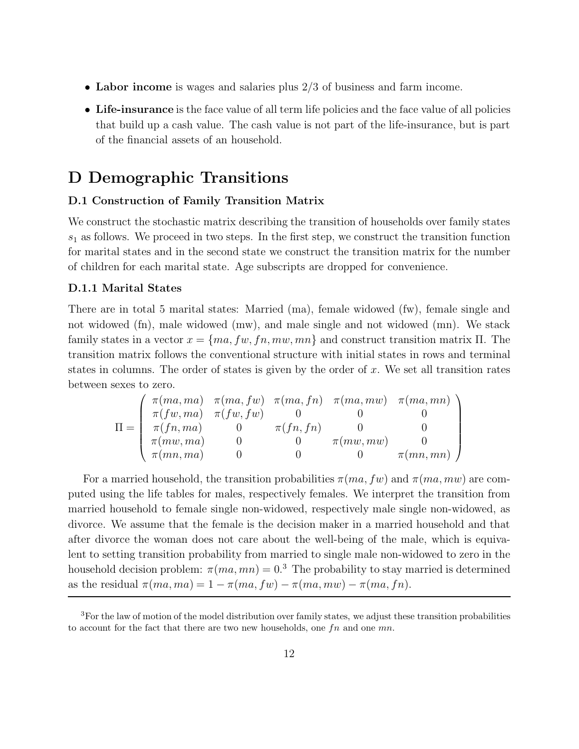- **Labor income** is wages and salaries plus 2*/*3 of business and farm income.
- **Life-insurance** is the face value of all term life policies and the face value of all policies that build up a cash value. The cash value is not part of the life-insurance, but is part of the financial assets of an household.

## **D Demographic Transitions**

## **D.1 Construction of Family Transition Matrix**

We construct the stochastic matrix describing the transition of households over family states  $s<sub>1</sub>$  as follows. We proceed in two steps. In the first step, we construct the transition function for marital states and in the second state we construct the transition matrix for the number of children for each marital state. Age subscripts are dropped for convenience.

## **D.1.1 Marital States**

There are in total 5 marital states: Married (ma), female widowed (fw), female single and not widowed (fn), male widowed (mw), and male single and not widowed (mn). We stack family states in a vector  $x = \{ma, fw, fn, mw, mn\}$  and construct transition matrix  $\Pi$ . The transition matrix follows the conventional structure with initial states in rows and terminal states in columns. The order of states is given by the order of *x*. We set all transition rates between sexes to zero.

$$
\Pi = \left( \begin{array}{cccc} \pi(ma, ma) & \pi(ma, fw) & \pi(ma, fn) & \pi(ma, mw) & \pi(ma, mn) \\ \pi(fw, ma) & \pi(fw, fw) & 0 & 0 & 0 \\ \pi(fn, ma) & 0 & \pi(fn, fn) & 0 & 0 \\ \pi(mw, ma) & 0 & 0 & \pi(mw, mw) & 0 \\ \pi(mn, ma) & 0 & 0 & 0 & \pi(mn, mn) \end{array} \right)
$$

For a married household, the transition probabilities  $\pi(ma, fw)$  and  $\pi(ma, mw)$  are computed using the life tables for males, respectively females. We interpret the transition from married household to female single non-widowed, respectively male single non-widowed, as divorce. We assume that the female is the decision maker in a married household and that after divorce the woman does not care about the well-being of the male, which is equivalent to setting transition probability from married to single male non-widowed to zero in the household decision problem:  $\pi(ma, mn) = 0.3$  The probability to stay married is determined as the residual  $\pi(ma, ma) = 1 - \pi(ma, fw) - \pi(ma, mw) - \pi(ma, fn)$ .

<sup>&</sup>lt;sup>3</sup>For the law of motion of the model distribution over family states, we adjust these transition probabilities to account for the fact that there are two new households, one  $fn$  and one  $mn$ .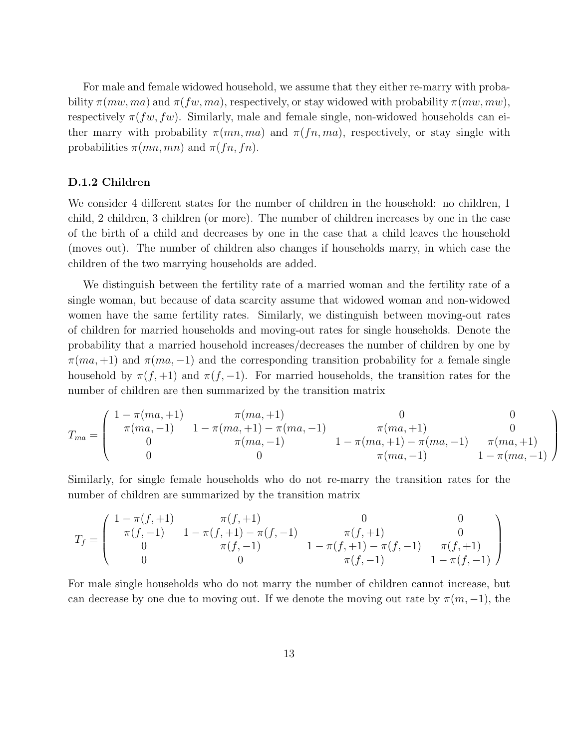For male and female widowed household, we assume that they either re-marry with probability  $\pi(mw, ma)$  and  $\pi(fw, ma)$ , respectively, or stay widowed with probability  $\pi(mw, mw)$ , respectively  $\pi(fw, fw)$ . Similarly, male and female single, non-widowed households can either marry with probability  $\pi(mn, ma)$  and  $\pi(fn, ma)$ , respectively, or stay single with probabilities  $\pi(mn, mn)$  and  $\pi(fn, fn)$ .

### **D.1.2 Children**

We consider 4 different states for the number of children in the household: no children, 1 child, 2 children, 3 children (or more). The number of children increases by one in the case of the birth of a child and decreases by one in the case that a child leaves the household (moves out). The number of children also changes if households marry, in which case the children of the two marrying households are added.

We distinguish between the fertility rate of a married woman and the fertility rate of a single woman, but because of data scarcity assume that widowed woman and non-widowed women have the same fertility rates. Similarly, we distinguish between moving-out rates of children for married households and moving-out rates for single households. Denote the probability that a married household increases/decreases the number of children by one by  $\pi(ma, +1)$  and  $\pi(ma, -1)$  and the corresponding transition probability for a female single household by  $\pi(f, +1)$  and  $\pi(f, -1)$ . For married households, the transition rates for the number of children are then summarized by the transition matrix

$$
T_{ma} = \begin{pmatrix} 1 - \pi(ma, +1) & \pi(ma, +1) & 0 & 0 \\ \pi(ma, -1) & 1 - \pi(ma, +1) - \pi(ma, -1) & \pi(ma, +1) & 0 \\ 0 & \pi(ma, -1) & 1 - \pi(ma, +1) - \pi(ma, -1) & \pi(ma, +1) \\ 0 & 0 & \pi(ma, -1) & 1 - \pi(ma, -1) \end{pmatrix}
$$

Similarly, for single female households who do not re-marry the transition rates for the number of children are summarized by the transition matrix

$$
T_f = \begin{pmatrix} 1 - \pi(f, +1) & \pi(f, +1) & 0 & 0 \\ \pi(f, -1) & 1 - \pi(f, +1) - \pi(f, -1) & \pi(f, +1) & 0 \\ 0 & \pi(f, -1) & 1 - \pi(f, +1) - \pi(f, -1) & \pi(f, +1) \\ 0 & 0 & \pi(f, -1) & 1 - \pi(f, -1) \end{pmatrix}
$$

For male single households who do not marry the number of children cannot increase, but can decrease by one due to moving out. If we denote the moving out rate by  $\pi(m, -1)$ , the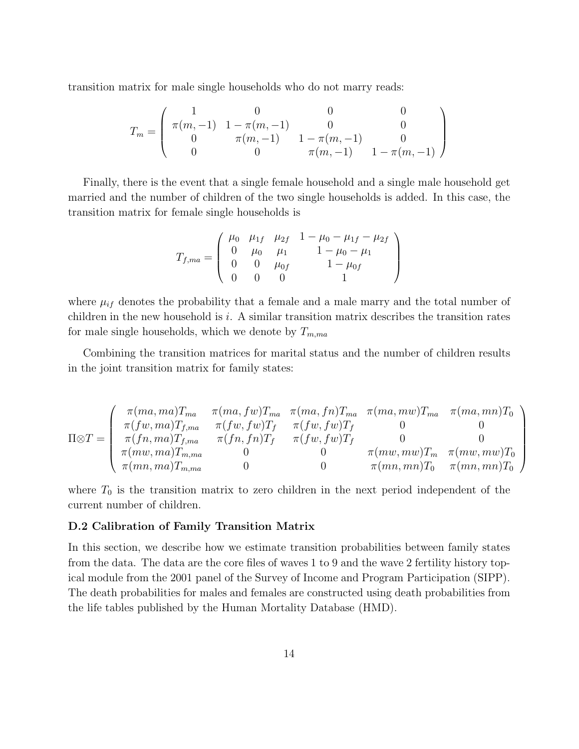transition matrix for male single households who do not marry reads:

$$
T_m = \left( \begin{array}{cccc} 1 & 0 & 0 & 0 \\ \pi(m, -1) & 1 - \pi(m, -1) & 0 & 0 \\ 0 & \pi(m, -1) & 1 - \pi(m, -1) & 0 \\ 0 & 0 & \pi(m, -1) & 1 - \pi(m, -1) \end{array} \right)
$$

Finally, there is the event that a single female household and a single male household get married and the number of children of the two single households is added. In this case, the transition matrix for female single households is

$$
T_{f,ma} = \left(\begin{array}{cccc} \mu_0 & \mu_{1f} & \mu_{2f} & 1 - \mu_0 - \mu_{1f} - \mu_{2f} \\ 0 & \mu_0 & \mu_1 & 1 - \mu_0 - \mu_1 \\ 0 & 0 & \mu_{0f} & 1 - \mu_{0f} \\ 0 & 0 & 0 & 1 \end{array}\right)
$$

where  $\mu_{if}$  denotes the probability that a female and a male marry and the total number of children in the new household is *i*. A similar transition matrix describes the transition rates for male single households, which we denote by  $T_{m,ma}$ 

Combining the transition matrices for marital status and the number of children results in the joint transition matrix for family states:

$$
\Pi \otimes T = \left( \begin{array}{cccc} \pi(ma, ma)T_{ma} & \pi(ma, fw)T_{ma} & \pi(ma, fn)T_{ma} & \pi(ma, mw)T_{ma} & \pi(ma, mn)T_0 \\ \pi(fw, ma)T_{f,ma} & \pi(fw, fw)T_f & \pi(fw, fw)T_f & 0 & 0 \\ \pi(fn, ma)T_{f,ma} & \pi(fn, fn)T_f & \pi(fw, fw)T_f & 0 & 0 \\ \pi(mw, ma)T_{m,ma} & 0 & 0 & \pi(mw, mw)T_m & \pi(mw, mw)T_0 \\ \pi(mn, ma)T_{m,ma} & 0 & 0 & \pi(mn, mn)T_0 & \pi(mn, mn)T_0 \end{array} \right)
$$

where  $T_0$  is the transition matrix to zero children in the next period independent of the current number of children.

## **D.2 Calibration of Family Transition Matrix**

In this section, we describe how we estimate transition probabilities between family states from the data. The data are the core files of waves 1 to 9 and the wave 2 fertility history topical module from the 2001 panel of the Survey of Income and Program Participation (SIPP). The death probabilities for males and females are constructed using death probabilities from the life tables published by the Human Mortality Database (HMD).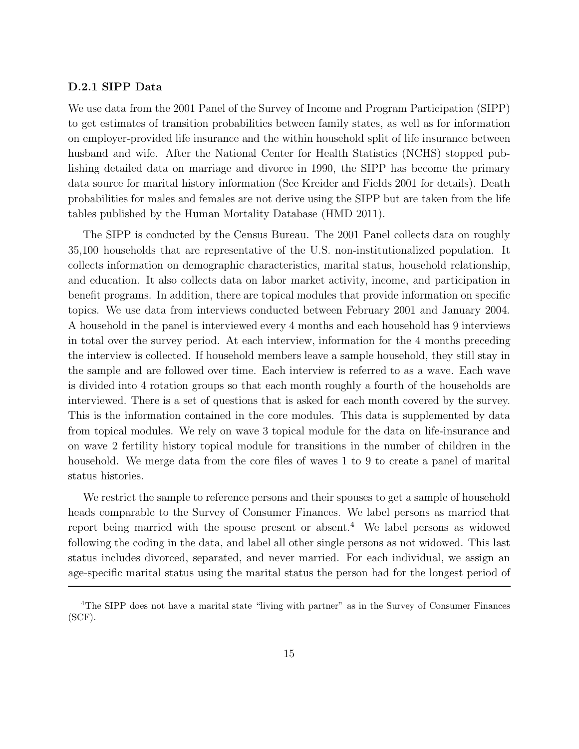## **D.2.1 SIPP Data**

We use data from the 2001 Panel of the Survey of Income and Program Participation (SIPP) to get estimates of transition probabilities between family states, as well as for information on employer-provided life insurance and the within household split of life insurance between husband and wife. After the National Center for Health Statistics (NCHS) stopped publishing detailed data on marriage and divorce in 1990, the SIPP has become the primary data source for marital history information (See Kreider and Fields 2001 for details). Death probabilities for males and females are not derive using the SIPP but are taken from the life tables published by the Human Mortality Database (HMD 2011).

The SIPP is conducted by the Census Bureau. The 2001 Panel collects data on roughly 35,100 households that are representative of the U.S. non-institutionalized population. It collects information on demographic characteristics, marital status, household relationship, and education. It also collects data on labor market activity, income, and participation in benefit programs. In addition, there are topical modules that provide information on specific topics. We use data from interviews conducted between February 2001 and January 2004. A household in the panel is interviewed every 4 months and each household has 9 interviews in total over the survey period. At each interview, information for the 4 months preceding the interview is collected. If household members leave a sample household, they still stay in the sample and are followed over time. Each interview is referred to as a wave. Each wave is divided into 4 rotation groups so that each month roughly a fourth of the households are interviewed. There is a set of questions that is asked for each month covered by the survey. This is the information contained in the core modules. This data is supplemented by data from topical modules. We rely on wave 3 topical module for the data on life-insurance and on wave 2 fertility history topical module for transitions in the number of children in the household. We merge data from the core files of waves 1 to 9 to create a panel of marital status histories.

We restrict the sample to reference persons and their spouses to get a sample of household heads comparable to the Survey of Consumer Finances. We label persons as married that report being married with the spouse present or absent.<sup>4</sup> We label persons as widowed following the coding in the data, and label all other single persons as not widowed. This last status includes divorced, separated, and never married. For each individual, we assign an age-specific marital status using the marital status the person had for the longest period of

<sup>&</sup>lt;sup>4</sup>The SIPP does not have a marital state "living with partner" as in the Survey of Consumer Finances (SCF).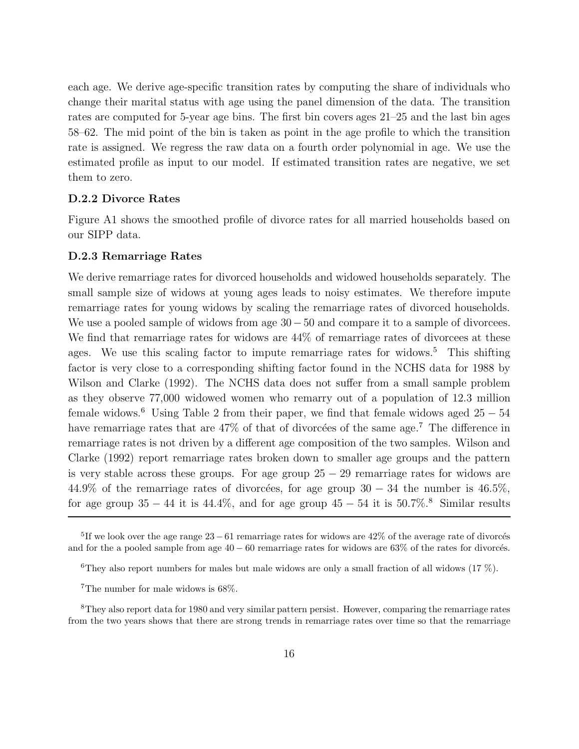each age. We derive age-specific transition rates by computing the share of individuals who change their marital status with age using the panel dimension of the data. The transition rates are computed for 5-year age bins. The first bin covers ages 21–25 and the last bin ages 58–62. The mid point of the bin is taken as point in the age profile to which the transition rate is assigned. We regress the raw data on a fourth order polynomial in age. We use the estimated profile as input to our model. If estimated transition rates are negative, we set them to zero.

## **D.2.2 Divorce Rates**

Figure A1 shows the smoothed profile of divorce rates for all married households based on our SIPP data.

#### **D.2.3 Remarriage Rates**

We derive remarriage rates for divorced households and widowed households separately. The small sample size of widows at young ages leads to noisy estimates. We therefore impute remarriage rates for young widows by scaling the remarriage rates of divorced households. We use a pooled sample of widows from age 30−50 and compare it to a sample of divorcees. We find that remarriage rates for widows are  $44\%$  of remarriage rates of divorcees at these ages. We use this scaling factor to impute remarriage rates for widows.<sup>5</sup> This shifting factor is very close to a corresponding shifting factor found in the NCHS data for 1988 by Wilson and Clarke (1992). The NCHS data does not suffer from a small sample problem as they observe 77,000 widowed women who remarry out of a population of 12.3 million female widows.<sup>6</sup> Using Table 2 from their paper, we find that female widows aged  $25 - 54$ have remarriage rates that are  $47\%$  of that of divorcées of the same age.<sup>7</sup> The difference in remarriage rates is not driven by a different age composition of the two samples. Wilson and Clarke (1992) report remarriage rates broken down to smaller age groups and the pattern is very stable across these groups. For age group  $25 - 29$  remarriage rates for widows are 44.9% of the remarriage rates of divorcées, for age group  $30 - 34$  the number is  $46.5\%$ , for age group  $35 - 44$  it is  $44.4\%$ , and for age group  $45 - 54$  it is  $50.7\%$ .<sup>8</sup> Similar results

<sup>&</sup>lt;sup>5</sup>If we look over the age range  $23-61$  remarriage rates for widows are 42% of the average rate of divorcés and for the a pooled sample from age  $40 - 60$  remarriage rates for widows are  $63\%$  of the rates for divorcés.

<sup>&</sup>lt;sup>6</sup>They also report numbers for males but male widows are only a small fraction of all widows  $(17 \%)$ .

<sup>7</sup>The number for male widows is 68%.

<sup>8</sup>They also report data for 1980 and very similar pattern persist. However, comparing the remarriage rates from the two years shows that there are strong trends in remarriage rates over time so that the remarriage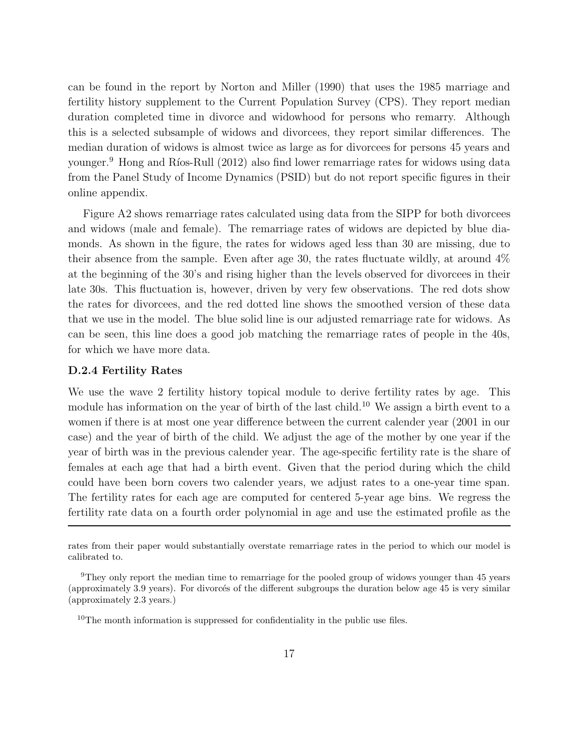can be found in the report by Norton and Miller (1990) that uses the 1985 marriage and fertility history supplement to the Current Population Survey (CPS). They report median duration completed time in divorce and widowhood for persons who remarry. Although this is a selected subsample of widows and divorcees, they report similar differences. The median duration of widows is almost twice as large as for divorcees for persons 45 years and younger.<sup>9</sup> Hong and Ríos-Rull (2012) also find lower remarriage rates for widows using data from the Panel Study of Income Dynamics (PSID) but do not report specific figures in their online appendix.

Figure A2 shows remarriage rates calculated using data from the SIPP for both divorcees and widows (male and female). The remarriage rates of widows are depicted by blue diamonds. As shown in the figure, the rates for widows aged less than 30 are missing, due to their absence from the sample. Even after age 30, the rates fluctuate wildly, at around 4% at the beginning of the 30's and rising higher than the levels observed for divorcees in their late 30s. This fluctuation is, however, driven by very few observations. The red dots show the rates for divorcees, and the red dotted line shows the smoothed version of these data that we use in the model. The blue solid line is our adjusted remarriage rate for widows. As can be seen, this line does a good job matching the remarriage rates of people in the 40s, for which we have more data.

#### **D.2.4 Fertility Rates**

We use the wave 2 fertility history topical module to derive fertility rates by age. This module has information on the year of birth of the last child.<sup>10</sup> We assign a birth event to a women if there is at most one year difference between the current calender year (2001 in our case) and the year of birth of the child. We adjust the age of the mother by one year if the year of birth was in the previous calender year. The age-specific fertility rate is the share of females at each age that had a birth event. Given that the period during which the child could have been born covers two calender years, we adjust rates to a one-year time span. The fertility rates for each age are computed for centered 5-year age bins. We regress the fertility rate data on a fourth order polynomial in age and use the estimated profile as the

rates from their paper would substantially overstate remarriage rates in the period to which our model is calibrated to.

<sup>&</sup>lt;sup>9</sup>They only report the median time to remarriage for the pooled group of widows younger than 45 years (approximately 3.9 years). For divorcés of the different subgroups the duration below age 45 is very similar (approximately 2.3 years.)

 $10$ The month information is suppressed for confidentiality in the public use files.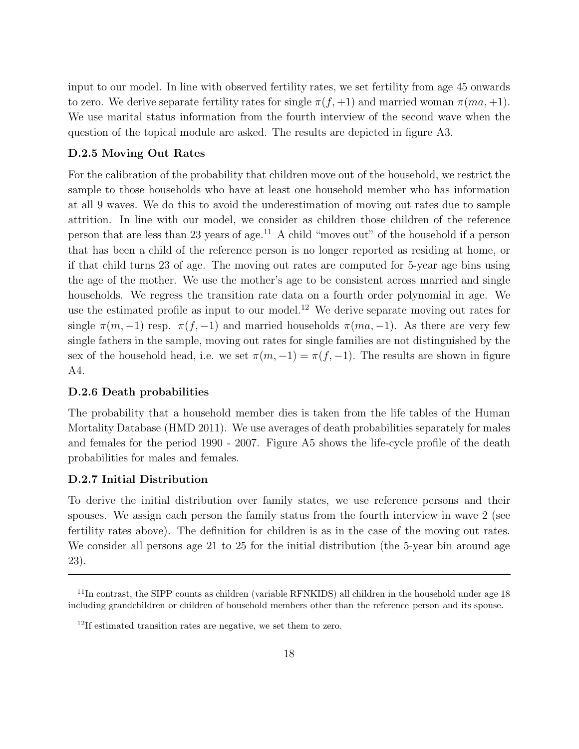input to our model. In line with observed fertility rates, we set fertility from age 45 onwards to zero. We derive separate fertility rates for single  $\pi(f, +1)$  and married woman  $\pi(ma, +1)$ . We use marital status information from the fourth interview of the second wave when the question of the topical module are asked. The results are depicted in figure A3.

## **D.2.5 Moving Out Rates**

For the calibration of the probability that children move out of the household, we restrict the sample to those households who have at least one household member who has information at all 9 waves. We do this to avoid the underestimation of moving out rates due to sample attrition. In line with our model, we consider as children those children of the reference person that are less than 23 years of age.<sup>11</sup> A child "moves out" of the household if a person that has been a child of the reference person is no longer reported as residing at home, or if that child turns 23 of age. The moving out rates are computed for 5-year age bins using the age of the mother. We use the mother's age to be consistent across married and single households. We regress the transition rate data on a fourth order polynomial in age. We use the estimated profile as input to our model.<sup>12</sup> We derive separate moving out rates for single  $\pi(m, -1)$  resp.  $\pi(f, -1)$  and married households  $\pi(m, -1)$ . As there are very few single fathers in the sample, moving out rates for single families are not distinguished by the sex of the household head, i.e. we set  $\pi(m, -1) = \pi(f, -1)$ . The results are shown in figure A4.

## **D.2.6 Death probabilities**

The probability that a household member dies is taken from the life tables of the Human Mortality Database (HMD 2011). We use averages of death probabilities separately for males and females for the period 1990 - 2007. Figure A5 shows the life-cycle profile of the death probabilities for males and females.

## **D.2.7 Initial Distribution**

To derive the initial distribution over family states, we use reference persons and their spouses. We assign each person the family status from the fourth interview in wave 2 (see fertility rates above). The definition for children is as in the case of the moving out rates. We consider all persons age 21 to 25 for the initial distribution (the 5-year bin around age 23).

<sup>&</sup>lt;sup>11</sup>In contrast, the SIPP counts as children (variable RFNKIDS) all children in the household under age 18 including grandchildren or children of household members other than the reference person and its spouse.

<sup>12</sup>If estimated transition rates are negative, we set them to zero.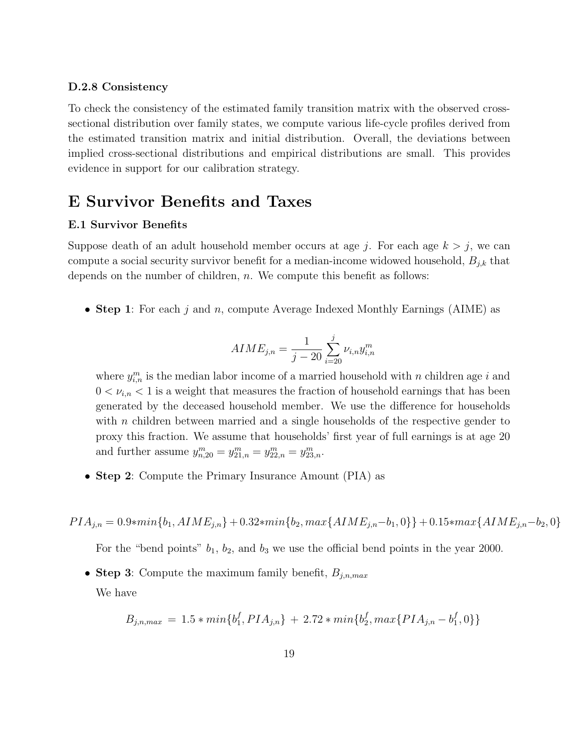#### **D.2.8 Consistency**

To check the consistency of the estimated family transition matrix with the observed crosssectional distribution over family states, we compute various life-cycle profiles derived from the estimated transition matrix and initial distribution. Overall, the deviations between implied cross-sectional distributions and empirical distributions are small. This provides evidence in support for our calibration strategy.

## **E Survivor Benefits and Taxes**

## **E.1 Survivor Benefits**

Suppose death of an adult household member occurs at age  $j$ . For each age  $k > j$ , we can compute a social security survivor benefit for a median-income widowed household,  $B_{j,k}$  that depends on the number of children, *n*. We compute this benefit as follows:

• **Step 1**: For each *j* and *n*, compute Average Indexed Monthly Earnings (AIME) as

$$
AIME_{j,n} = \frac{1}{j-20} \sum_{i=20}^{j} \nu_{i,n} y_{i,n}^{m}
$$

where  $y_{i,n}^m$  is the median labor income of a married household with *n* children age *i* and  $0 < \nu_{i,n} < 1$  is a weight that measures the fraction of household earnings that has been generated by the deceased household member. We use the difference for households with *n* children between married and a single households of the respective gender to proxy this fraction. We assume that households' first year of full earnings is at age 20 and further assume  $y_{n,20}^m = y_{21,n}^m = y_{22,n}^m = y_{23,n}^m$ .

• **Step 2**: Compute the Primary Insurance Amount (PIA) as

 $PIA_{in} = 0.9*min\{b_1, \text{AIME}_{in}\} + 0.32*min\{b_2, \text{max}\{\text{AIME}_{in}-b_1, 0\}\} + 0.15*max\{\text{AIME}_{in}-b_2, 0\}$ 

For the "bend points"  $b_1$ ,  $b_2$ , and  $b_3$  we use the official bend points in the year 2000.

• **Step 3**: Compute the maximum family benefit,  $B_{j,n,max}$ 

We have

$$
B_{j,n,max} = 1.5 * min\{b_1^f, PIA_{j,n}\} + 2.72 * min\{b_2^f, max\{PIA_{j,n} - b_1^f, 0\}\}
$$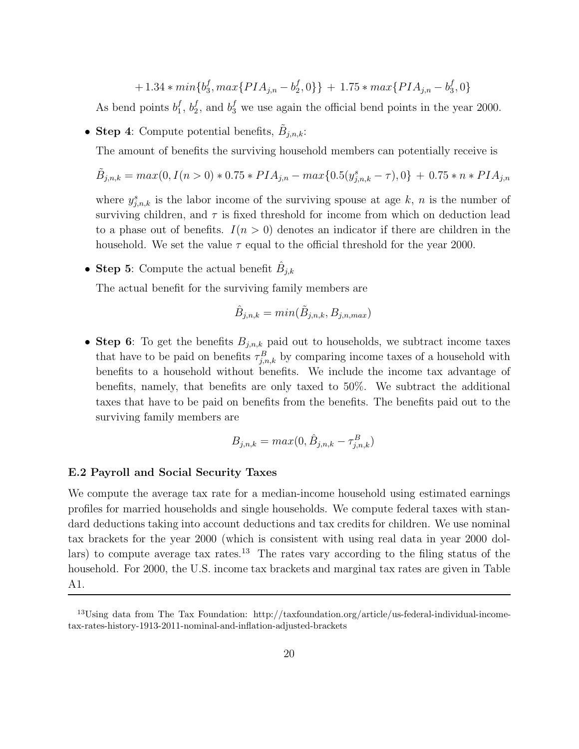$+ 1.34 * min\{b_3^f, max\{PIA_{j,n} - b_2^f, 0\}\} + 1.75 * max\{PIA_{j,n} - b_3^f, 0\}$ 

As bend points  $b_1^f$ ,  $b_2^f$ , and  $b_3^f$  we use again the official bend points in the year 2000.

• **Step 4**: Compute potential benefits,  $\tilde{B}_{j,n,k}$ :

The amount of benefits the surviving household members can potentially receive is

$$
\tilde{B}_{j,n,k} = max(0, I(n > 0) * 0.75 * PIA_{j,n} - max\{0.5(y_{j,n,k}^s - \tau), 0\} + 0.75 * n * PIA_{j,n})
$$

where  $y_{j,n,k}^s$  is the labor income of the surviving spouse at age  $k$ ,  $n$  is the number of surviving children, and  $\tau$  is fixed threshold for income from which on deduction lead to a phase out of benefits.  $I(n > 0)$  denotes an indicator if there are children in the household. We set the value *τ* equal to the official threshold for the year 2000.

• **Step 5**: Compute the actual benefit  $\hat{B}_{j,k}$ 

The actual benefit for the surviving family members are

$$
\hat{B}_{j,n,k} = min(\tilde{B}_{j,n,k}, B_{j,n,max})
$$

• Step 6: To get the benefits  $B_{j,n,k}$  paid out to households, we subtract income taxes that have to be paid on benefits  $\tau_{j,n,k}^B$  by comparing income taxes of a household with benefits to a household without benefits. We include the income tax advantage of benefits, namely, that benefits are only taxed to 50%. We subtract the additional taxes that have to be paid on benefits from the benefits. The benefits paid out to the surviving family members are

$$
B_{j,n,k} = max(0, \hat{B}_{j,n,k} - \tau_{j,n,k}^B)
$$

## **E.2 Payroll and Social Security Taxes**

We compute the average tax rate for a median-income household using estimated earnings profiles for married households and single households. We compute federal taxes with standard deductions taking into account deductions and tax credits for children. We use nominal tax brackets for the year 2000 (which is consistent with using real data in year 2000 dollars) to compute average tax rates.<sup>13</sup> The rates vary according to the filing status of the household. For 2000, the U.S. income tax brackets and marginal tax rates are given in Table A1.

<sup>&</sup>lt;sup>13</sup>Using data from The Tax Foundation: http://taxfoundation.org/article/us-federal-individual-incometax-rates-history-1913-2011-nominal-and-inflation-adjusted-brackets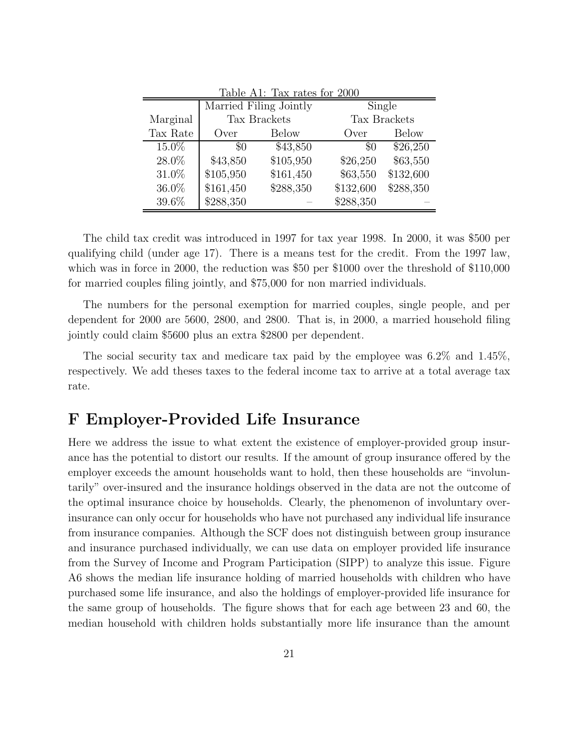| TAUIC AI. IAA IAUCS IUI<br>ZUUU |                        |              |              |              |  |  |  |
|---------------------------------|------------------------|--------------|--------------|--------------|--|--|--|
|                                 | Married Filing Jointly |              | Single       |              |  |  |  |
| Marginal                        | Tax Brackets           |              | Tax Brackets |              |  |  |  |
| Tax Rate                        | Over                   | <b>Below</b> | Over         | <b>Below</b> |  |  |  |
| 15.0%                           | \$0                    | \$43,850     | \$0          | \$26,250     |  |  |  |
| 28.0%                           | \$43,850               | \$105,950    | \$26,250     | \$63,550     |  |  |  |
| 31.0%                           | \$105,950              | \$161,450    | \$63,550     | \$132,600    |  |  |  |
| 36.0%                           | \$161,450              | \$288,350    | \$132,600    | \$288,350    |  |  |  |
| 39.6%                           | \$288,350              |              | \$288,350    |              |  |  |  |

Table A1: Tax rates for 2000

The child tax credit was introduced in 1997 for tax year 1998. In 2000, it was \$500 per qualifying child (under age 17). There is a means test for the credit. From the 1997 law, which was in force in 2000, the reduction was \$50 per \$1000 over the threshold of \$110,000 for married couples filing jointly, and \$75,000 for non married individuals.

The numbers for the personal exemption for married couples, single people, and per dependent for 2000 are 5600, 2800, and 2800. That is, in 2000, a married household filing jointly could claim \$5600 plus an extra \$2800 per dependent.

The social security tax and medicare tax paid by the employee was 6*.*2% and 1*.*45%, respectively. We add theses taxes to the federal income tax to arrive at a total average tax rate.

## **F Employer-Provided Life Insurance**

Here we address the issue to what extent the existence of employer-provided group insurance has the potential to distort our results. If the amount of group insurance offered by the employer exceeds the amount households want to hold, then these households are "involuntarily" over-insured and the insurance holdings observed in the data are not the outcome of the optimal insurance choice by households. Clearly, the phenomenon of involuntary overinsurance can only occur for households who have not purchased any individual life insurance from insurance companies. Although the SCF does not distinguish between group insurance and insurance purchased individually, we can use data on employer provided life insurance from the Survey of Income and Program Participation (SIPP) to analyze this issue. Figure A6 shows the median life insurance holding of married households with children who have purchased some life insurance, and also the holdings of employer-provided life insurance for the same group of households. The figure shows that for each age between 23 and 60, the median household with children holds substantially more life insurance than the amount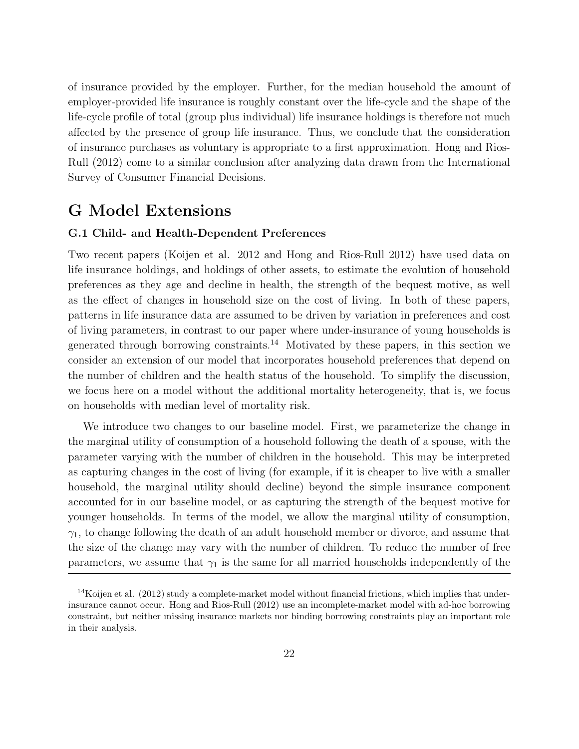of insurance provided by the employer. Further, for the median household the amount of employer-provided life insurance is roughly constant over the life-cycle and the shape of the life-cycle profile of total (group plus individual) life insurance holdings is therefore not much affected by the presence of group life insurance. Thus, we conclude that the consideration of insurance purchases as voluntary is appropriate to a first approximation. Hong and Rios-Rull (2012) come to a similar conclusion after analyzing data drawn from the International Survey of Consumer Financial Decisions.

# **G Model Extensions**

## **G.1 Child- and Health-Dependent Preferences**

Two recent papers (Koijen et al. 2012 and Hong and Rios-Rull 2012) have used data on life insurance holdings, and holdings of other assets, to estimate the evolution of household preferences as they age and decline in health, the strength of the bequest motive, as well as the effect of changes in household size on the cost of living. In both of these papers, patterns in life insurance data are assumed to be driven by variation in preferences and cost of living parameters, in contrast to our paper where under-insurance of young households is generated through borrowing constraints.<sup>14</sup> Motivated by these papers, in this section we consider an extension of our model that incorporates household preferences that depend on the number of children and the health status of the household. To simplify the discussion, we focus here on a model without the additional mortality heterogeneity, that is, we focus on households with median level of mortality risk.

We introduce two changes to our baseline model. First, we parameterize the change in the marginal utility of consumption of a household following the death of a spouse, with the parameter varying with the number of children in the household. This may be interpreted as capturing changes in the cost of living (for example, if it is cheaper to live with a smaller household, the marginal utility should decline) beyond the simple insurance component accounted for in our baseline model, or as capturing the strength of the bequest motive for younger households. In terms of the model, we allow the marginal utility of consumption, *γ*1, to change following the death of an adult household member or divorce, and assume that the size of the change may vary with the number of children. To reduce the number of free parameters, we assume that  $\gamma_1$  is the same for all married households independently of the

 $14$ Koijen et al. (2012) study a complete-market model without financial frictions, which implies that underinsurance cannot occur. Hong and Rios-Rull (2012) use an incomplete-market model with ad-hoc borrowing constraint, but neither missing insurance markets nor binding borrowing constraints play an important role in their analysis.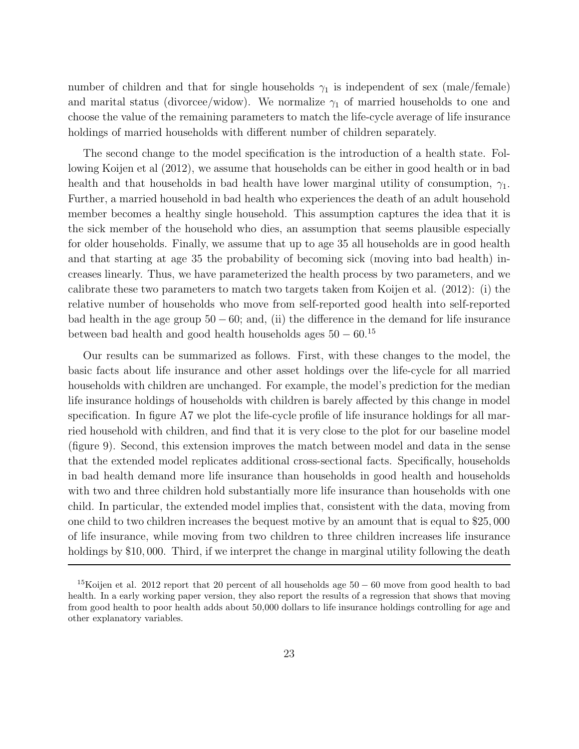number of children and that for single households  $\gamma_1$  is independent of sex (male/female) and marital status (divorcee/widow). We normalize  $\gamma_1$  of married households to one and choose the value of the remaining parameters to match the life-cycle average of life insurance holdings of married households with different number of children separately.

The second change to the model specification is the introduction of a health state. Following Koijen et al (2012), we assume that households can be either in good health or in bad health and that households in bad health have lower marginal utility of consumption,  $\gamma_1$ . Further, a married household in bad health who experiences the death of an adult household member becomes a healthy single household. This assumption captures the idea that it is the sick member of the household who dies, an assumption that seems plausible especially for older households. Finally, we assume that up to age 35 all households are in good health and that starting at age 35 the probability of becoming sick (moving into bad health) increases linearly. Thus, we have parameterized the health process by two parameters, and we calibrate these two parameters to match two targets taken from Koijen et al. (2012): (i) the relative number of households who move from self-reported good health into self-reported bad health in the age group  $50 - 60$ ; and, (ii) the difference in the demand for life insurance between bad health and good health households ages  $50 - 60$ .<sup>15</sup>

Our results can be summarized as follows. First, with these changes to the model, the basic facts about life insurance and other asset holdings over the life-cycle for all married households with children are unchanged. For example, the model's prediction for the median life insurance holdings of households with children is barely affected by this change in model specification. In figure A7 we plot the life-cycle profile of life insurance holdings for all married household with children, and find that it is very close to the plot for our baseline model (figure 9). Second, this extension improves the match between model and data in the sense that the extended model replicates additional cross-sectional facts. Specifically, households in bad health demand more life insurance than households in good health and households with two and three children hold substantially more life insurance than households with one child. In particular, the extended model implies that, consistent with the data, moving from one child to two children increases the bequest motive by an amount that is equal to \$25*,* 000 of life insurance, while moving from two children to three children increases life insurance holdings by \$10,000. Third, if we interpret the change in marginal utility following the death

<sup>&</sup>lt;sup>15</sup>Koijen et al. 2012 report that 20 percent of all households age  $50 - 60$  move from good health to bad health. In a early working paper version, they also report the results of a regression that shows that moving from good health to poor health adds about 50,000 dollars to life insurance holdings controlling for age and other explanatory variables.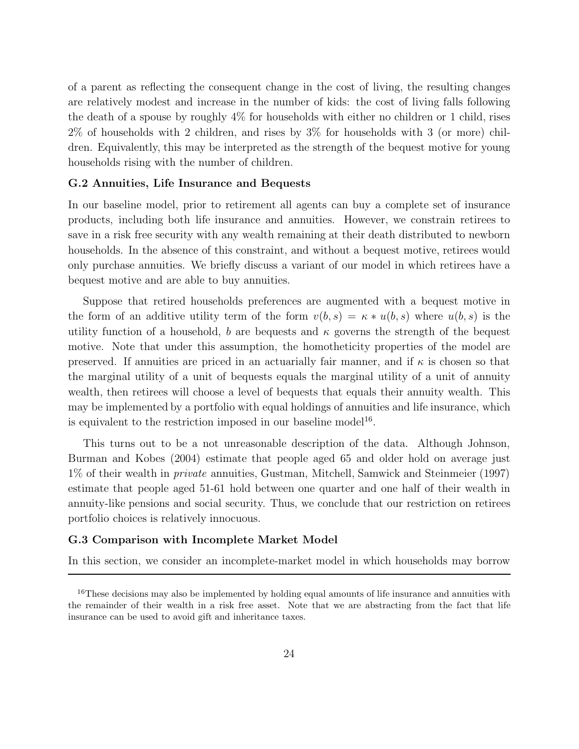of a parent as reflecting the consequent change in the cost of living, the resulting changes are relatively modest and increase in the number of kids: the cost of living falls following the death of a spouse by roughly 4% for households with either no children or 1 child, rises 2% of households with 2 children, and rises by 3% for households with 3 (or more) children. Equivalently, this may be interpreted as the strength of the bequest motive for young households rising with the number of children.

## **G.2 Annuities, Life Insurance and Bequests**

In our baseline model, prior to retirement all agents can buy a complete set of insurance products, including both life insurance and annuities. However, we constrain retirees to save in a risk free security with any wealth remaining at their death distributed to newborn households. In the absence of this constraint, and without a bequest motive, retirees would only purchase annuities. We briefly discuss a variant of our model in which retirees have a bequest motive and are able to buy annuities.

Suppose that retired households preferences are augmented with a bequest motive in the form of an additive utility term of the form  $v(b,s) = \kappa * u(b,s)$  where  $u(b,s)$  is the utility function of a household, *b* are bequests and  $\kappa$  governs the strength of the bequest motive. Note that under this assumption, the homotheticity properties of the model are preserved. If annuities are priced in an actuarially fair manner, and if *κ* is chosen so that the marginal utility of a unit of bequests equals the marginal utility of a unit of annuity wealth, then retirees will choose a level of bequests that equals their annuity wealth. This may be implemented by a portfolio with equal holdings of annuities and life insurance, which is equivalent to the restriction imposed in our baseline model<sup>16</sup>.

This turns out to be a not unreasonable description of the data. Although Johnson, Burman and Kobes (2004) estimate that people aged 65 and older hold on average just 1% of their wealth in *private* annuities, Gustman, Mitchell, Samwick and Steinmeier (1997) estimate that people aged 51-61 hold between one quarter and one half of their wealth in annuity-like pensions and social security. Thus, we conclude that our restriction on retirees portfolio choices is relatively innocuous.

#### **G.3 Comparison with Incomplete Market Model**

In this section, we consider an incomplete-market model in which households may borrow

<sup>&</sup>lt;sup>16</sup>These decisions may also be implemented by holding equal amounts of life insurance and annuities with the remainder of their wealth in a risk free asset. Note that we are abstracting from the fact that life insurance can be used to avoid gift and inheritance taxes.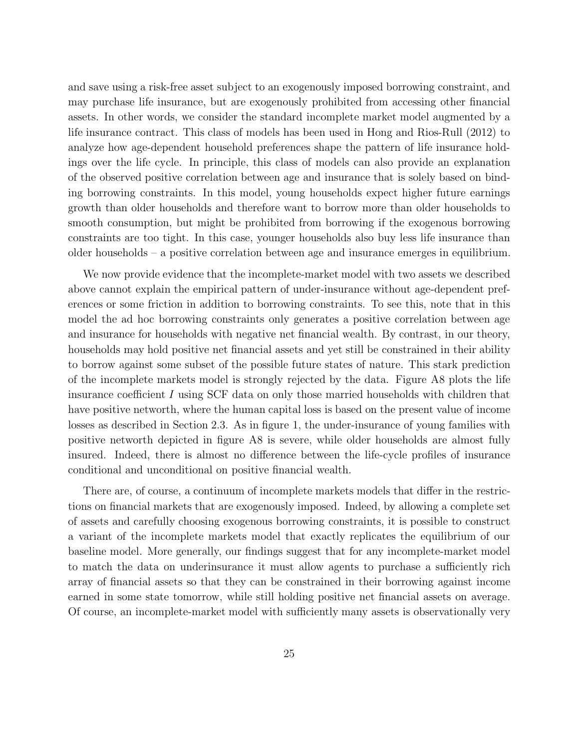and save using a risk-free asset subject to an exogenously imposed borrowing constraint, and may purchase life insurance, but are exogenously prohibited from accessing other financial assets. In other words, we consider the standard incomplete market model augmented by a life insurance contract. This class of models has been used in Hong and Rios-Rull (2012) to analyze how age-dependent household preferences shape the pattern of life insurance holdings over the life cycle. In principle, this class of models can also provide an explanation of the observed positive correlation between age and insurance that is solely based on binding borrowing constraints. In this model, young households expect higher future earnings growth than older households and therefore want to borrow more than older households to smooth consumption, but might be prohibited from borrowing if the exogenous borrowing constraints are too tight. In this case, younger households also buy less life insurance than older households – a positive correlation between age and insurance emerges in equilibrium.

We now provide evidence that the incomplete-market model with two assets we described above cannot explain the empirical pattern of under-insurance without age-dependent preferences or some friction in addition to borrowing constraints. To see this, note that in this model the ad hoc borrowing constraints only generates a positive correlation between age and insurance for households with negative net financial wealth. By contrast, in our theory, households may hold positive net financial assets and yet still be constrained in their ability to borrow against some subset of the possible future states of nature. This stark prediction of the incomplete markets model is strongly rejected by the data. Figure A8 plots the life insurance coefficient *I* using SCF data on only those married households with children that have positive networth, where the human capital loss is based on the present value of income losses as described in Section 2.3. As in figure 1, the under-insurance of young families with positive networth depicted in figure A8 is severe, while older households are almost fully insured. Indeed, there is almost no difference between the life-cycle profiles of insurance conditional and unconditional on positive financial wealth.

There are, of course, a continuum of incomplete markets models that differ in the restrictions on financial markets that are exogenously imposed. Indeed, by allowing a complete set of assets and carefully choosing exogenous borrowing constraints, it is possible to construct a variant of the incomplete markets model that exactly replicates the equilibrium of our baseline model. More generally, our findings suggest that for any incomplete-market model to match the data on underinsurance it must allow agents to purchase a sufficiently rich array of financial assets so that they can be constrained in their borrowing against income earned in some state tomorrow, while still holding positive net financial assets on average. Of course, an incomplete-market model with sufficiently many assets is observationally very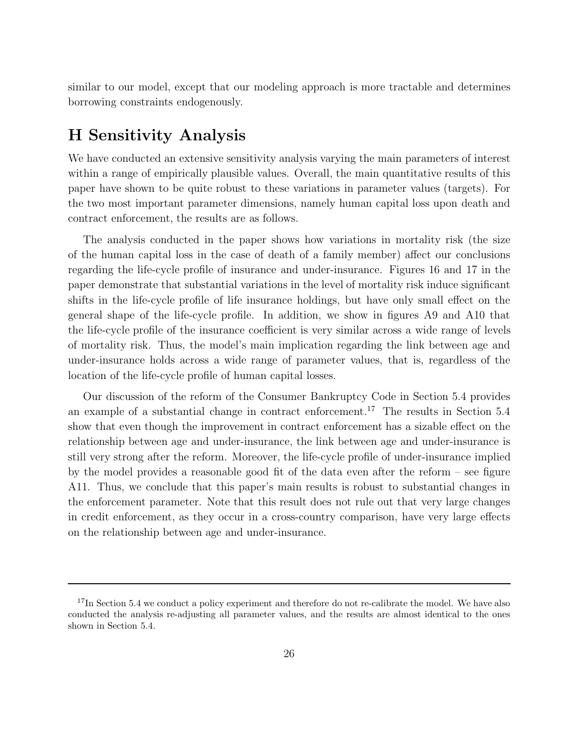similar to our model, except that our modeling approach is more tractable and determines borrowing constraints endogenously.

# **H Sensitivity Analysis**

We have conducted an extensive sensitivity analysis varying the main parameters of interest within a range of empirically plausible values. Overall, the main quantitative results of this paper have shown to be quite robust to these variations in parameter values (targets). For the two most important parameter dimensions, namely human capital loss upon death and contract enforcement, the results are as follows.

The analysis conducted in the paper shows how variations in mortality risk (the size of the human capital loss in the case of death of a family member) affect our conclusions regarding the life-cycle profile of insurance and under-insurance. Figures 16 and 17 in the paper demonstrate that substantial variations in the level of mortality risk induce significant shifts in the life-cycle profile of life insurance holdings, but have only small effect on the general shape of the life-cycle profile. In addition, we show in figures A9 and A10 that the life-cycle profile of the insurance coefficient is very similar across a wide range of levels of mortality risk. Thus, the model's main implication regarding the link between age and under-insurance holds across a wide range of parameter values, that is, regardless of the location of the life-cycle profile of human capital losses.

Our discussion of the reform of the Consumer Bankruptcy Code in Section 5.4 provides an example of a substantial change in contract enforcement.<sup>17</sup> The results in Section  $5.4$ show that even though the improvement in contract enforcement has a sizable effect on the relationship between age and under-insurance, the link between age and under-insurance is still very strong after the reform. Moreover, the life-cycle profile of under-insurance implied by the model provides a reasonable good fit of the data even after the reform – see figure A11. Thus, we conclude that this paper's main results is robust to substantial changes in the enforcement parameter. Note that this result does not rule out that very large changes in credit enforcement, as they occur in a cross-country comparison, have very large effects on the relationship between age and under-insurance.

<sup>&</sup>lt;sup>17</sup>In Section 5.4 we conduct a policy experiment and therefore do not re-calibrate the model. We have also conducted the analysis re-adjusting all parameter values, and the results are almost identical to the ones shown in Section 5.4.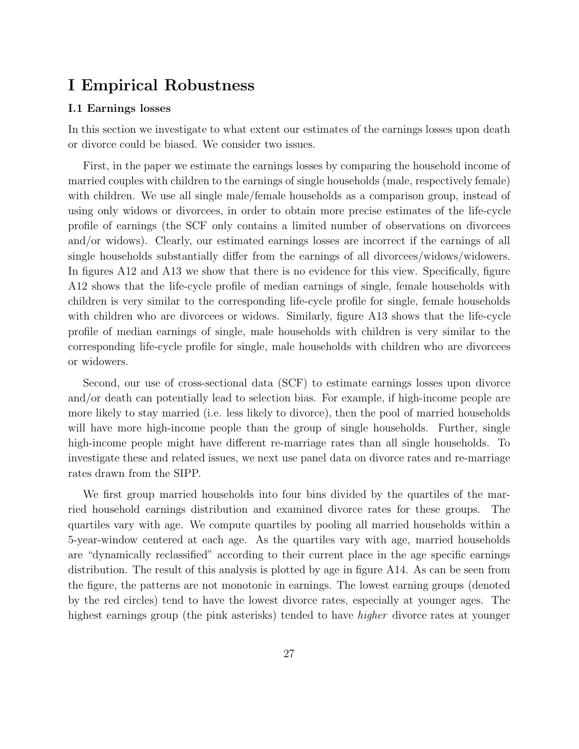# **I Empirical Robustness**

## **I.1 Earnings losses**

In this section we investigate to what extent our estimates of the earnings losses upon death or divorce could be biased. We consider two issues.

First, in the paper we estimate the earnings losses by comparing the household income of married couples with children to the earnings of single households (male, respectively female) with children. We use all single male/female households as a comparison group, instead of using only widows or divorcees, in order to obtain more precise estimates of the life-cycle profile of earnings (the SCF only contains a limited number of observations on divorcees and/or widows). Clearly, our estimated earnings losses are incorrect if the earnings of all single households substantially differ from the earnings of all divorcees/widows/widowers. In figures A12 and A13 we show that there is no evidence for this view. Specifically, figure A12 shows that the life-cycle profile of median earnings of single, female households with children is very similar to the corresponding life-cycle profile for single, female households with children who are divorcees or widows. Similarly, figure A13 shows that the life-cycle profile of median earnings of single, male households with children is very similar to the corresponding life-cycle profile for single, male households with children who are divorcees or widowers.

Second, our use of cross-sectional data (SCF) to estimate earnings losses upon divorce and/or death can potentially lead to selection bias. For example, if high-income people are more likely to stay married (i.e. less likely to divorce), then the pool of married households will have more high-income people than the group of single households. Further, single high-income people might have different re-marriage rates than all single households. To investigate these and related issues, we next use panel data on divorce rates and re-marriage rates drawn from the SIPP.

We first group married households into four bins divided by the quartiles of the married household earnings distribution and examined divorce rates for these groups. The quartiles vary with age. We compute quartiles by pooling all married households within a 5-year-window centered at each age. As the quartiles vary with age, married households are "dynamically reclassified" according to their current place in the age specific earnings distribution. The result of this analysis is plotted by age in figure A14. As can be seen from the figure, the patterns are not monotonic in earnings. The lowest earning groups (denoted by the red circles) tend to have the lowest divorce rates, especially at younger ages. The highest earnings group (the pink asterisks) tended to have *higher* divorce rates at younger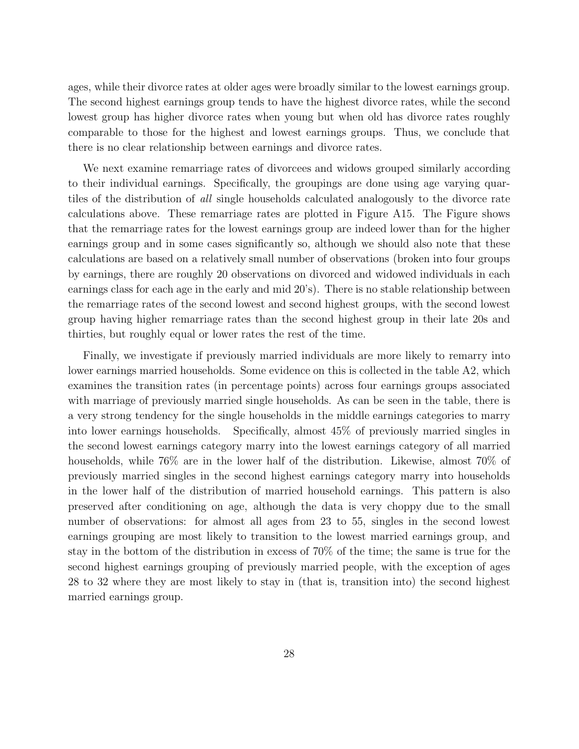ages, while their divorce rates at older ages were broadly similar to the lowest earnings group. The second highest earnings group tends to have the highest divorce rates, while the second lowest group has higher divorce rates when young but when old has divorce rates roughly comparable to those for the highest and lowest earnings groups. Thus, we conclude that there is no clear relationship between earnings and divorce rates.

We next examine remarriage rates of divorcees and widows grouped similarly according to their individual earnings. Specifically, the groupings are done using age varying quartiles of the distribution of *all* single households calculated analogously to the divorce rate calculations above. These remarriage rates are plotted in Figure A15. The Figure shows that the remarriage rates for the lowest earnings group are indeed lower than for the higher earnings group and in some cases significantly so, although we should also note that these calculations are based on a relatively small number of observations (broken into four groups by earnings, there are roughly 20 observations on divorced and widowed individuals in each earnings class for each age in the early and mid 20's). There is no stable relationship between the remarriage rates of the second lowest and second highest groups, with the second lowest group having higher remarriage rates than the second highest group in their late 20s and thirties, but roughly equal or lower rates the rest of the time.

Finally, we investigate if previously married individuals are more likely to remarry into lower earnings married households. Some evidence on this is collected in the table A2, which examines the transition rates (in percentage points) across four earnings groups associated with marriage of previously married single households. As can be seen in the table, there is a very strong tendency for the single households in the middle earnings categories to marry into lower earnings households. Specifically, almost 45% of previously married singles in the second lowest earnings category marry into the lowest earnings category of all married households, while 76% are in the lower half of the distribution. Likewise, almost 70% of previously married singles in the second highest earnings category marry into households in the lower half of the distribution of married household earnings. This pattern is also preserved after conditioning on age, although the data is very choppy due to the small number of observations: for almost all ages from 23 to 55, singles in the second lowest earnings grouping are most likely to transition to the lowest married earnings group, and stay in the bottom of the distribution in excess of 70% of the time; the same is true for the second highest earnings grouping of previously married people, with the exception of ages 28 to 32 where they are most likely to stay in (that is, transition into) the second highest married earnings group.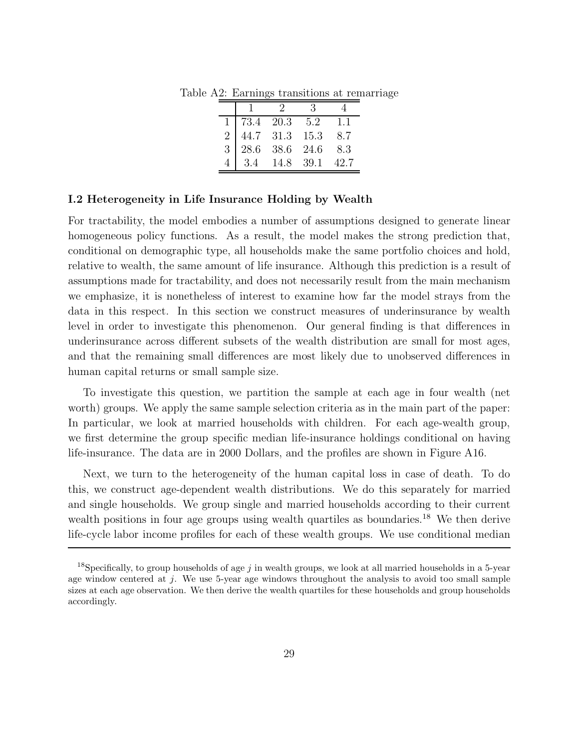|                |      |           | 3     |      |
|----------------|------|-----------|-------|------|
|                |      | 73.4 20.3 | - 5.2 | 1.1  |
| $\overline{2}$ |      | 44.7 31.3 | 15.3  | 8.7  |
| 3              | 28.6 | 38.6      | 24.6  | 8.3  |
|                | 3.4  | 14.8      | 39.1  | 42.7 |

Table A2: Earnings transitions at remarriage

## **I.2 Heterogeneity in Life Insurance Holding by Wealth**

For tractability, the model embodies a number of assumptions designed to generate linear homogeneous policy functions. As a result, the model makes the strong prediction that, conditional on demographic type, all households make the same portfolio choices and hold, relative to wealth, the same amount of life insurance. Although this prediction is a result of assumptions made for tractability, and does not necessarily result from the main mechanism we emphasize, it is nonetheless of interest to examine how far the model strays from the data in this respect. In this section we construct measures of underinsurance by wealth level in order to investigate this phenomenon. Our general finding is that differences in underinsurance across different subsets of the wealth distribution are small for most ages, and that the remaining small differences are most likely due to unobserved differences in human capital returns or small sample size.

To investigate this question, we partition the sample at each age in four wealth (net worth) groups. We apply the same sample selection criteria as in the main part of the paper: In particular, we look at married households with children. For each age-wealth group, we first determine the group specific median life-insurance holdings conditional on having life-insurance. The data are in 2000 Dollars, and the profiles are shown in Figure A16.

Next, we turn to the heterogeneity of the human capital loss in case of death. To do this, we construct age-dependent wealth distributions. We do this separately for married and single households. We group single and married households according to their current wealth positions in four age groups using wealth quartiles as boundaries.<sup>18</sup> We then derive life-cycle labor income profiles for each of these wealth groups. We use conditional median

<sup>&</sup>lt;sup>18</sup>Specifically, to group households of age j in wealth groups, we look at all married households in a 5-year age window centered at  $i$ . We use 5-year age windows throughout the analysis to avoid too small sample sizes at each age observation. We then derive the wealth quartiles for these households and group households accordingly.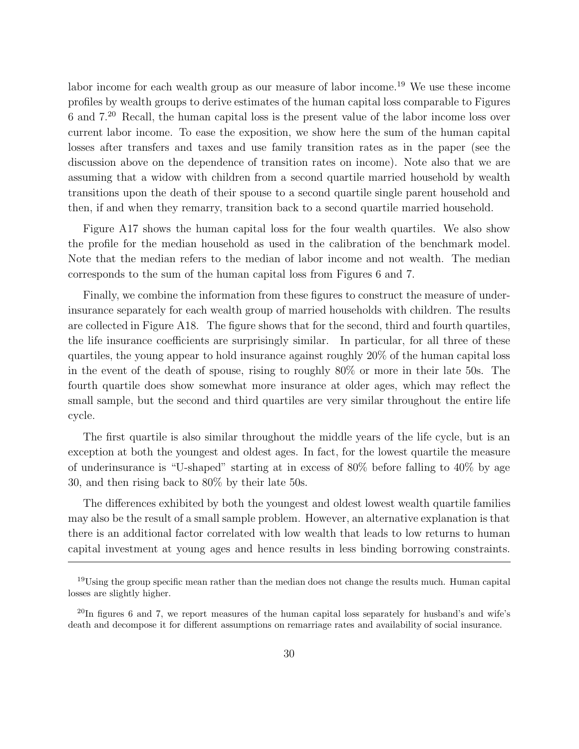labor income for each wealth group as our measure of labor income.<sup>19</sup> We use these income profiles by wealth groups to derive estimates of the human capital loss comparable to Figures 6 and 7.<sup>20</sup> Recall, the human capital loss is the present value of the labor income loss over current labor income. To ease the exposition, we show here the sum of the human capital losses after transfers and taxes and use family transition rates as in the paper (see the discussion above on the dependence of transition rates on income). Note also that we are assuming that a widow with children from a second quartile married household by wealth transitions upon the death of their spouse to a second quartile single parent household and then, if and when they remarry, transition back to a second quartile married household.

Figure A17 shows the human capital loss for the four wealth quartiles. We also show the profile for the median household as used in the calibration of the benchmark model. Note that the median refers to the median of labor income and not wealth. The median corresponds to the sum of the human capital loss from Figures 6 and 7.

Finally, we combine the information from these figures to construct the measure of underinsurance separately for each wealth group of married households with children. The results are collected in Figure A18. The figure shows that for the second, third and fourth quartiles, the life insurance coefficients are surprisingly similar. In particular, for all three of these quartiles, the young appear to hold insurance against roughly 20% of the human capital loss in the event of the death of spouse, rising to roughly 80% or more in their late 50s. The fourth quartile does show somewhat more insurance at older ages, which may reflect the small sample, but the second and third quartiles are very similar throughout the entire life cycle.

The first quartile is also similar throughout the middle years of the life cycle, but is an exception at both the youngest and oldest ages. In fact, for the lowest quartile the measure of underinsurance is "U-shaped" starting at in excess of 80% before falling to 40% by age 30, and then rising back to 80% by their late 50s.

The differences exhibited by both the youngest and oldest lowest wealth quartile families may also be the result of a small sample problem. However, an alternative explanation is that there is an additional factor correlated with low wealth that leads to low returns to human capital investment at young ages and hence results in less binding borrowing constraints.

<sup>&</sup>lt;sup>19</sup>Using the group specific mean rather than the median does not change the results much. Human capital losses are slightly higher.

 $^{20}$ In figures 6 and 7, we report measures of the human capital loss separately for husband's and wife's death and decompose it for different assumptions on remarriage rates and availability of social insurance.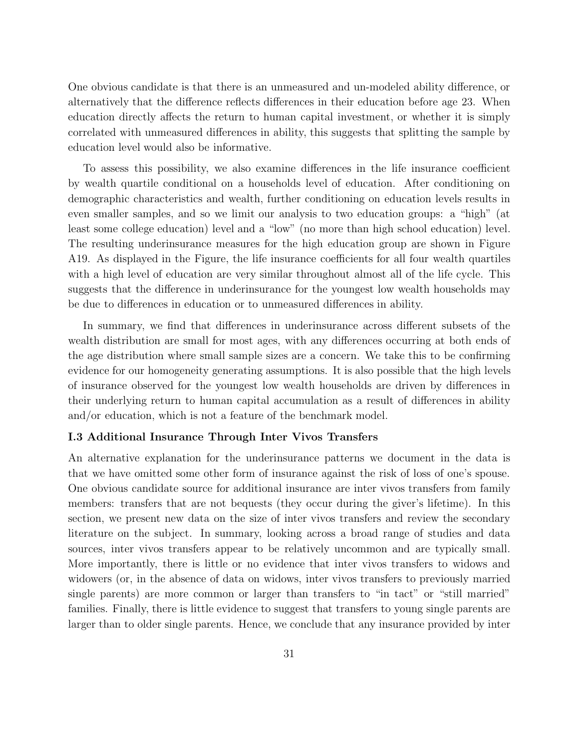One obvious candidate is that there is an unmeasured and un-modeled ability difference, or alternatively that the difference reflects differences in their education before age 23. When education directly affects the return to human capital investment, or whether it is simply correlated with unmeasured differences in ability, this suggests that splitting the sample by education level would also be informative.

To assess this possibility, we also examine differences in the life insurance coefficient by wealth quartile conditional on a households level of education. After conditioning on demographic characteristics and wealth, further conditioning on education levels results in even smaller samples, and so we limit our analysis to two education groups: a "high" (at least some college education) level and a "low" (no more than high school education) level. The resulting underinsurance measures for the high education group are shown in Figure A19. As displayed in the Figure, the life insurance coefficients for all four wealth quartiles with a high level of education are very similar throughout almost all of the life cycle. This suggests that the difference in underinsurance for the youngest low wealth households may be due to differences in education or to unmeasured differences in ability.

In summary, we find that differences in underinsurance across different subsets of the wealth distribution are small for most ages, with any differences occurring at both ends of the age distribution where small sample sizes are a concern. We take this to be confirming evidence for our homogeneity generating assumptions. It is also possible that the high levels of insurance observed for the youngest low wealth households are driven by differences in their underlying return to human capital accumulation as a result of differences in ability and/or education, which is not a feature of the benchmark model.

## **I.3 Additional Insurance Through Inter Vivos Transfers**

An alternative explanation for the underinsurance patterns we document in the data is that we have omitted some other form of insurance against the risk of loss of one's spouse. One obvious candidate source for additional insurance are inter vivos transfers from family members: transfers that are not bequests (they occur during the giver's lifetime). In this section, we present new data on the size of inter vivos transfers and review the secondary literature on the subject. In summary, looking across a broad range of studies and data sources, inter vivos transfers appear to be relatively uncommon and are typically small. More importantly, there is little or no evidence that inter vivos transfers to widows and widowers (or, in the absence of data on widows, inter vivos transfers to previously married single parents) are more common or larger than transfers to "in tact" or "still married" families. Finally, there is little evidence to suggest that transfers to young single parents are larger than to older single parents. Hence, we conclude that any insurance provided by inter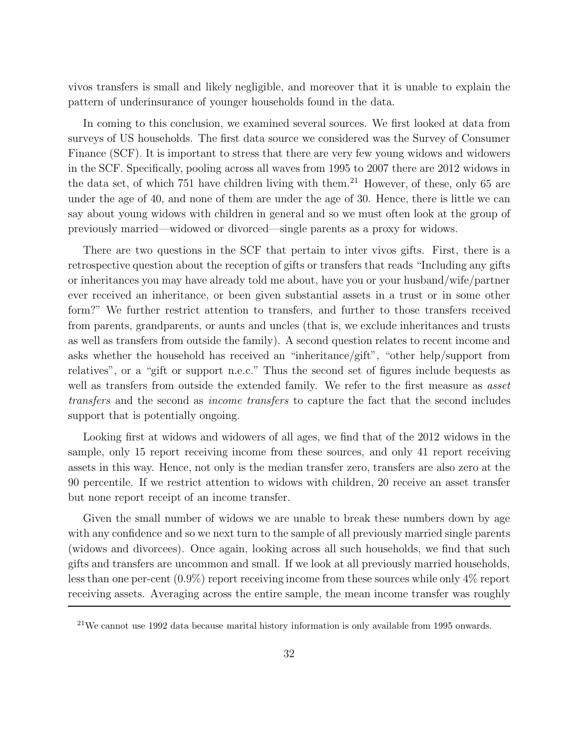vivos transfers is small and likely negligible, and moreover that it is unable to explain the pattern of underinsurance of younger households found in the data.

In coming to this conclusion, we examined several sources. We first looked at data from surveys of US households. The first data source we considered was the Survey of Consumer Finance (SCF). It is important to stress that there are very few young widows and widowers in the SCF. Specifically, pooling across all waves from 1995 to 2007 there are 2012 widows in the data set, of which  $751$  have children living with them.<sup>21</sup> However, of these, only 65 are under the age of 40, and none of them are under the age of 30. Hence, there is little we can say about young widows with children in general and so we must often look at the group of previously married—widowed or divorced—single parents as a proxy for widows.

There are two questions in the SCF that pertain to inter vivos gifts. First, there is a retrospective question about the reception of gifts or transfers that reads "Including any gifts or inheritances you may have already told me about, have you or your husband/wife/partner ever received an inheritance, or been given substantial assets in a trust or in some other form?" We further restrict attention to transfers, and further to those transfers received from parents, grandparents, or aunts and uncles (that is, we exclude inheritances and trusts as well as transfers from outside the family). A second question relates to recent income and asks whether the household has received an "inheritance/gift", "other help/support from relatives", or a "gift or support n.e.c." Thus the second set of figures include bequests as well as transfers from outside the extended family. We refer to the first measure as *asset transfers* and the second as *income transfers* to capture the fact that the second includes support that is potentially ongoing.

Looking first at widows and widowers of all ages, we find that of the 2012 widows in the sample, only 15 report receiving income from these sources, and only 41 report receiving assets in this way. Hence, not only is the median transfer zero, transfers are also zero at the 90 percentile. If we restrict attention to widows with children, 20 receive an asset transfer but none report receipt of an income transfer.

Given the small number of widows we are unable to break these numbers down by age with any confidence and so we next turn to the sample of all previously married single parents (widows and divorcees). Once again, looking across all such households, we find that such gifts and transfers are uncommon and small. If we look at all previously married households, less than one per-cent (0.9%) report receiving income from these sources while only 4% report receiving assets. Averaging across the entire sample, the mean income transfer was roughly

 $21$ We cannot use 1992 data because marital history information is only available from 1995 onwards.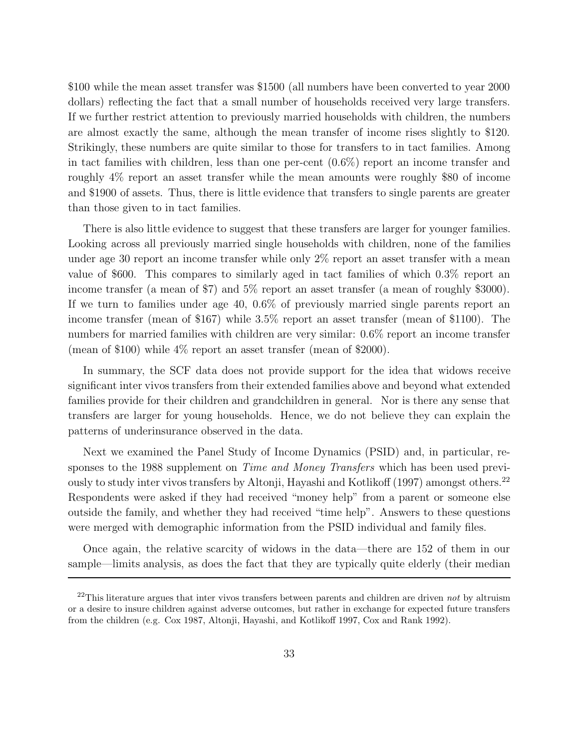\$100 while the mean asset transfer was \$1500 (all numbers have been converted to year 2000 dollars) reflecting the fact that a small number of households received very large transfers. If we further restrict attention to previously married households with children, the numbers are almost exactly the same, although the mean transfer of income rises slightly to \$120. Strikingly, these numbers are quite similar to those for transfers to in tact families. Among in tact families with children, less than one per-cent  $(0.6\%)$  report an income transfer and roughly 4% report an asset transfer while the mean amounts were roughly \$80 of income and \$1900 of assets. Thus, there is little evidence that transfers to single parents are greater than those given to in tact families.

There is also little evidence to suggest that these transfers are larger for younger families. Looking across all previously married single households with children, none of the families under age 30 report an income transfer while only 2% report an asset transfer with a mean value of \$600. This compares to similarly aged in tact families of which 0.3% report an income transfer (a mean of \$7) and 5% report an asset transfer (a mean of roughly \$3000). If we turn to families under age 40, 0.6% of previously married single parents report an income transfer (mean of \$167) while 3.5% report an asset transfer (mean of \$1100). The numbers for married families with children are very similar: 0.6% report an income transfer (mean of \$100) while 4% report an asset transfer (mean of \$2000).

In summary, the SCF data does not provide support for the idea that widows receive significant inter vivos transfers from their extended families above and beyond what extended families provide for their children and grandchildren in general. Nor is there any sense that transfers are larger for young households. Hence, we do not believe they can explain the patterns of underinsurance observed in the data.

Next we examined the Panel Study of Income Dynamics (PSID) and, in particular, responses to the 1988 supplement on *Time and Money Transfers* which has been used previously to study inter vivos transfers by Altonji, Hayashi and Kotlikoff (1997) amongst others.<sup>22</sup> Respondents were asked if they had received "money help" from a parent or someone else outside the family, and whether they had received "time help". Answers to these questions were merged with demographic information from the PSID individual and family files.

Once again, the relative scarcity of widows in the data—there are 152 of them in our sample—limits analysis, as does the fact that they are typically quite elderly (their median

 $^{22}$ This literature argues that inter vivos transfers between parents and children are driven not by altruism or a desire to insure children against adverse outcomes, but rather in exchange for expected future transfers from the children (e.g. Cox 1987, Altonji, Hayashi, and Kotlikoff 1997, Cox and Rank 1992).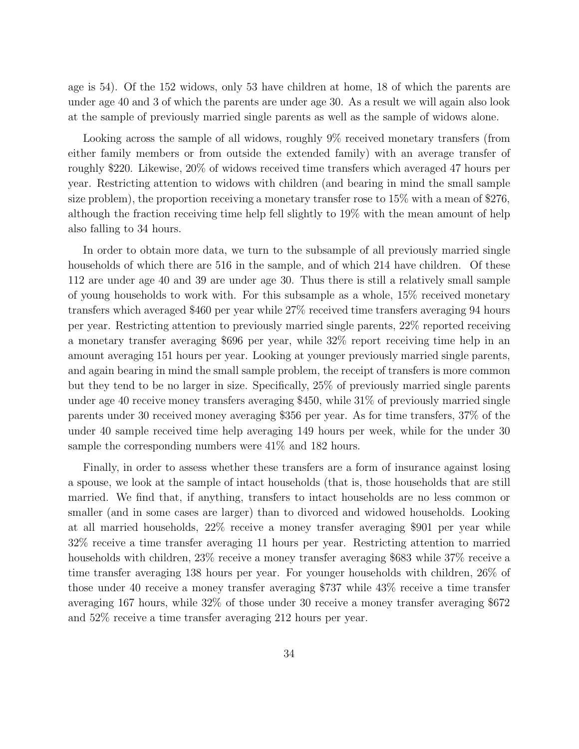age is 54). Of the 152 widows, only 53 have children at home, 18 of which the parents are under age 40 and 3 of which the parents are under age 30. As a result we will again also look at the sample of previously married single parents as well as the sample of widows alone.

Looking across the sample of all widows, roughly 9% received monetary transfers (from either family members or from outside the extended family) with an average transfer of roughly \$220. Likewise, 20% of widows received time transfers which averaged 47 hours per year. Restricting attention to widows with children (and bearing in mind the small sample size problem), the proportion receiving a monetary transfer rose to 15% with a mean of \$276, although the fraction receiving time help fell slightly to 19% with the mean amount of help also falling to 34 hours.

In order to obtain more data, we turn to the subsample of all previously married single households of which there are 516 in the sample, and of which 214 have children. Of these 112 are under age 40 and 39 are under age 30. Thus there is still a relatively small sample of young households to work with. For this subsample as a whole, 15% received monetary transfers which averaged \$460 per year while 27% received time transfers averaging 94 hours per year. Restricting attention to previously married single parents, 22% reported receiving a monetary transfer averaging \$696 per year, while 32% report receiving time help in an amount averaging 151 hours per year. Looking at younger previously married single parents, and again bearing in mind the small sample problem, the receipt of transfers is more common but they tend to be no larger in size. Specifically, 25% of previously married single parents under age 40 receive money transfers averaging \$450, while 31% of previously married single parents under 30 received money averaging \$356 per year. As for time transfers, 37% of the under 40 sample received time help averaging 149 hours per week, while for the under 30 sample the corresponding numbers were 41% and 182 hours.

Finally, in order to assess whether these transfers are a form of insurance against losing a spouse, we look at the sample of intact households (that is, those households that are still married. We find that, if anything, transfers to intact households are no less common or smaller (and in some cases are larger) than to divorced and widowed households. Looking at all married households, 22% receive a money transfer averaging \$901 per year while 32% receive a time transfer averaging 11 hours per year. Restricting attention to married households with children,  $23\%$  receive a money transfer averaging \$683 while 37\% receive a time transfer averaging 138 hours per year. For younger households with children, 26% of those under 40 receive a money transfer averaging \$737 while 43% receive a time transfer averaging 167 hours, while 32% of those under 30 receive a money transfer averaging \$672 and 52% receive a time transfer averaging 212 hours per year.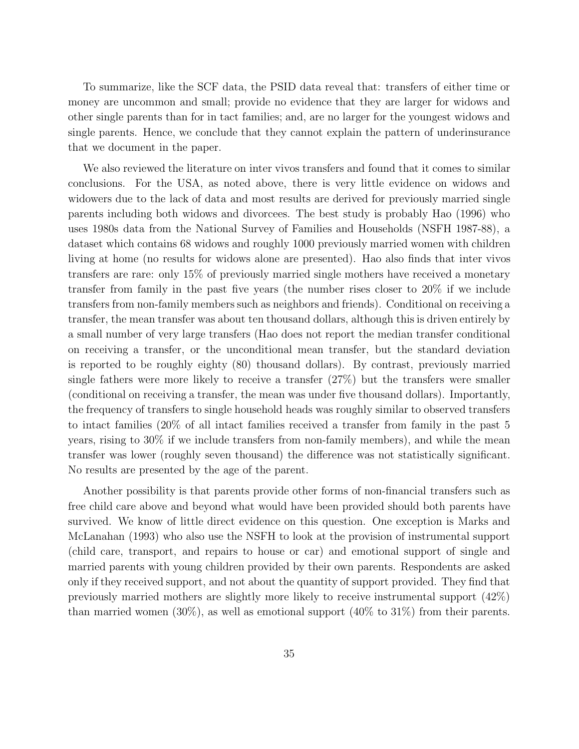To summarize, like the SCF data, the PSID data reveal that: transfers of either time or money are uncommon and small; provide no evidence that they are larger for widows and other single parents than for in tact families; and, are no larger for the youngest widows and single parents. Hence, we conclude that they cannot explain the pattern of underinsurance that we document in the paper.

We also reviewed the literature on inter vivos transfers and found that it comes to similar conclusions. For the USA, as noted above, there is very little evidence on widows and widowers due to the lack of data and most results are derived for previously married single parents including both widows and divorcees. The best study is probably Hao (1996) who uses 1980s data from the National Survey of Families and Households (NSFH 1987-88), a dataset which contains 68 widows and roughly 1000 previously married women with children living at home (no results for widows alone are presented). Hao also finds that inter vivos transfers are rare: only 15% of previously married single mothers have received a monetary transfer from family in the past five years (the number rises closer to 20% if we include transfers from non-family members such as neighbors and friends). Conditional on receiving a transfer, the mean transfer was about ten thousand dollars, although this is driven entirely by a small number of very large transfers (Hao does not report the median transfer conditional on receiving a transfer, or the unconditional mean transfer, but the standard deviation is reported to be roughly eighty (80) thousand dollars). By contrast, previously married single fathers were more likely to receive a transfer  $(27%)$  but the transfers were smaller (conditional on receiving a transfer, the mean was under five thousand dollars). Importantly, the frequency of transfers to single household heads was roughly similar to observed transfers to intact families (20% of all intact families received a transfer from family in the past 5 years, rising to 30% if we include transfers from non-family members), and while the mean transfer was lower (roughly seven thousand) the difference was not statistically significant. No results are presented by the age of the parent.

Another possibility is that parents provide other forms of non-financial transfers such as free child care above and beyond what would have been provided should both parents have survived. We know of little direct evidence on this question. One exception is Marks and McLanahan (1993) who also use the NSFH to look at the provision of instrumental support (child care, transport, and repairs to house or car) and emotional support of single and married parents with young children provided by their own parents. Respondents are asked only if they received support, and not about the quantity of support provided. They find that previously married mothers are slightly more likely to receive instrumental support (42%) than married women  $(30\%)$ , as well as emotional support  $(40\%$  to  $31\%)$  from their parents.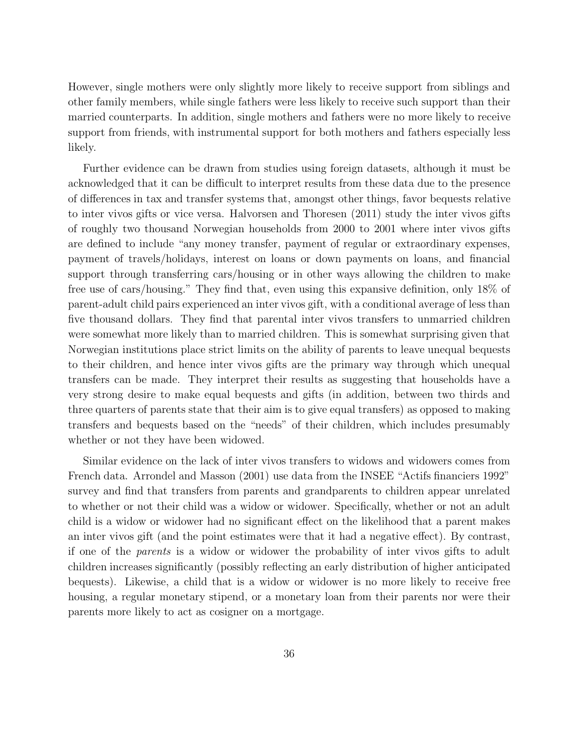However, single mothers were only slightly more likely to receive support from siblings and other family members, while single fathers were less likely to receive such support than their married counterparts. In addition, single mothers and fathers were no more likely to receive support from friends, with instrumental support for both mothers and fathers especially less likely.

Further evidence can be drawn from studies using foreign datasets, although it must be acknowledged that it can be difficult to interpret results from these data due to the presence of differences in tax and transfer systems that, amongst other things, favor bequests relative to inter vivos gifts or vice versa. Halvorsen and Thoresen (2011) study the inter vivos gifts of roughly two thousand Norwegian households from 2000 to 2001 where inter vivos gifts are defined to include "any money transfer, payment of regular or extraordinary expenses, payment of travels/holidays, interest on loans or down payments on loans, and financial support through transferring cars/housing or in other ways allowing the children to make free use of cars/housing." They find that, even using this expansive definition, only 18% of parent-adult child pairs experienced an inter vivos gift, with a conditional average of less than five thousand dollars. They find that parental inter vivos transfers to unmarried children were somewhat more likely than to married children. This is somewhat surprising given that Norwegian institutions place strict limits on the ability of parents to leave unequal bequests to their children, and hence inter vivos gifts are the primary way through which unequal transfers can be made. They interpret their results as suggesting that households have a very strong desire to make equal bequests and gifts (in addition, between two thirds and three quarters of parents state that their aim is to give equal transfers) as opposed to making transfers and bequests based on the "needs" of their children, which includes presumably whether or not they have been widowed.

Similar evidence on the lack of inter vivos transfers to widows and widowers comes from French data. Arrondel and Masson (2001) use data from the INSEE "Actifs financiers 1992" survey and find that transfers from parents and grandparents to children appear unrelated to whether or not their child was a widow or widower. Specifically, whether or not an adult child is a widow or widower had no significant effect on the likelihood that a parent makes an inter vivos gift (and the point estimates were that it had a negative effect). By contrast, if one of the *parents* is a widow or widower the probability of inter vivos gifts to adult children increases significantly (possibly reflecting an early distribution of higher anticipated bequests). Likewise, a child that is a widow or widower is no more likely to receive free housing, a regular monetary stipend, or a monetary loan from their parents nor were their parents more likely to act as cosigner on a mortgage.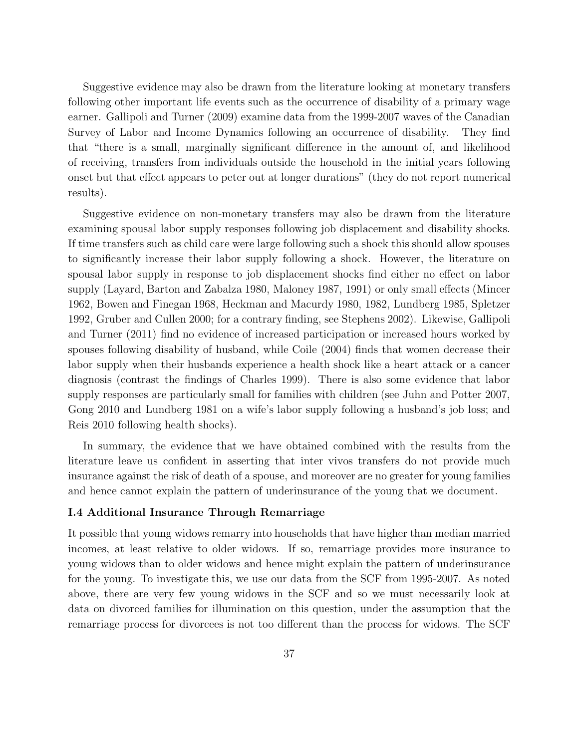Suggestive evidence may also be drawn from the literature looking at monetary transfers following other important life events such as the occurrence of disability of a primary wage earner. Gallipoli and Turner (2009) examine data from the 1999-2007 waves of the Canadian Survey of Labor and Income Dynamics following an occurrence of disability. They find that "there is a small, marginally significant difference in the amount of, and likelihood of receiving, transfers from individuals outside the household in the initial years following onset but that effect appears to peter out at longer durations" (they do not report numerical results).

Suggestive evidence on non-monetary transfers may also be drawn from the literature examining spousal labor supply responses following job displacement and disability shocks. If time transfers such as child care were large following such a shock this should allow spouses to significantly increase their labor supply following a shock. However, the literature on spousal labor supply in response to job displacement shocks find either no effect on labor supply (Layard, Barton and Zabalza 1980, Maloney 1987, 1991) or only small effects (Mincer 1962, Bowen and Finegan 1968, Heckman and Macurdy 1980, 1982, Lundberg 1985, Spletzer 1992, Gruber and Cullen 2000; for a contrary finding, see Stephens 2002). Likewise, Gallipoli and Turner (2011) find no evidence of increased participation or increased hours worked by spouses following disability of husband, while Coile (2004) finds that women decrease their labor supply when their husbands experience a health shock like a heart attack or a cancer diagnosis (contrast the findings of Charles 1999). There is also some evidence that labor supply responses are particularly small for families with children (see Juhn and Potter 2007, Gong 2010 and Lundberg 1981 on a wife's labor supply following a husband's job loss; and Reis 2010 following health shocks).

In summary, the evidence that we have obtained combined with the results from the literature leave us confident in asserting that inter vivos transfers do not provide much insurance against the risk of death of a spouse, and moreover are no greater for young families and hence cannot explain the pattern of underinsurance of the young that we document.

## **I.4 Additional Insurance Through Remarriage**

It possible that young widows remarry into households that have higher than median married incomes, at least relative to older widows. If so, remarriage provides more insurance to young widows than to older widows and hence might explain the pattern of underinsurance for the young. To investigate this, we use our data from the SCF from 1995-2007. As noted above, there are very few young widows in the SCF and so we must necessarily look at data on divorced families for illumination on this question, under the assumption that the remarriage process for divorcees is not too different than the process for widows. The SCF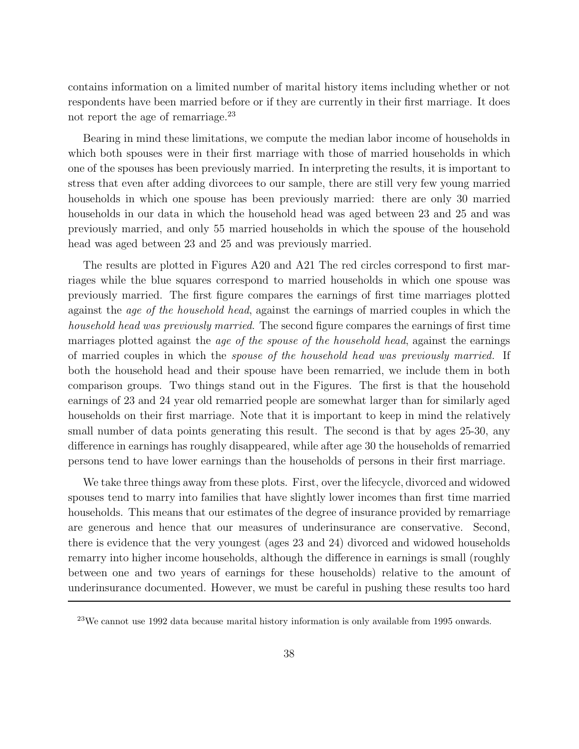contains information on a limited number of marital history items including whether or not respondents have been married before or if they are currently in their first marriage. It does not report the age of remarriage.<sup>23</sup>

Bearing in mind these limitations, we compute the median labor income of households in which both spouses were in their first marriage with those of married households in which one of the spouses has been previously married. In interpreting the results, it is important to stress that even after adding divorcees to our sample, there are still very few young married households in which one spouse has been previously married: there are only 30 married households in our data in which the household head was aged between 23 and 25 and was previously married, and only 55 married households in which the spouse of the household head was aged between 23 and 25 and was previously married.

The results are plotted in Figures A20 and A21 The red circles correspond to first marriages while the blue squares correspond to married households in which one spouse was previously married. The first figure compares the earnings of first time marriages plotted against the *age of the household head*, against the earnings of married couples in which the *household head was previously married*. The second figure compares the earnings of first time marriages plotted against the *age of the spouse of the household head*, against the earnings of married couples in which the *spouse of the household head was previously married.* If both the household head and their spouse have been remarried, we include them in both comparison groups. Two things stand out in the Figures. The first is that the household earnings of 23 and 24 year old remarried people are somewhat larger than for similarly aged households on their first marriage. Note that it is important to keep in mind the relatively small number of data points generating this result. The second is that by ages 25-30, any difference in earnings has roughly disappeared, while after age 30 the households of remarried persons tend to have lower earnings than the households of persons in their first marriage.

We take three things away from these plots. First, over the lifecycle, divorced and widowed spouses tend to marry into families that have slightly lower incomes than first time married households. This means that our estimates of the degree of insurance provided by remarriage are generous and hence that our measures of underinsurance are conservative. Second, there is evidence that the very youngest (ages 23 and 24) divorced and widowed households remarry into higher income households, although the difference in earnings is small (roughly between one and two years of earnings for these households) relative to the amount of underinsurance documented. However, we must be careful in pushing these results too hard

 $^{23}$ We cannot use 1992 data because marital history information is only available from 1995 onwards.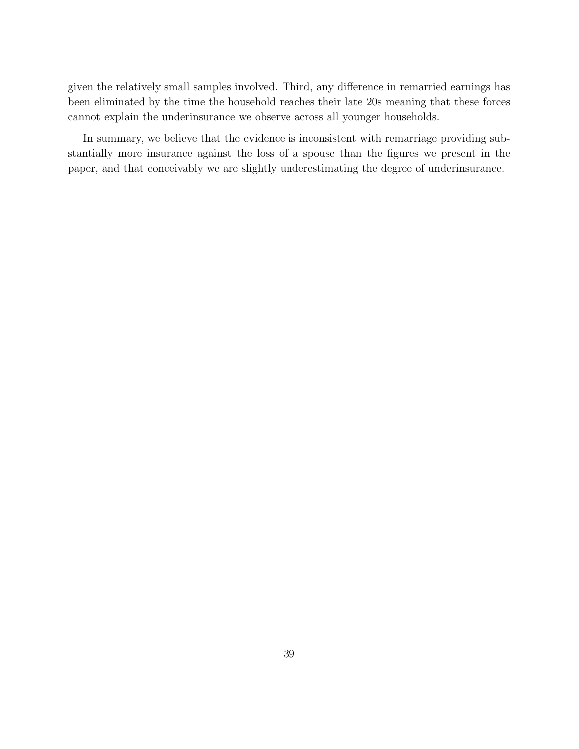given the relatively small samples involved. Third, any difference in remarried earnings has been eliminated by the time the household reaches their late 20s meaning that these forces cannot explain the underinsurance we observe across all younger households.

In summary, we believe that the evidence is inconsistent with remarriage providing substantially more insurance against the loss of a spouse than the figures we present in the paper, and that conceivably we are slightly underestimating the degree of underinsurance.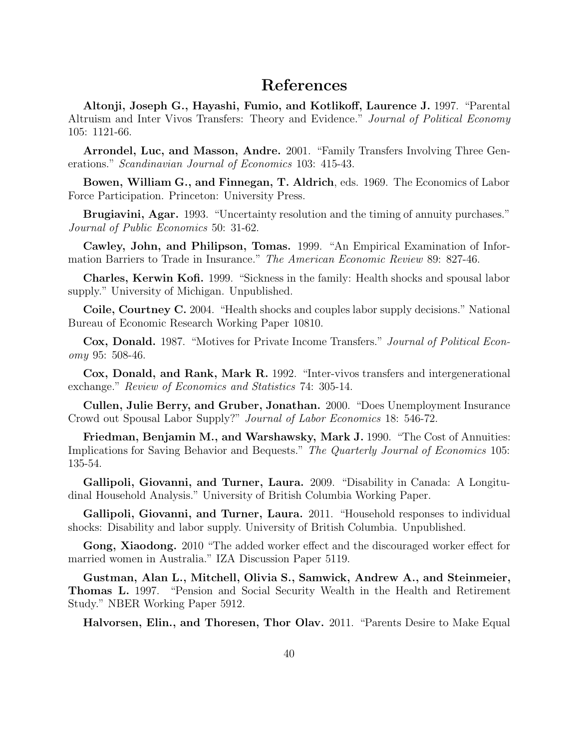## **References**

**Altonji, Joseph G., Hayashi, Fumio, and Kotlikoff, Laurence J.** 1997. "Parental Altruism and Inter Vivos Transfers: Theory and Evidence." *Journal of Political Economy* 105: 1121-66.

**Arrondel, Luc, and Masson, Andre.** 2001. "Family Transfers Involving Three Generations." *Scandinavian Journal of Economics* 103: 415-43.

**Bowen, William G., and Finnegan, T. Aldrich**, eds. 1969. The Economics of Labor Force Participation. Princeton: University Press.

**Brugiavini, Agar.** 1993. "Uncertainty resolution and the timing of annuity purchases." *Journal of Public Economics* 50: 31-62.

**Cawley, John, and Philipson, Tomas.** 1999. "An Empirical Examination of Information Barriers to Trade in Insurance." *The American Economic Review* 89: 827-46.

**Charles, Kerwin Kofi.** 1999. "Sickness in the family: Health shocks and spousal labor supply." University of Michigan. Unpublished.

**Coile, Courtney C.** 2004. "Health shocks and couples labor supply decisions." National Bureau of Economic Research Working Paper 10810.

**Cox, Donald.** 1987. "Motives for Private Income Transfers." *Journal of Political Economy* 95: 508-46.

**Cox, Donald, and Rank, Mark R.** 1992. "Inter-vivos transfers and intergenerational exchange." *Review of Economics and Statistics* 74: 305-14.

**Cullen, Julie Berry, and Gruber, Jonathan.** 2000. "Does Unemployment Insurance Crowd out Spousal Labor Supply?" *Journal of Labor Economics* 18: 546-72.

**Friedman, Benjamin M., and Warshawsky, Mark J.** 1990. "The Cost of Annuities: Implications for Saving Behavior and Bequests." *The Quarterly Journal of Economics* 105: 135-54.

**Gallipoli, Giovanni, and Turner, Laura.** 2009. "Disability in Canada: A Longitudinal Household Analysis." University of British Columbia Working Paper.

**Gallipoli, Giovanni, and Turner, Laura.** 2011. "Household responses to individual shocks: Disability and labor supply. University of British Columbia. Unpublished.

**Gong, Xiaodong.** 2010 "The added worker effect and the discouraged worker effect for married women in Australia." IZA Discussion Paper 5119.

**Gustman, Alan L., Mitchell, Olivia S., Samwick, Andrew A., and Steinmeier, Thomas L.** 1997. "Pension and Social Security Wealth in the Health and Retirement Study." NBER Working Paper 5912.

**Halvorsen, Elin., and Thoresen, Thor Olav.** 2011. "Parents Desire to Make Equal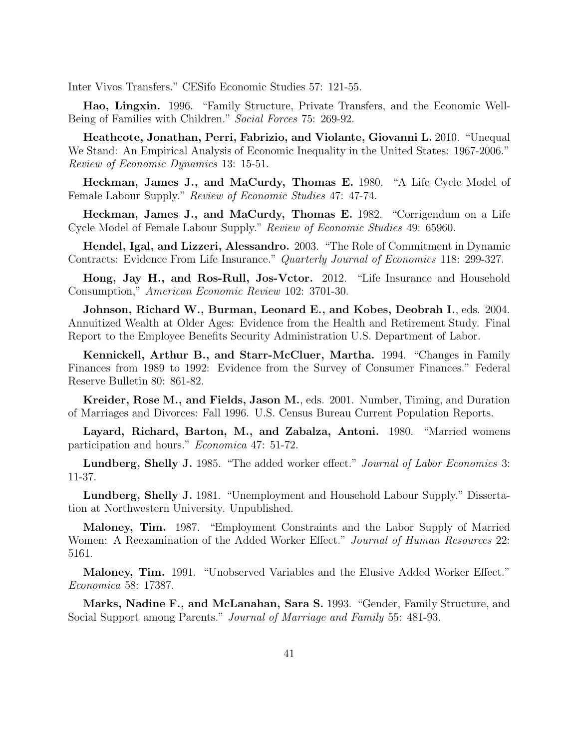Inter Vivos Transfers." CESifo Economic Studies 57: 121-55.

**Hao, Lingxin.** 1996. "Family Structure, Private Transfers, and the Economic Well-Being of Families with Children." *Social Forces* 75: 269-92.

**Heathcote, Jonathan, Perri, Fabrizio, and Violante, Giovanni L.** 2010. "Unequal We Stand: An Empirical Analysis of Economic Inequality in the United States: 1967-2006." *Review of Economic Dynamics* 13: 15-51.

**Heckman, James J., and MaCurdy, Thomas E.** 1980. "A Life Cycle Model of Female Labour Supply." *Review of Economic Studies* 47: 47-74.

**Heckman, James J., and MaCurdy, Thomas E.** 1982. "Corrigendum on a Life Cycle Model of Female Labour Supply." *Review of Economic Studies* 49: 65960.

**Hendel, Igal, and Lizzeri, Alessandro.** 2003. "The Role of Commitment in Dynamic Contracts: Evidence From Life Insurance." *Quarterly Journal of Economics* 118: 299-327.

**Hong, Jay H., and Ros-Rull, Jos-Vctor.** 2012. "Life Insurance and Household Consumption," *American Economic Review* 102: 3701-30.

**Johnson, Richard W., Burman, Leonard E., and Kobes, Deobrah I.**, eds. 2004. Annuitized Wealth at Older Ages: Evidence from the Health and Retirement Study. Final Report to the Employee Benefits Security Administration U.S. Department of Labor.

**Kennickell, Arthur B., and Starr-McCluer, Martha.** 1994. "Changes in Family Finances from 1989 to 1992: Evidence from the Survey of Consumer Finances." Federal Reserve Bulletin 80: 861-82.

**Kreider, Rose M., and Fields, Jason M.**, eds. 2001. Number, Timing, and Duration of Marriages and Divorces: Fall 1996. U.S. Census Bureau Current Population Reports.

**Layard, Richard, Barton, M., and Zabalza, Antoni.** 1980. "Married womens participation and hours." *Economica* 47: 51-72.

**Lundberg, Shelly J.** 1985. "The added worker effect." *Journal of Labor Economics* 3: 11-37.

**Lundberg, Shelly J.** 1981. "Unemployment and Household Labour Supply." Dissertation at Northwestern University. Unpublished.

**Maloney, Tim.** 1987. "Employment Constraints and the Labor Supply of Married Women: A Reexamination of the Added Worker Effect." *Journal of Human Resources* 22: 5161.

**Maloney, Tim.** 1991. "Unobserved Variables and the Elusive Added Worker Effect." *Economica* 58: 17387.

**Marks, Nadine F., and McLanahan, Sara S.** 1993. "Gender, Family Structure, and Social Support among Parents." *Journal of Marriage and Family* 55: 481-93.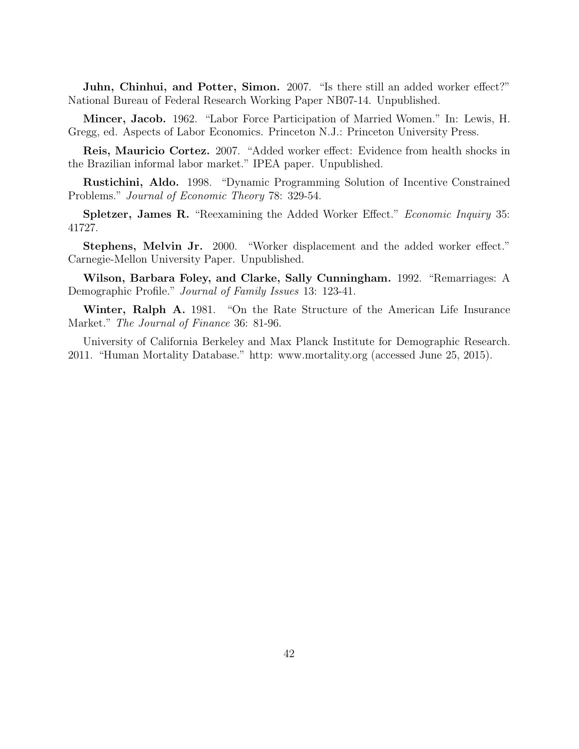**Juhn, Chinhui, and Potter, Simon.** 2007. "Is there still an added worker effect?" National Bureau of Federal Research Working Paper NB07-14. Unpublished.

**Mincer, Jacob.** 1962. "Labor Force Participation of Married Women." In: Lewis, H. Gregg, ed. Aspects of Labor Economics. Princeton N.J.: Princeton University Press.

**Reis, Mauricio Cortez.** 2007. "Added worker effect: Evidence from health shocks in the Brazilian informal labor market." IPEA paper. Unpublished.

**Rustichini, Aldo.** 1998. "Dynamic Programming Solution of Incentive Constrained Problems." *Journal of Economic Theory* 78: 329-54.

**Spletzer, James R.** "Reexamining the Added Worker Effect." *Economic Inquiry* 35: 41727.

**Stephens, Melvin Jr.** 2000. "Worker displacement and the added worker effect." Carnegie-Mellon University Paper. Unpublished.

**Wilson, Barbara Foley, and Clarke, Sally Cunningham.** 1992. "Remarriages: A Demographic Profile." *Journal of Family Issues* 13: 123-41.

**Winter, Ralph A.** 1981. "On the Rate Structure of the American Life Insurance Market." *The Journal of Finance* 36: 81-96.

University of California Berkeley and Max Planck Institute for Demographic Research. 2011. "Human Mortality Database." http: www.mortality.org (accessed June 25, 2015).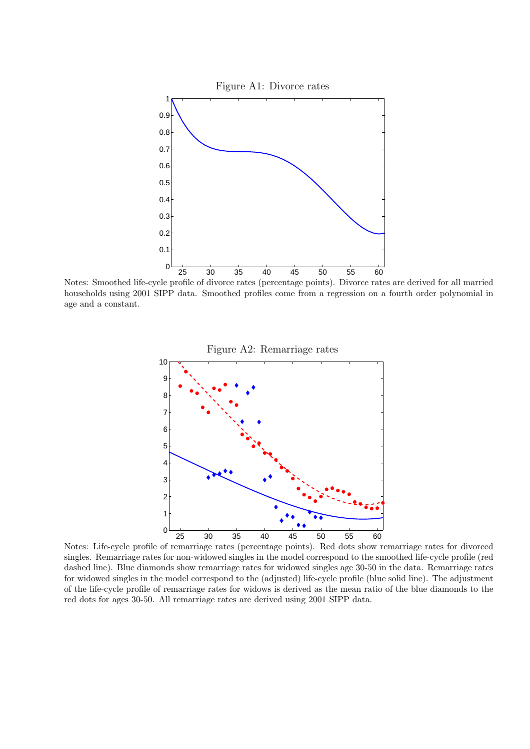

Notes: Smoothed life-cycle profile of divorce rates (percentage points). Divorce rates are derived for all married households using 2001 SIPP data. Smoothed profiles come from a regression on a fourth order polynomial in age and a constant.



Notes: Life-cycle profile of remarriage rates (percentage points). Red dots show remarriage rates for divorced singles. Remarriage rates for non-widowed singles in the model correspond to the smoothed life-cycle profile (red dashed line). Blue diamonds show remarriage rates for widowed singles age 30-50 in the data. Remarriage rates for widowed singles in the model correspond to the (adjusted) life-cycle profile (blue solid line). The adjustment of the life-cycle profile of remarriage rates for widows is derived as the mean ratio of the blue diamonds to the red dots for ages 30-50. All remarriage rates are derived using 2001 SIPP data.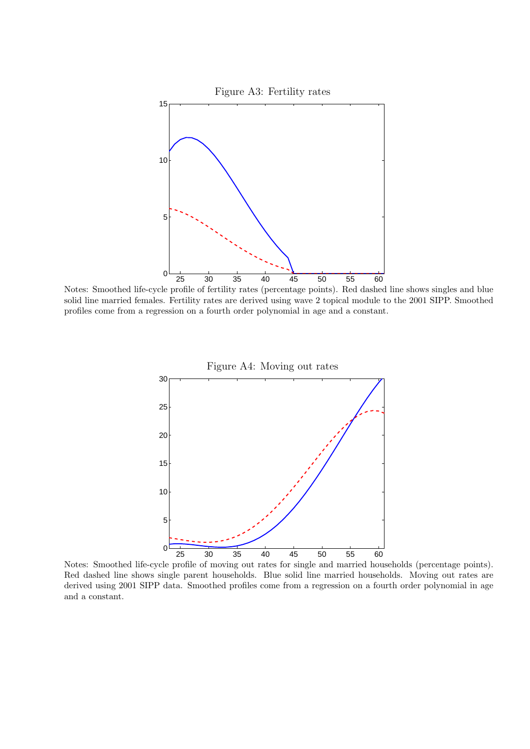

Notes: Smoothed life-cycle profile of fertility rates (percentage points). Red dashed line shows singles and blue solid line married females. Fertility rates are derived using wave 2 topical module to the 2001 SIPP. Smoothed profiles come from a regression on a fourth order polynomial in age and a constant.



Notes: Smoothed life-cycle profile of moving out rates for single and married households (percentage points). Red dashed line shows single parent households. Blue solid line married households. Moving out rates are derived using 2001 SIPP data. Smoothed profiles come from a regression on a fourth order polynomial in age and a constant.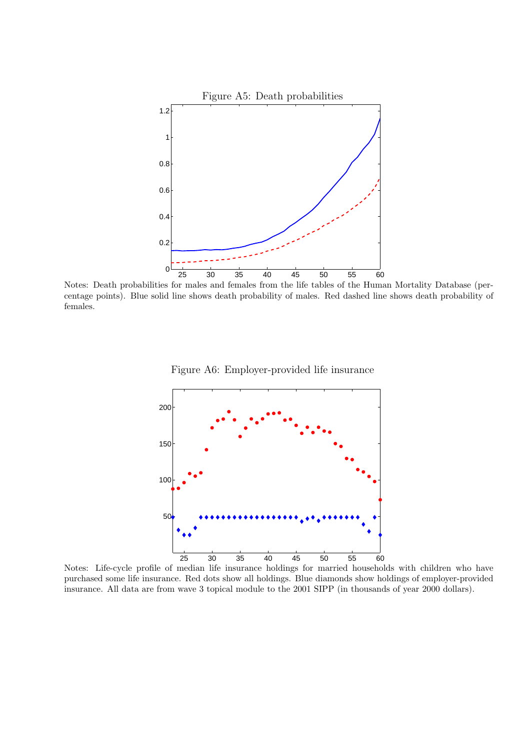

Notes: Death probabilities for males and females from the life tables of the Human Mortality Database (percentage points). Blue solid line shows death probability of males. Red dashed line shows death probability of females.





Notes: Life-cycle profile of median life insurance holdings for married households with children who have purchased some life insurance. Red dots show all holdings. Blue diamonds show holdings of employer-provided insurance. All data are from wave 3 topical module to the 2001 SIPP (in thousands of year 2000 dollars).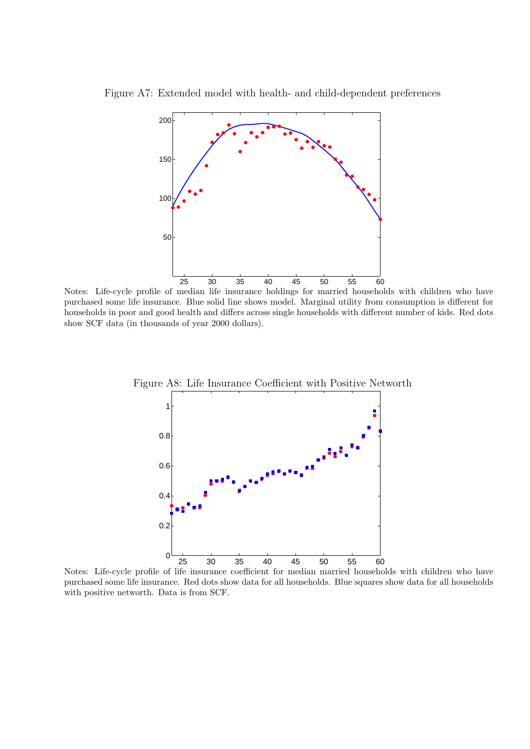

Figure A7: Extended model with health- and child-dependent preferences

Notes: Life-cycle profile of median life insurance holdings for married households with children who have purchased some life insurance. Blue solid line shows model. Marginal utility from consumption is different for households in poor and good health and differs across single households with different number of kids. Red dots show SCF data (in thousands of year 2000 dollars).



Notes: Life-cycle profile of life insurance coefficient for median married households with children who have purchased some life insurance. Red dots show data for all households. Blue squares show data for all households with positive networth. Data is from SCF.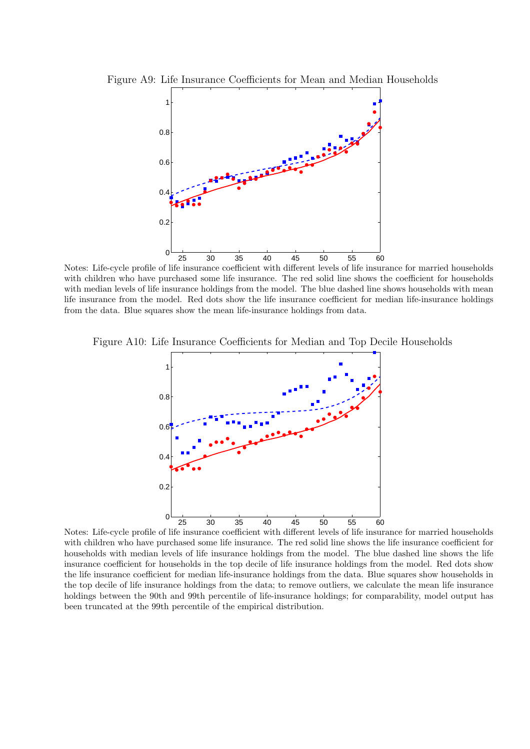

Notes: Life-cycle profile of life insurance coefficient with different levels of life insurance for married households with children who have purchased some life insurance. The red solid line shows the coefficient for households with median levels of life insurance holdings from the model. The blue dashed line shows households with mean life insurance from the model. Red dots show the life insurance coefficient for median life-insurance holdings from the data. Blue squares show the mean life-insurance holdings from data.





Notes: Life-cycle profile of life insurance coefficient with different levels of life insurance for married households with children who have purchased some life insurance. The red solid line shows the life insurance coefficient for households with median levels of life insurance holdings from the model. The blue dashed line shows the life insurance coefficient for households in the top decile of life insurance holdings from the model. Red dots show the life insurance coefficient for median life-insurance holdings from the data. Blue squares show households in the top decile of life insurance holdings from the data; to remove outliers, we calculate the mean life insurance holdings between the 90th and 99th percentile of life-insurance holdings; for comparability, model output has been truncated at the 99th percentile of the empirical distribution.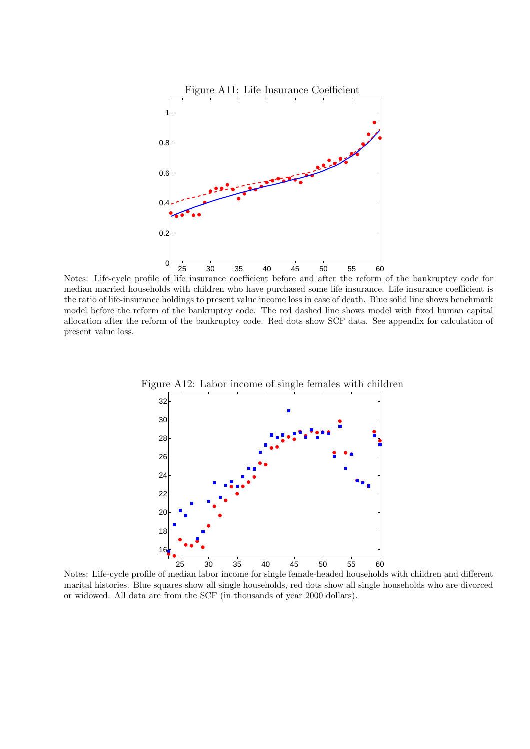

Notes: Life-cycle profile of life insurance coefficient before and after the reform of the bankruptcy code for median married households with children who have purchased some life insurance. Life insurance coefficient is the ratio of life-insurance holdings to present value income loss in case of death. Blue solid line shows benchmark model before the reform of the bankruptcy code. The red dashed line shows model with fixed human capital allocation after the reform of the bankruptcy code. Red dots show SCF data. See appendix for calculation of present value loss.



Notes: Life-cycle profile of median labor income for single female-headed households with children and different marital histories. Blue squares show all single households, red dots show all single households who are divorced or widowed. All data are from the SCF (in thousands of year 2000 dollars).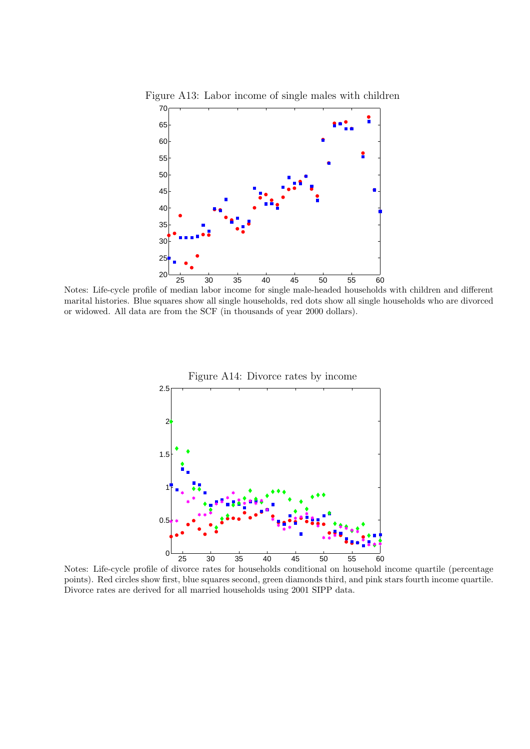

Figure A13: Labor income of single males with children

Notes: Life-cycle profile of median labor income for single male-headed households with children and different marital histories. Blue squares show all single households, red dots show all single households who are divorced or widowed. All data are from the SCF (in thousands of year 2000 dollars).



Notes: Life-cycle profile of divorce rates for households conditional on household income quartile (percentage points). Red circles show first, blue squares second, green diamonds third, and pink stars fourth income quartile. Divorce rates are derived for all married households using 2001 SIPP data.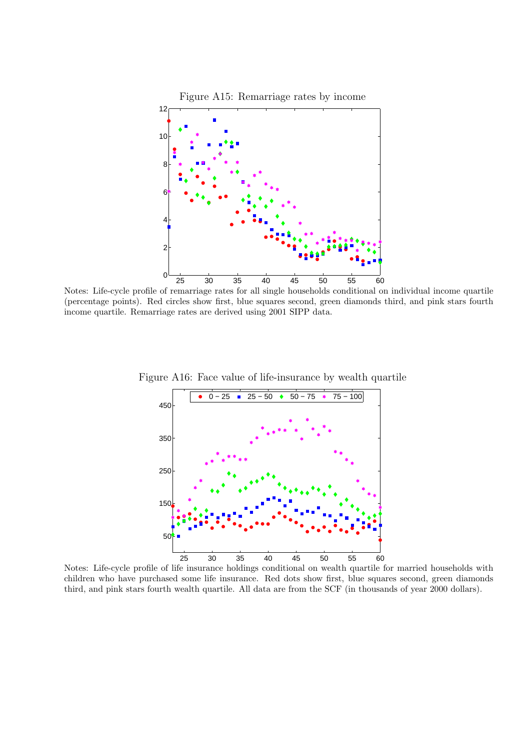

Notes: Life-cycle profile of remarriage rates for all single households conditional on individual income quartile (percentage points). Red circles show first, blue squares second, green diamonds third, and pink stars fourth income quartile. Remarriage rates are derived using 2001 SIPP data.



Figure A16: Face value of life-insurance by wealth quartile

Notes: Life-cycle profile of life insurance holdings conditional on wealth quartile for married households with children who have purchased some life insurance. Red dots show first, blue squares second, green diamonds third, and pink stars fourth wealth quartile. All data are from the SCF (in thousands of year 2000 dollars).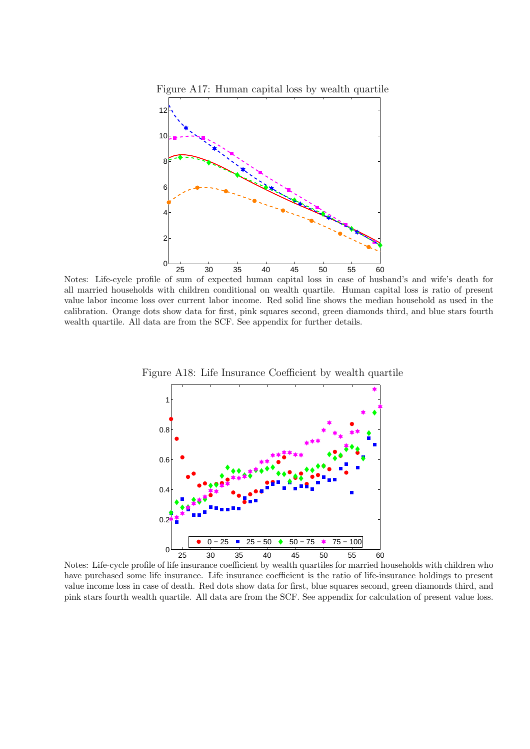



Notes: Life-cycle profile of sum of expected human capital loss in case of husband's and wife's death for all married households with children conditional on wealth quartile. Human capital loss is ratio of present value labor income loss over current labor income. Red solid line shows the median household as used in the calibration. Orange dots show data for first, pink squares second, green diamonds third, and blue stars fourth wealth quartile. All data are from the SCF. See appendix for further details.



Figure A18: Life Insurance Coefficient by wealth quartile

Notes: Life-cycle profile of life insurance coefficient by wealth quartiles for married households with children who have purchased some life insurance. Life insurance coefficient is the ratio of life-insurance holdings to present value income loss in case of death. Red dots show data for first, blue squares second, green diamonds third, and pink stars fourth wealth quartile. All data are from the SCF. See appendix for calculation of present value loss.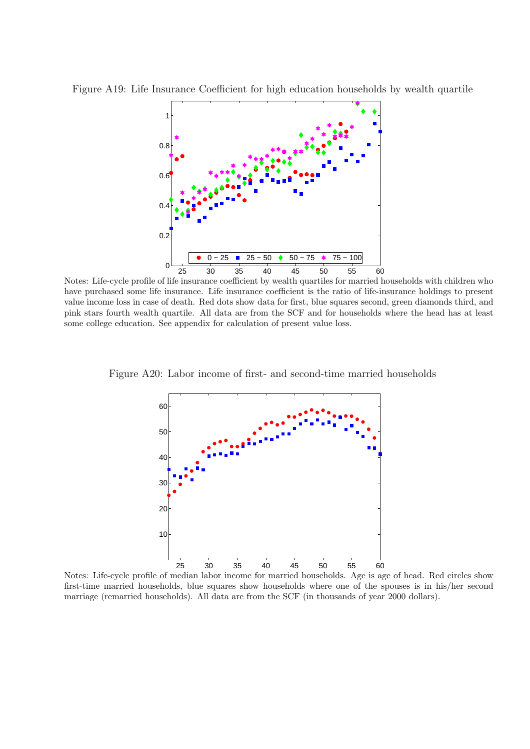



Notes: Life-cycle profile of life insurance coefficient by wealth quartiles for married households with children who have purchased some life insurance. Life insurance coefficient is the ratio of life-insurance holdings to present value income loss in case of death. Red dots show data for first, blue squares second, green diamonds third, and pink stars fourth wealth quartile. All data are from the SCF and for households where the head has at least some college education. See appendix for calculation of present value loss.

Figure A20: Labor income of first- and second-time married households



Notes: Life-cycle profile of median labor income for married households. Age is age of head. Red circles show first-time married households, blue squares show households where one of the spouses is in his/her second marriage (remarried households). All data are from the SCF (in thousands of year 2000 dollars).